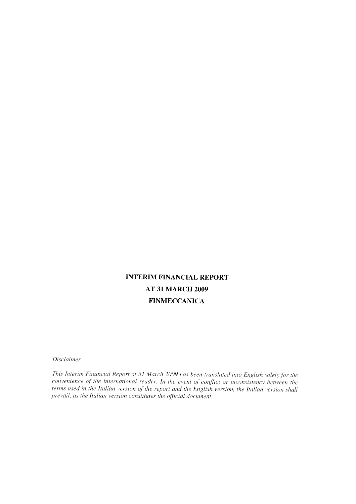# **INTERIM FINANCIAL REPORT AT 31 MARCH 2009 FINMECCANICA**

**Disclaimer** 

This Interim Financial Report at 31 March 2009 has been translated into English solely for the convenience of the international reader. In the event of conflict or inconsistency between the terms used in the Italian version of the report and the English version, the Italian version shall prevail, as the Italian version constitutes the official document.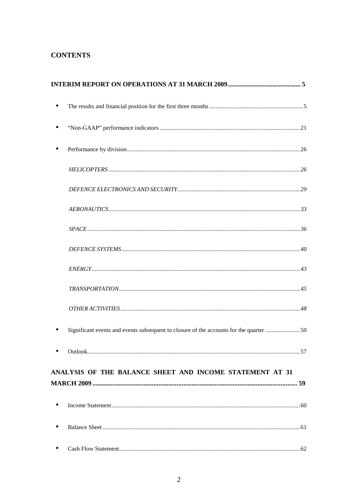## **CONTENTS**

|           | Significant events and events subsequent to closure of the accounts for the quarter 50 |
|-----------|----------------------------------------------------------------------------------------|
|           |                                                                                        |
|           | ANALYSIS OF THE BALANCE SHEET AND INCOME STATEMENT AT 31                               |
|           |                                                                                        |
| $\bullet$ |                                                                                        |
|           |                                                                                        |
|           |                                                                                        |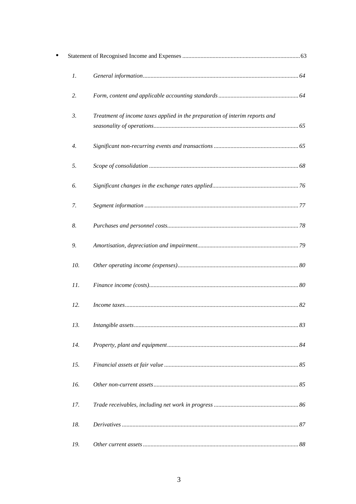| 1.  |                                                                             |  |
|-----|-----------------------------------------------------------------------------|--|
| 2.  |                                                                             |  |
| 3.  | Treatment of income taxes applied in the preparation of interim reports and |  |
| 4.  |                                                                             |  |
| 5.  |                                                                             |  |
| 6.  |                                                                             |  |
| 7.  |                                                                             |  |
| 8.  |                                                                             |  |
| 9.  |                                                                             |  |
| 10. |                                                                             |  |
| 11. |                                                                             |  |
| 12. |                                                                             |  |
| 13. |                                                                             |  |
| 14. |                                                                             |  |
| 15. |                                                                             |  |
| 16. |                                                                             |  |
| 17. |                                                                             |  |
| 18. |                                                                             |  |
| 19. |                                                                             |  |

 $\bullet$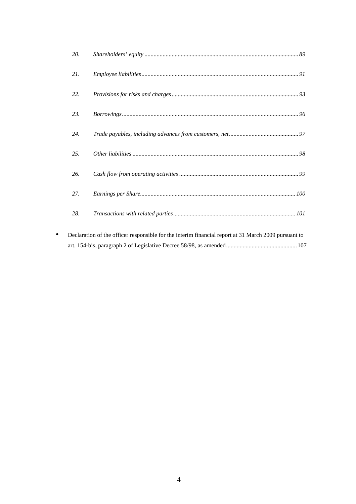| 20. |  |
|-----|--|
| 21. |  |
| 22. |  |
| 23. |  |
| 24. |  |
| 25. |  |
| 26. |  |
| 27. |  |
| 28. |  |
|     |  |

• Declaration of the officer responsible for the interim financial report at 31 March 2009 pursuant to art. 154-bis, paragraph 2 of Legislative Decree 58/98, as amended...............................................107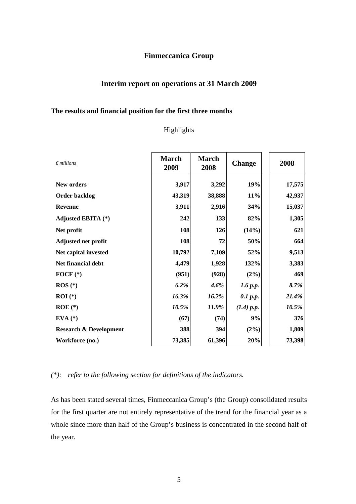## **Finmeccanica Group**

## **Interim report on operations at 31 March 2009**

## **The results and financial position for the first three months**

## Highlights

| $\epsilon$ millions               | <b>March</b><br>2009 | <b>March</b><br>2008 | <b>Change</b> | 2008   |
|-----------------------------------|----------------------|----------------------|---------------|--------|
| New orders                        | 3,917                | 3,292                | 19%           | 17,575 |
| <b>Order backlog</b>              | 43,319               | 38,888               | 11%           | 42,937 |
| <b>Revenue</b>                    | 3,911                | 2,916                | 34%           | 15,037 |
| Adjusted EBITA (*)                | 242                  | 133                  | 82%           | 1,305  |
| Net profit                        | 108                  | 126                  | (14%)         | 621    |
| <b>Adjusted net profit</b>        | 108                  | 72                   | 50%           | 664    |
| Net capital invested              | 10,792               | 7,109                | 52%           | 9,513  |
| Net financial debt                | 4,479                | 1,928                | 132%          | 3,383  |
| FOCF $(*)$                        | (951)                | (928)                | (2%)          | 469    |
| $ROS (*)$                         | 6.2%                 | 4.6%                 | 1.6 p.p.      | 8.7%   |
| $ROI (*)$                         | 16.3%                | 16.2%                | 0.1 p.p.      | 21.4%  |
| $ROE$ $(*)$                       | 10.5%                | 11.9%                | $(1.4)$ p.p.  | 10.5%  |
| $EVA$ (*)                         | (67)                 | (74)                 | 9%            | 376    |
| <b>Research &amp; Development</b> | 388                  | 394                  | (2%)          | 1,809  |
| Workforce (no.)                   | 73,385               | 61,396               | 20%           | 73,398 |

## *(\*): refer to the following section for definitions of the indicators.*

As has been stated several times, Finmeccanica Group's (the Group) consolidated results for the first quarter are not entirely representative of the trend for the financial year as a whole since more than half of the Group's business is concentrated in the second half of the year.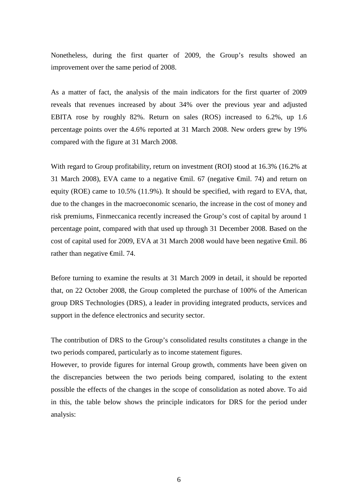Nonetheless, during the first quarter of 2009, the Group's results showed an improvement over the same period of 2008.

As a matter of fact, the analysis of the main indicators for the first quarter of 2009 reveals that revenues increased by about 34% over the previous year and adjusted EBITA rose by roughly 82%. Return on sales (ROS) increased to 6.2%, up 1.6 percentage points over the 4.6% reported at 31 March 2008. New orders grew by 19% compared with the figure at 31 March 2008.

With regard to Group profitability, return on investment (ROI) stood at 16.3% (16.2% at 31 March 2008), EVA came to a negative  $\epsilon$ mil. 67 (negative  $\epsilon$ mil. 74) and return on equity (ROE) came to 10.5% (11.9%). It should be specified, with regard to EVA, that, due to the changes in the macroeconomic scenario, the increase in the cost of money and risk premiums, Finmeccanica recently increased the Group's cost of capital by around 1 percentage point, compared with that used up through 31 December 2008. Based on the cost of capital used for 2009, EVA at 31 March 2008 would have been negative  $\epsilon$ mil. 86 rather than negative €mil. 74.

Before turning to examine the results at 31 March 2009 in detail, it should be reported that, on 22 October 2008, the Group completed the purchase of 100% of the American group DRS Technologies (DRS), a leader in providing integrated products, services and support in the defence electronics and security sector.

The contribution of DRS to the Group's consolidated results constitutes a change in the two periods compared, particularly as to income statement figures.

However, to provide figures for internal Group growth, comments have been given on the discrepancies between the two periods being compared, isolating to the extent possible the effects of the changes in the scope of consolidation as noted above. To aid in this, the table below shows the principle indicators for DRS for the period under analysis: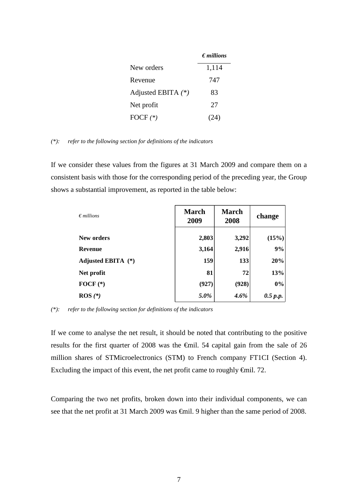|                      | $\epsilon$ millions |
|----------------------|---------------------|
| New orders           | 1,114               |
| Revenue              | 747                 |
| Adjusted EBITA $(*)$ | 83                  |
| Net profit           | 27                  |
| FOCF $(*)$           | (24)                |

*(\*): refer to the following section for definitions of the indicators* 

If we consider these values from the figures at 31 March 2009 and compare them on a consistent basis with those for the corresponding period of the preceding year, the Group shows a substantial improvement, as reported in the table below:

| $\epsilon$ millions | <b>March</b><br>2009 | <b>March</b><br>2008 | change   |
|---------------------|----------------------|----------------------|----------|
| New orders          | 2,803                | 3,292                | (15%)    |
| Revenue             | 3,164                | 2,916                | 9%       |
| Adjusted EBITA (*)  | 159                  | 133                  | 20%      |
| Net profit          | 81                   | 72                   | 13%      |
| FOCF $(*)$          | (927)                | (928)                | $0\%$    |
| $ROS (*)$           | 5.0%                 | 4.6%                 | 0.5 p.p. |

*(\*): refer to the following section for definitions of the indicators* 

If we come to analyse the net result, it should be noted that contributing to the positive results for the first quarter of 2008 was the  $\epsilon$ mil. 54 capital gain from the sale of 26 million shares of STMicroelectronics (STM) to French company FT1CI (Section 4). Excluding the impact of this event, the net profit came to roughly  $\epsilon$ mil. 72.

Comparing the two net profits, broken down into their individual components, we can see that the net profit at 31 March 2009 was €mil.9 higher than the same period of 2008.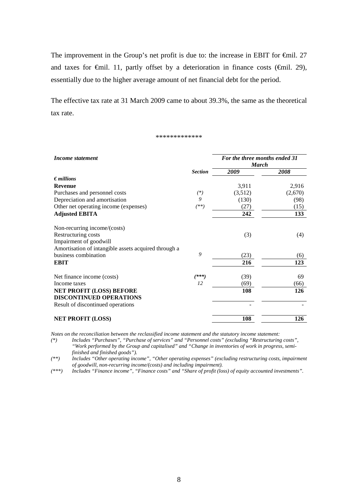The improvement in the Group's net profit is due to: the increase in EBIT for  $\epsilon$ mil. 27 and taxes for  $\epsilon$ mil. 11, partly offset by a deterioration in finance costs ( $\epsilon$ mil. 29), essentially due to the higher average amount of net financial debt for the period.

The effective tax rate at 31 March 2009 came to about 39.3%, the same as the theoretical tax rate.

#### \*\*\*\*\*\*\*\*\*\*\*\*\*

| Income statement                                     |                | For the three months ended 31<br><b>March</b> |         |
|------------------------------------------------------|----------------|-----------------------------------------------|---------|
|                                                      | <b>Section</b> | 2009                                          | 2008    |
| $\epsilon$ millions                                  |                |                                               |         |
| <b>Revenue</b>                                       |                | 3,911                                         | 2,916   |
| Purchases and personnel costs                        | $(*)$          | (3,512)                                       | (2,670) |
| Depreciation and amortisation                        | 9              | (130)                                         | (98)    |
| Other net operating income (expenses)                | $^{(**)}$      | (27)                                          | (15)    |
| <b>Adjusted EBITA</b>                                |                | 242                                           | 133     |
| Non-recurring income/(costs)                         |                |                                               |         |
| Restructuring costs                                  |                | (3)                                           | (4)     |
| Impairment of goodwill                               |                |                                               |         |
| Amortisation of intangible assets acquired through a |                |                                               |         |
| business combination                                 | 9              | (23)                                          | (6)     |
| <b>EBIT</b>                                          |                | 216                                           | 123     |
| Net finance income (costs)                           | (***)          | (39)                                          | 69      |
| Income taxes                                         | 12             | (69)                                          | (66)    |
| <b>NET PROFIT (LOSS) BEFORE</b>                      |                | 108                                           | 126     |
| <b>DISCONTINUED OPERATIONS</b>                       |                |                                               |         |
| Result of discontinued operations                    |                |                                               |         |
| <b>NET PROFIT (LOSS)</b>                             |                | <b>108</b>                                    | 126     |

*Notes on the reconciliation between the reclassified income statement and the statutory income statement:* 

*(\*) Includes "Purchases", "Purchase of services" and "Personnel costs" (excluding "Restructuring costs", "Work performed by the Group and capitalised" and "Change in inventories of work in progress, semifinished and finished goods").* 

*(\*\*) Includes "Other operating income", "Other operating expenses" (excluding restructuring costs, impairment of goodwill, non-recurring income/(costs) and including impairment).* 

*(\*\*\*) Includes "Finance income", "Finance costs" and "Share of profit (loss) of equity accounted investments".*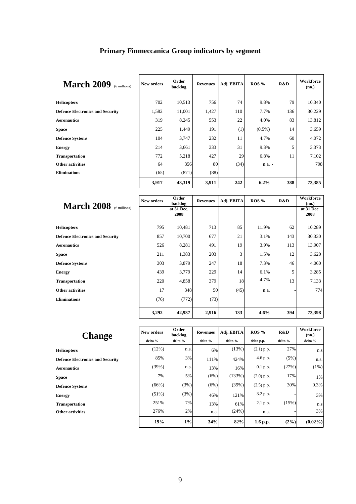# **Primary Finmeccanica Group indicators by segment**

# **March 2009 (** $\epsilon$  millions) **New orders Order**

| <b>March 2009</b><br>$(\in$ millions)   | New orders | Order<br>backlog | <b>Revenues</b> | Adj. EBITA | $ROS\%$   | R&D | Workforce<br>(no.) |
|-----------------------------------------|------------|------------------|-----------------|------------|-----------|-----|--------------------|
| Helicopters                             | 702        | 10,513           | 756             | 74         | 9.8%      | 79  | 10,340             |
| <b>Defence Electronics and Security</b> | 1,582      | 11,001           | 1,427           | 110        | 7.7%      | 136 | 30,229             |
| <b>Aeronautics</b>                      | 319        | 8,245            | 553             | 22         | 4.0%      | 83  | 13,812             |
| Space                                   | 225        | 1,449            | 191             | (1)        | $(0.5\%)$ | 14  | 3,659              |
| <b>Defence Systems</b>                  | 104        | 3,747            | 232             | 11         | 4.7%      | 60  | 4,072              |
| Energy                                  | 214        | 3,661            | 333             | 31         | 9.3%      | 5   | 3,373              |
| <b>Transportation</b>                   | 772        | 5,218            | 427             | 29         | 6.8%      | 11  | 7,102              |
| <b>Other activities</b>                 | 64         | 356              | 80              | (34)       | n.a.      |     | 798                |
| <b>Eliminations</b>                     | (65)       | (871)            | (88)            |            |           |     |                    |
|                                         | 3,917      | 43,319           | 3,911           | 242        | 6.2%      | 388 | 73,385             |

|                                         | New orders | Order      | <b>Revenues</b> | Adj. EBITA | ROS % | R&D | Workforce  |
|-----------------------------------------|------------|------------|-----------------|------------|-------|-----|------------|
| March 2008 $\epsilon$ millions)         |            | backlog    |                 |            |       |     | (no.)      |
|                                         |            | at 31 Dec. |                 |            |       |     | at 31 Dec. |
|                                         |            | 2008       |                 |            |       |     | 2008       |
|                                         |            |            |                 |            |       |     |            |
| Helicopters                             | 795        | 10,481     | 713             | 85         | 11.9% | 62  | 10,289     |
| <b>Defence Electronics and Security</b> | 857        | 10,700     | 677             | 21         | 3.1%  | 143 | 30,330     |
| <b>Aeronautics</b>                      | 526        | 8,281      | 491             | 19         | 3.9%  | 113 | 13,907     |
| Space                                   | 211        | 1,383      | 203             | 3          | 1.5%  | 12  | 3,620      |
| <b>Defence Systems</b>                  | 303        | 3,879      | 247             | 18         | 7.3%  | 46  | 4,060      |
| Energy                                  | 439        | 3,779      | 229             | 14         | 6.1%  | 5   | 3,285      |
| Transportation                          | 220        | 4,858      | 379             | 18         | 4.7%  | 13  | 7,133      |
| <b>Other activities</b>                 | 17         | 348        | 50              | (45)       | n.a.  |     | 774        |
| <b>Eliminations</b>                     | (76)       | (772)      | (73)            |            |       |     |            |
|                                         | 3,292      | 42,937     | 2,916           | 133        | 4.6%  | 394 | 73,398     |

| <b>Change</b>                           | New orders | Order<br>backlog | <b>Revenues</b> | Adj. EBITA | ROS %                     | R&D     | Workforce<br>(no.) |
|-----------------------------------------|------------|------------------|-----------------|------------|---------------------------|---------|--------------------|
|                                         | delta %    | delta %          | delta %         | delta %    | delta p.p.                | delta % | delta %            |
| <b>Helicopters</b>                      | (12%)      | n.s.             | 6%              | (13%)      | $(2.1)$ p.p.              | 27%     | n.s                |
| <b>Defence Electronics and Security</b> | 85%        | 3%               | 111%            | 424%       | 4.6 p.p.                  | (5%)    | n.s.               |
| <b>Aeronautics</b>                      | (39%)      | n.s.             | 13%             | 16%        | 0.1 p.p.                  | (27%)   | (1%)               |
| <b>Space</b>                            | 7%         | 5%               | (6%)            | (133%)     | $(2.0)$ p.p. <sup>1</sup> | 17%     | 1%                 |
| <b>Defence Systems</b>                  | (66%)      | (3%)             | (6%)            | (39%)      | $(2.5)$ p.p.              | 30%     | 0.3%               |
| <b>Energy</b>                           | $(51\%)$   | (3%)             | 46%             | 121%       | 3.2 p.p.                  |         | 3%                 |
| <b>Transportation</b>                   | 251%       | 7%               | 13%             | 61%        | 2.1 p.p.                  | (15%)   | n.s                |
| <b>Other activities</b>                 | 276%       | 2%               | n.a.            | (24%)      | n.a.                      |         | 3%                 |
|                                         | 19%        | $1\%$            | 34%             | 82%        | $1.6$ p.p.                | $(2\%)$ | $(0.02\%)$         |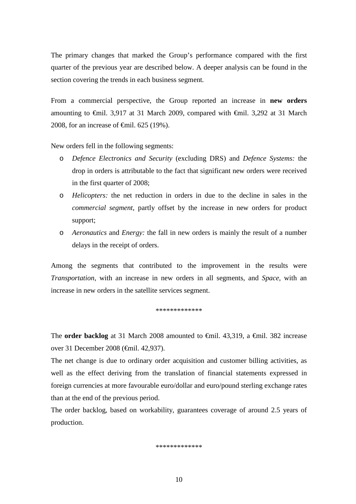The primary changes that marked the Group's performance compared with the first quarter of the previous year are described below. A deeper analysis can be found in the section covering the trends in each business segment*.*

From a commercial perspective, the Group reported an increase in **new orders** amounting to €mil. 3,917 at 31 March 2009, compared with €mil. 3,292 at 31 March 2008, for an increase of  $\epsilon$ mil. 625 (19%).

New orders fell in the following segments:

- o *Defence Electronics and Security* (excluding DRS) and *Defence Systems:* the drop in orders is attributable to the fact that significant new orders were received in the first quarter of 2008;
- o *Helicopters:* the net reduction in orders in due to the decline in sales in the *commercial segment*, partly offset by the increase in new orders for product support;
- o *Aeronautics* and *Energy:* the fall in new orders is mainly the result of a number delays in the receipt of orders.

Among the segments that contributed to the improvement in the results were *Transportation,* with an increase in new orders in all segments, and *Space,* with an increase in new orders in the satellite services segment.

\*\*\*\*\*\*\*\*\*\*\*\*\*

The **order backlog** at 31 March 2008 amounted to €mil. 43,319, a €mil. 382 increase over 31 December 2008 (€mil. 42,937).

The net change is due to ordinary order acquisition and customer billing activities, as well as the effect deriving from the translation of financial statements expressed in foreign currencies at more favourable euro/dollar and euro/pound sterling exchange rates than at the end of the previous period.

The order backlog, based on workability, guarantees coverage of around 2.5 years of production.

\*\*\*\*\*\*\*\*\*\*\*\*\*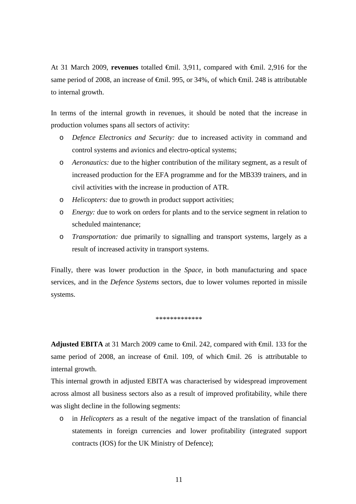At 31 March 2009, **revenues** totalled €mil. 3,911, compared with €mil. 2,916 for the same period of 2008, an increase of €mil. 995, or 34%, of which €mil. 248 is attributable to internal growth.

In terms of the internal growth in revenues, it should be noted that the increase in production volumes spans all sectors of activity:

- o *Defence Electronics and Security:* due to increased activity in command and control systems and avionics and electro-optical systems;
- o *Aeronautics:* due to the higher contribution of the military segment, as a result of increased production for the EFA programme and for the MB339 trainers, and in civil activities with the increase in production of ATR*.*
- o *Helicopters:* due to growth in product support activities;
- o *Energy:* due to work on orders for plants and to the service segment in relation to scheduled maintenance;
- o *Transportation:* due primarily to signalling and transport systems, largely as a result of increased activity in transport systems.

Finally, there was lower production in the *Space*, in both manufacturing and space services, and in the *Defence Systems* sectors*,* due to lower volumes reported in missile systems.

#### \*\*\*\*\*\*\*\*\*\*\*\*\*

**Adjusted EBITA** at 31 March 2009 came to  $\epsilon$ mil. 242, compared with  $\epsilon$ mil. 133 for the same period of 2008, an increase of  $\epsilon$ mil. 109, of which  $\epsilon$ mil. 26 is attributable to internal growth.

This internal growth in adjusted EBITA was characterised by widespread improvement across almost all business sectors also as a result of improved profitability, while there was slight decline in the following segments:

o in *Helicopters* as a result of the negative impact of the translation of financial statements in foreign currencies and lower profitability (integrated support contracts (IOS) for the UK Ministry of Defence);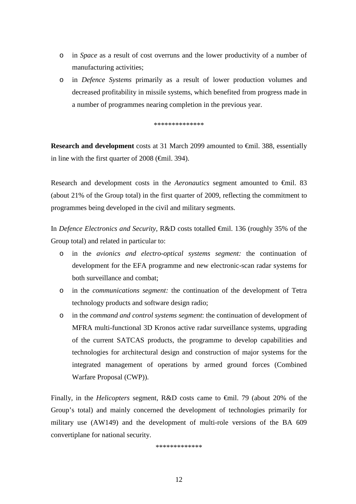- o in *Space* as a result of cost overruns and the lower productivity of a number of manufacturing activities;
- o in *Defence Systems* primarily as a result of lower production volumes and decreased profitability in missile systems, which benefited from progress made in a number of programmes nearing completion in the previous year.

\*\*\*\*\*\*\*\*\*\*\*\*

**Research and development** costs at 31 March 2099 amounted to €mil. 388, essentially in line with the first quarter of 2008 ( $\epsilon$ mil. 394).

Research and development costs in the *Aeronautics* segment amounted to €mil. 83 (about 21% of the Group total) in the first quarter of 2009, reflecting the commitment to programmes being developed in the civil and military segments.

In *Defence Electronics and Security,* R&D costs totalled €mil. 136 (roughly 35% of the Group total) and related in particular to:

- o in the *avionics and electro-optical systems segment:* the continuation of development for the EFA programme and new electronic-scan radar systems for both surveillance and combat;
- o in the *communications segment:* the continuation of the development of Tetra technology products and software design radio;
- o in the *command and control systems segment*: the continuation of development of MFRA multi-functional 3D Kronos active radar surveillance systems, upgrading of the current SATCAS products, the programme to develop capabilities and technologies for architectural design and construction of major systems for the integrated management of operations by armed ground forces (Combined Warfare Proposal (CWP)).

Finally, in the *Helicopters* segment*,* R&D costs came to €mil. 79 (about 20% of the Group's total) and mainly concerned the development of technologies primarily for military use (AW149) and the development of multi-role versions of the BA 609 convertiplane for national security.

\*\*\*\*\*\*\*\*\*\*\*\*\*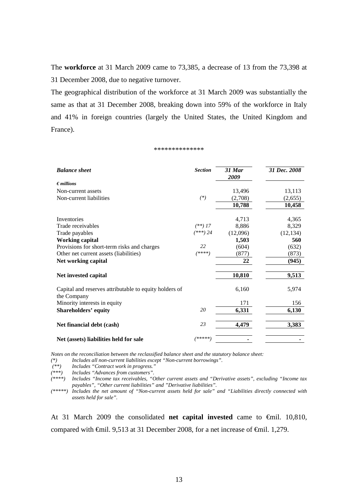The **workforce** at 31 March 2009 came to 73,385, a decrease of 13 from the 73,398 at 31 December 2008, due to negative turnover.

The geographical distribution of the workforce at 31 March 2009 was substantially the same as that at 31 December 2008, breaking down into 59% of the workforce in Italy and 41% in foreign countries (largely the United States, the United Kingdom and France).

#### \*\*\*\*\*\*\*\*\*\*\*\*\*\*

| <b>Balance</b> sheet                                                  | <b>Section</b> | 31 Mar<br>2009 | 31 Dec. 2008 |
|-----------------------------------------------------------------------|----------------|----------------|--------------|
| $\epsilon$ millions                                                   |                |                |              |
| Non-current assets                                                    |                | 13,496         | 13,113       |
| Non-current liabilities                                               | $(*)$          | (2,708)        | (2,655)      |
|                                                                       |                | 10,788         | 10,458       |
| Inventories                                                           |                | 4,713          | 4,365        |
| Trade receivables                                                     | $(**)$ 17      | 8,886          | 8,329        |
| Trade payables                                                        | $(***)$ 24     | (12,096)       | (12, 134)    |
| <b>Working capital</b>                                                |                | 1,503          | 560          |
| Provisions for short-term risks and charges                           | 22             | (604)          | (632)        |
| Other net current assets (liabilities)                                | (****)         | (877)          | (873)        |
| Net working capital                                                   |                | 22             | (945)        |
| Net invested capital                                                  |                | 10,810         | 9,513        |
| Capital and reserves attributable to equity holders of<br>the Company |                | 6,160          | 5,974        |
| Minority interests in equity                                          |                | 171            | 156          |
| Shareholders' equity                                                  | 20             | 6,331          | 6,130        |
| Net financial debt (cash)                                             | 23             | 4,479          | 3,383        |
| Net (assets) liabilities held for sale                                | *****          |                |              |

*Notes on the reconciliation between the reclassified balance sheet and the statutory balance sheet:* 

*(\*) Includes all non-current liabilities except "Non-current borrowings".* 

 *(\*\*) Includes "Contract work in progress."* 

*(\*\*\*) Includes "Advances from customers".* 

*(\*\*\*\*) Includes "Income tax receivables, "Other current assets and "Derivative assets", excluding "Income tax payables", "Other current liabilities" and "Derivative liabilities".* 

*(\*\*\*\*\*) Includes the net amount of "Non-current assets held for sale" and "Liabilities directly connected with assets held for sale".* 

At 31 March 2009 the consolidated **net capital invested** came to €mil. 10,810, compared with  $\epsilon$ mil. 9,513 at 31 December 2008, for a net increase of  $\epsilon$ mil. 1,279.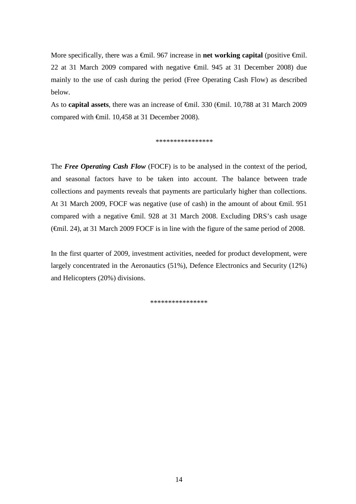More specifically, there was a  $\epsilon$ mil. 967 increase in **net working capital** (positive  $\epsilon$ mil. 22 at 31 March 2009 compared with negative  $\epsilon$ mil. 945 at 31 December 2008) due mainly to the use of cash during the period (Free Operating Cash Flow) as described below.

As to **capital assets**, there was an increase of  $\epsilon$ mil. 330 ( $\epsilon$ mil. 10,788 at 31 March 2009) compared with  $\epsilon$ mil. 10,458 at 31 December 2008).

\*\*\*\*\*\*\*\*\*\*\*\*\*\*\*\*

The *Free Operating Cash Flow* (FOCF) is to be analysed in the context of the period, and seasonal factors have to be taken into account. The balance between trade collections and payments reveals that payments are particularly higher than collections. At 31 March 2009, FOCF was negative (use of cash) in the amount of about  $\epsilon$ mil. 951 compared with a negative  $\epsilon$ mil. 928 at 31 March 2008 Excluding DRS's cash usage (€mil. 24), at 31 March 2009 FOCF is in line with the figure of the same period of 2008.

In the first quarter of 2009, investment activities, needed for product development, were largely concentrated in the Aeronautics (51%), Defence Electronics and Security (12%) and Helicopters (20%) divisions.

\*\*\*\*\*\*\*\*\*\*\*\*\*\*\*\*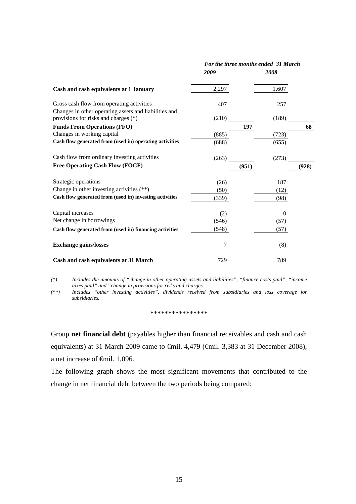|                                                                                                    | For the three months ended 31 March |          |       |  |  |
|----------------------------------------------------------------------------------------------------|-------------------------------------|----------|-------|--|--|
|                                                                                                    | 2009                                | 2008     |       |  |  |
| Cash and cash equivalents at 1 January                                                             | 2,297                               | 1,607    |       |  |  |
| Gross cash flow from operating activities<br>Changes in other operating assets and liabilities and | 407                                 | 257      |       |  |  |
| provisions for risks and charges (*)                                                               | (210)                               | (189)    |       |  |  |
| <b>Funds From Operations (FFO)</b>                                                                 |                                     | 197      | 68    |  |  |
| Changes in working capital                                                                         | (885)                               | (723)    |       |  |  |
| Cash flow generated from (used in) operating activities                                            | (688)                               | (655)    |       |  |  |
| Cash flow from ordinary investing activities                                                       | (263)                               | (273)    |       |  |  |
| <b>Free Operating Cash Flow (FOCF)</b>                                                             |                                     | (951)    | (928) |  |  |
| Strategic operations                                                                               | (26)                                | 187      |       |  |  |
| Change in other investing activities $(**)$                                                        | (50)                                | (12)     |       |  |  |
| Cash flow generated from (used in) investing activities                                            | (339)                               | (98)     |       |  |  |
| Capital increases                                                                                  | (2)                                 | $\theta$ |       |  |  |
| Net change in borrowings                                                                           | (546)                               | (57)     |       |  |  |
| Cash flow generated from (used in) financing activities                                            | (548)                               | (57)     |       |  |  |
| <b>Exchange gains/losses</b>                                                                       | 7                                   | (8)      |       |  |  |
| Cash and cash equivalents at 31 March                                                              | 729                                 | 789      |       |  |  |

*(\*) Includes the amounts of "change in other operating assets and liabilities", "finance costs paid", "income taxes paid" and "change in provisions for risks and charges".* 

*(\*\*) Includes "other investing activities", dividends received from subsidiaries and loss coverage for subsidiaries.* 

#### \*\*\*\*\*\*\*\*\*\*\*\*\*\*\*\*

Group **net financial debt** (payables higher than financial receivables and cash and cash equivalents) at 31 March 2009 came to €mil. 4,479 (€mil. 3,383 at 31 December 2008), a net increase of €mil. 1,096.

The following graph shows the most significant movements that contributed to the change in net financial debt between the two periods being compared: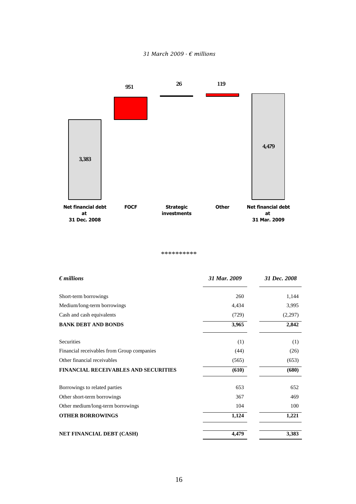31 March 2009 -  $\epsilon$  millions



#### \*\*\*\*\*\*\*\*\*\*

| $\epsilon$ millions                         | 31 Mar. 2009 | 31 Dec. 2008 |
|---------------------------------------------|--------------|--------------|
| Short-term borrowings                       | 260          | 1,144        |
| Medium/long-term borrowings                 | 4,434        | 3,995        |
| Cash and cash equivalents                   | (729)        | (2,297)      |
| <b>BANK DEBT AND BONDS</b>                  | 3,965        | 2,842        |
| Securities                                  | (1)          | (1)          |
| Financial receivables from Group companies  | (44)         | (26)         |
| Other financial receivables                 | (565)        | (653)        |
| <b>FINANCIAL RECEIVABLES AND SECURITIES</b> | (610)        | (680)        |
| Borrowings to related parties               | 653          | 652          |
| Other short-term borrowings                 | 367          | 469          |
| Other medium/long-term borrowings           | 104          | 100          |
| <b>OTHER BORROWINGS</b>                     | 1,124        | 1,221        |
| NET FINANCIAL DEBT (CASH)                   | 4,479        | 3,383        |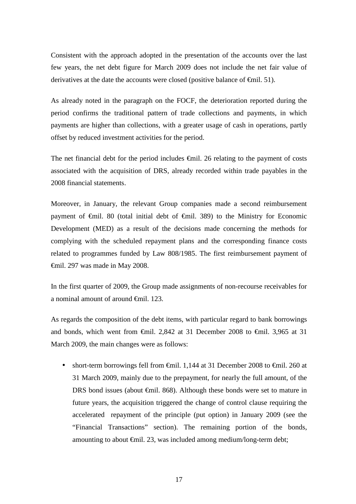Consistent with the approach adopted in the presentation of the accounts over the last few years, the net debt figure for March 2009 does not include the net fair value of derivatives at the date the accounts were closed (positive balance of  $\epsilon$ mil. 51).

As already noted in the paragraph on the FOCF, the deterioration reported during the period confirms the traditional pattern of trade collections and payments, in which payments are higher than collections, with a greater usage of cash in operations, partly offset by reduced investment activities for the period.

The net financial debt for the period includes  $\epsilon$ mil 26 relating to the payment of costs associated with the acquisition of DRS, already recorded within trade payables in the 2008 financial statements.

Moreover, in January, the relevant Group companies made a second reimbursement payment of €mil. 80 (total initial debt of €mil. 39) to the Ministry for Economic Development (MED) as a result of the decisions made concerning the methods for complying with the scheduled repayment plans and the corresponding finance costs related to programmes funded by Law 808/1985. The first reimbursement payment of €mil. 297 was made in May 2008.

In the first quarter of 2009, the Group made assignments of non-recourse receivables for a nominal amount of around  $\epsilon$ mil. 123.

As regards the composition of the debt items, with particular regard to bank borrowings and bonds, which went from  $\epsilon$ mil. 2,842 at 31 December 2008 to  $\epsilon$ mil. 3,965 at 31 March 2009, the main changes were as follows:

• short-term borrowings fell from  $\epsilon$ mil. 1,144 at 31 December 2008 to  $\epsilon$ mil. 260 at 31 March 2009, mainly due to the prepayment, for nearly the full amount, of the DRS bond issues (about  $\epsilon$ mil. 868). Although these bonds were set to mature in future years, the acquisition triggered the change of control clause requiring the accelerated repayment of the principle (put option) in January 2009 (see the "Financial Transactions" section). The remaining portion of the bonds, amounting to about  $\epsilon$ mil. 23, was included among medum/long-term debt;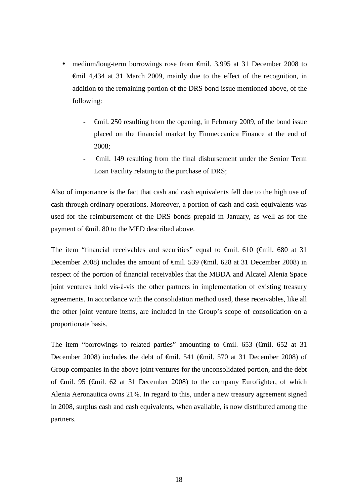- medium/long-term borrowings rose from  $\epsilon$ mil. 3,995 at 31 December 2008 to €mil 4,434 at 31 March 2009, mainly due to the effect of the recognition, in addition to the remaining portion of the DRS bond issue mentioned above, of the following:
	- $\epsilon$  =  $\epsilon$ mil. 250 resulting from the opening, in February 2009, of the bond issue placed on the financial market by Finmeccanica Finance at the end of 2008;
	- $\epsilon$  =  $\epsilon$ mil. 149 resulting from the final disbursement under the Senior Term Loan Facility relating to the purchase of DRS;

Also of importance is the fact that cash and cash equivalents fell due to the high use of cash through ordinary operations. Moreover, a portion of cash and cash equivalents was used for the reimbursement of the DRS bonds prepaid in January, as well as for the payment of €mil. 80 to the MED described above.

The item "financial receivables and securities" equal to  $\epsilon$ mil. 610 ( $\epsilon$ mil. 680 at 31 December 2008) includes the amount of  $\epsilon$ mil. 539 ( $\epsilon$ mil. 628 at 31 December 2008) in respect of the portion of financial receivables that the MBDA and Alcatel Alenia Space joint ventures hold vis-à-vis the other partners in implementation of existing treasury agreements. In accordance with the consolidation method used, these receivables, like all the other joint venture items, are included in the Group's scope of consolidation on a proportionate basis.

The item "borrowings to related parties" amounting to  $\epsilon$ mil. 653 ( $\epsilon$ mil. 652 at 31 December 2008) includes the debt of  $\epsilon$ mil. 541 ( $\epsilon$ mil 570 at 31 December 2008) of Group companies in the above joint ventures for the unconsolidated portion, and the debt of €mil. 95 (€mil. 62 at 31 December 2008) to the ompany Eurofighter, of which Alenia Aeronautica owns 21%. In regard to this, under a new treasury agreement signed in 2008, surplus cash and cash equivalents, when available, is now distributed among the partners.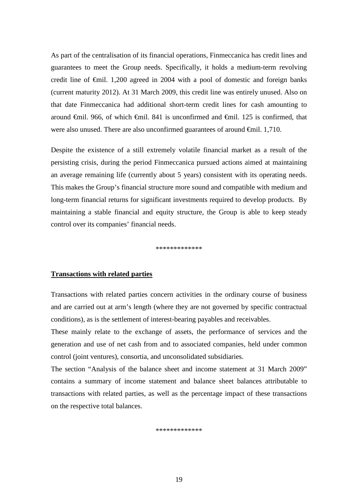As part of the centralisation of its financial operations, Finmeccanica has credit lines and guarantees to meet the Group needs. Specifically, it holds a medium-term revolving credit line of  $\epsilon$ mil. 1,200 agreed in 2004 with a pool of domestic and foreign banks (current maturity 2012). At 31 March 2009, this credit line was entirely unused. Also on that date Finmeccanica had additional short-term credit lines for cash amounting to around €mil. 966, of which €mil. 841 is unconfirmed and €mil. 125 is confirmed, that were also unused. There are also unconfirmed guarantees of around €mil. 1,710.

Despite the existence of a still extremely volatile financial market as a result of the persisting crisis, during the period Finmeccanica pursued actions aimed at maintaining an average remaining life (currently about 5 years) consistent with its operating needs. This makes the Group's financial structure more sound and compatible with medium and long-term financial returns for significant investments required to develop products. By maintaining a stable financial and equity structure, the Group is able to keep steady control over its companies' financial needs.

\*\*\*\*\*\*\*\*\*\*\*\*\*\*\*\*\*

## **Transactions with related parties**

Transactions with related parties concern activities in the ordinary course of business and are carried out at arm's length (where they are not governed by specific contractual conditions), as is the settlement of interest-bearing payables and receivables.

These mainly relate to the exchange of assets, the performance of services and the generation and use of net cash from and to associated companies, held under common control (joint ventures), consortia, and unconsolidated subsidiaries.

The section "Analysis of the balance sheet and income statement at 31 March 2009" contains a summary of income statement and balance sheet balances attributable to transactions with related parties, as well as the percentage impact of these transactions on the respective total balances.

\*\*\*\*\*\*\*\*\*\*\*\*\*\*\*\*\*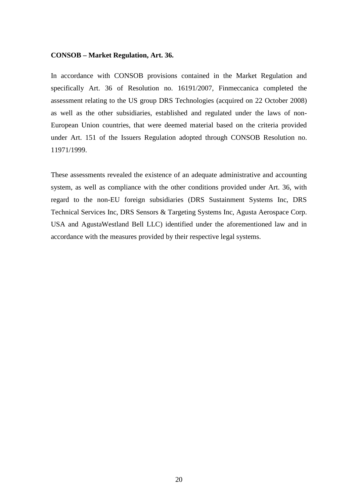### **CONSOB – Market Regulation, Art. 36.**

In accordance with CONSOB provisions contained in the Market Regulation and specifically Art. 36 of Resolution no. 16191/2007, Finmeccanica completed the assessment relating to the US group DRS Technologies (acquired on 22 October 2008) as well as the other subsidiaries, established and regulated under the laws of non-European Union countries, that were deemed material based on the criteria provided under Art. 151 of the Issuers Regulation adopted through CONSOB Resolution no. 11971/1999.

These assessments revealed the existence of an adequate administrative and accounting system, as well as compliance with the other conditions provided under Art. 36, with regard to the non-EU foreign subsidiaries (DRS Sustainment Systems Inc, DRS Technical Services Inc, DRS Sensors & Targeting Systems Inc, Agusta Aerospace Corp. USA and AgustaWestland Bell LLC) identified under the aforementioned law and in accordance with the measures provided by their respective legal systems.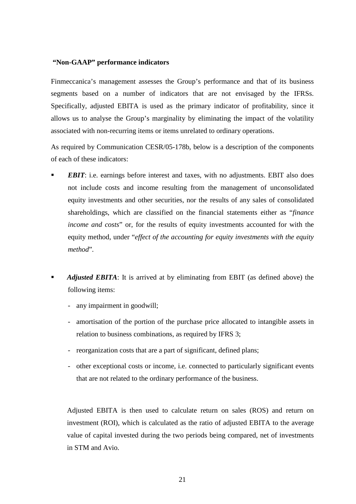## **"Non-GAAP" performance indicators**

Finmeccanica's management assesses the Group's performance and that of its business segments based on a number of indicators that are not envisaged by the IFRSs. Specifically, adjusted EBITA is used as the primary indicator of profitability, since it allows us to analyse the Group's marginality by eliminating the impact of the volatility associated with non-recurring items or items unrelated to ordinary operations.

As required by Communication CESR/05-178b, below is a description of the components of each of these indicators:

- *EBIT*: i.e. earnings before interest and taxes, with no adjustments. EBIT also does not include costs and income resulting from the management of unconsolidated equity investments and other securities, nor the results of any sales of consolidated shareholdings, which are classified on the financial statements either as "*finance income and costs*" or, for the results of equity investments accounted for with the equity method, under "*effect of the accounting for equity investments with the equity method*"*.*
- *Adjusted EBITA*: It is arrived at by eliminating from EBIT (as defined above) the following items:
	- any impairment in goodwill;
	- amortisation of the portion of the purchase price allocated to intangible assets in relation to business combinations, as required by IFRS 3;
	- reorganization costs that are a part of significant, defined plans;
	- other exceptional costs or income, i.e. connected to particularly significant events that are not related to the ordinary performance of the business.

Adjusted EBITA is then used to calculate return on sales (ROS) and return on investment (ROI), which is calculated as the ratio of adjusted EBITA to the average value of capital invested during the two periods being compared, net of investments in STM and Avio.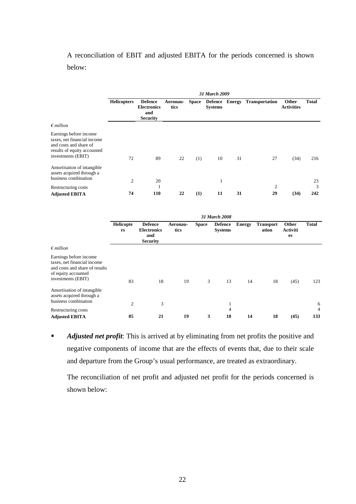A reconciliation of EBIT and adjusted EBITA for the periods concerned is shown below:

|                                                                                                                                      | 31 March 2009      |                                                                |                  |              |                                  |    |                       |                            |              |
|--------------------------------------------------------------------------------------------------------------------------------------|--------------------|----------------------------------------------------------------|------------------|--------------|----------------------------------|----|-----------------------|----------------------------|--------------|
|                                                                                                                                      | <b>Helicopters</b> | <b>Defence</b><br><b>Electronics</b><br>and<br><b>Security</b> | Aeronau-<br>tics | <b>Space</b> | Defence Energy<br><b>Systems</b> |    | <b>Transportation</b> | Other<br><b>Activities</b> | <b>Total</b> |
| $\epsilon$ million                                                                                                                   |                    |                                                                |                  |              |                                  |    |                       |                            |              |
| Earnings before income<br>taxes, net financial income<br>and costs and share of<br>results of equity accounted<br>investments (EBIT) | 72                 | 89                                                             | 22               | (1)          | 10                               | 31 | 27                    | (34)                       | 216          |
| Amortisation of intangible<br>assets acquired through a<br>business combination                                                      | $\overline{c}$     | 20                                                             |                  |              | 1                                |    |                       |                            | 23           |
| Restructuring costs<br><b>Adjusted EBITA</b>                                                                                         | 74                 | 110                                                            | 22               | (1)          | 11                               | 31 | $\overline{2}$<br>29  | (34)                       | 3<br>242     |

|                                                                                                                                      | 31 March 2008   |                                                                |                  |              |                                  |               |                           |                         |                       |
|--------------------------------------------------------------------------------------------------------------------------------------|-----------------|----------------------------------------------------------------|------------------|--------------|----------------------------------|---------------|---------------------------|-------------------------|-----------------------|
|                                                                                                                                      | Helicopte<br>rs | <b>Defence</b><br><b>Electronics</b><br>and<br><b>Security</b> | Aeronau-<br>tics | <b>Space</b> | <b>Defence</b><br><b>Systems</b> | <b>Energy</b> | <b>Transport</b><br>ation | Other<br>Activiti<br>es | <b>Total</b>          |
| $\epsilon$ million                                                                                                                   |                 |                                                                |                  |              |                                  |               |                           |                         |                       |
| Earnings before income<br>taxes, net financial income<br>and costs and share of results<br>of equity accounted<br>investments (EBIT) | 83              | 18                                                             | 19               | 3            | 13                               | 14            | 18                        | (45)                    | 123                   |
| Amortisation of intangible<br>assets acquired through a<br>business combination                                                      | $\overline{2}$  | 3                                                              |                  |              | л.                               |               |                           |                         | 6                     |
| Restructuring costs<br><b>Adjusted EBITA</b>                                                                                         | 85              | 21                                                             | 19               | 3            | $\overline{4}$<br>18             | 14            | 18                        | (45)                    | $\overline{4}$<br>133 |

**Adjusted net profit:** This is arrived at by eliminating from net profits the positive and negative components of income that are the effects of events that, due to their scale and departure from the Group's usual performance, are treated as extraordinary.

The reconciliation of net profit and adjusted net profit for the periods concerned is shown below: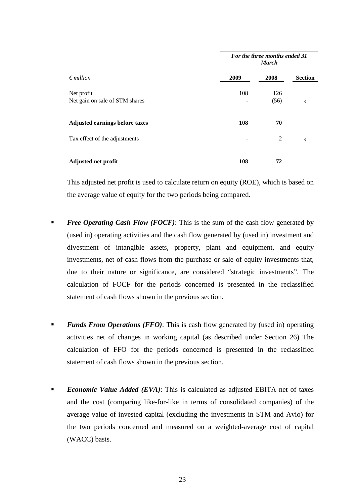|                                              | For the three months ended 31<br><b>March</b> |             |                |  |  |
|----------------------------------------------|-----------------------------------------------|-------------|----------------|--|--|
| $\epsilon$ million                           | 2009                                          | 2008        | <b>Section</b> |  |  |
| Net profit<br>Net gain on sale of STM shares | 108                                           | 126<br>(56) | $\overline{4}$ |  |  |
| <b>Adjusted earnings before taxes</b>        | 108                                           | 70          |                |  |  |
| Tax effect of the adjustments                |                                               | 2           | $\overline{4}$ |  |  |
| Adjusted net profit                          | 108                                           | 72          |                |  |  |

This adjusted net profit is used to calculate return on equity (ROE), which is based on the average value of equity for the two periods being compared.

- **Free Operating Cash Flow (FOCF):** This is the sum of the cash flow generated by (used in) operating activities and the cash flow generated by (used in) investment and divestment of intangible assets, property, plant and equipment, and equity investments, net of cash flows from the purchase or sale of equity investments that, due to their nature or significance, are considered "strategic investments". The calculation of FOCF for the periods concerned is presented in the reclassified statement of cash flows shown in the previous section.
- *Funds From Operations (FFO)*: This is cash flow generated by (used in) operating activities net of changes in working capital (as described under Section 26) The calculation of FFO for the periods concerned is presented in the reclassified statement of cash flows shown in the previous section.
- *Economic Value Added (EVA)*: This is calculated as adjusted EBITA net of taxes and the cost (comparing like-for-like in terms of consolidated companies) of the average value of invested capital (excluding the investments in STM and Avio) for the two periods concerned and measured on a weighted-average cost of capital (WACC) basis.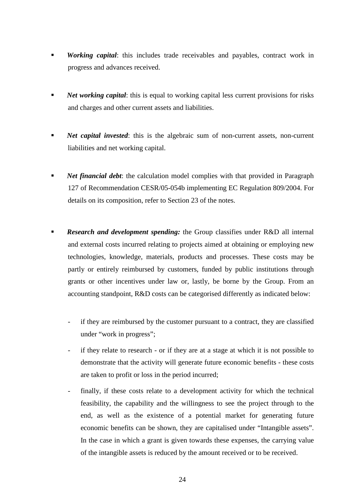- *Working capital*: this includes trade receivables and payables, contract work in progress and advances received.
- **Net working capital:** this is equal to working capital less current provisions for risks and charges and other current assets and liabilities.
- *Net capital invested*: this is the algebraic sum of non-current assets, non-current liabilities and net working capital.
- *Net financial debt*: the calculation model complies with that provided in Paragraph 127 of Recommendation CESR/05-054b implementing EC Regulation 809/2004. For details on its composition, refer to Section 23 of the notes.
- *Research and development spending:* the Group classifies under R&D all internal and external costs incurred relating to projects aimed at obtaining or employing new technologies, knowledge, materials, products and processes. These costs may be partly or entirely reimbursed by customers, funded by public institutions through grants or other incentives under law or, lastly, be borne by the Group. From an accounting standpoint, R&D costs can be categorised differently as indicated below:
	- if they are reimbursed by the customer pursuant to a contract, they are classified under "work in progress";
	- if they relate to research or if they are at a stage at which it is not possible to demonstrate that the activity will generate future economic benefits - these costs are taken to profit or loss in the period incurred;
	- finally, if these costs relate to a development activity for which the technical feasibility, the capability and the willingness to see the project through to the end, as well as the existence of a potential market for generating future economic benefits can be shown, they are capitalised under "Intangible assets". In the case in which a grant is given towards these expenses, the carrying value of the intangible assets is reduced by the amount received or to be received.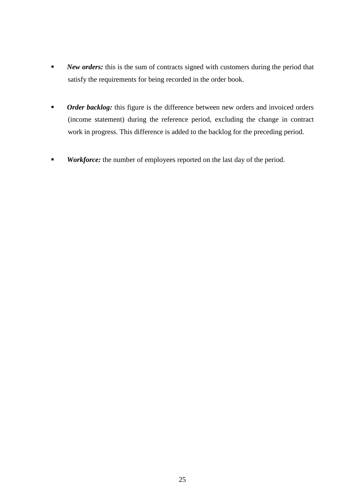- **New orders:** this is the sum of contracts signed with customers during the period that satisfy the requirements for being recorded in the order book.
- **•** *Order backlog:* this figure is the difference between new orders and invoiced orders (income statement) during the reference period, excluding the change in contract work in progress. This difference is added to the backlog for the preceding period.
- **Workforce:** the number of employees reported on the last day of the period.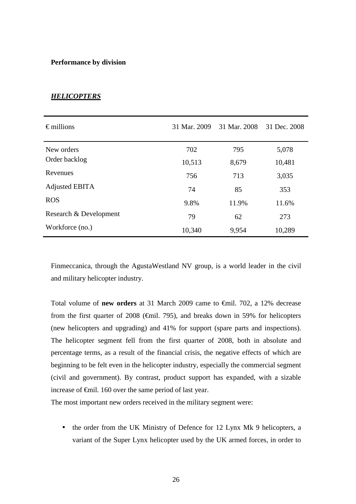## **Performance by division**

| $\epsilon$ millions    | 31 Mar. 2009 | 31 Mar. 2008 | 31 Dec. 2008 |
|------------------------|--------------|--------------|--------------|
| New orders             | 702          | 795          | 5,078        |
| Order backlog          | 10,513       | 8,679        | 10,481       |
| Revenues               | 756          | 713          | 3,035        |
| Adjusted EBITA         | 74           | 85           | 353          |
| <b>ROS</b>             | 9.8%         | 11.9%        | 11.6%        |
| Research & Development | 79           | 62           | 273          |
| Workforce (no.)        | 10,340       | 9,954        | 10,289       |

## *HELICOPTERS*

Finmeccanica, through the AgustaWestland NV group, is a world leader in the civil and military helicopter industry.

Total volume of **new orders** at 31 March 2009 came to €mil. 702, a 12% decrease from the first quarter of 2008 ( $\epsilon$ mil. 795), and breaks down in 59% for helicopters (new helicopters and upgrading) and 41% for support (spare parts and inspections). The helicopter segment fell from the first quarter of 2008, both in absolute and percentage terms, as a result of the financial crisis, the negative effects of which are beginning to be felt even in the helicopter industry, especially the commercial segment (civil and government). By contrast, product support has expanded, with a sizable increase of  $\epsilon$ mil. 160 over the same period of lastyear.

The most important new orders received in the military segment were:

• the order from the UK Ministry of Defence for 12 Lynx Mk 9 helicopters, a variant of the Super Lynx helicopter used by the UK armed forces, in order to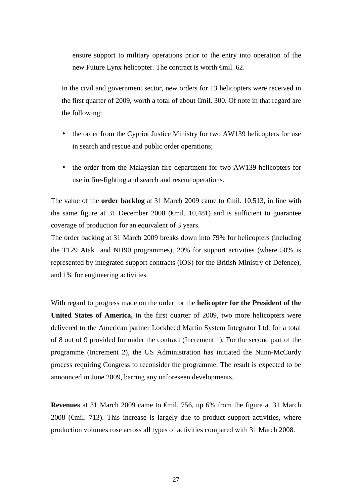ensure support to military operations prior to the entry into operation of the new Future Lynx helicopter. The contract is worth €mil. 62.

In the civil and government sector, new orders for 13 helicopters were received in the first quarter of 2009, worth a total of about €mil. 300. Of note in that regard are the following:

- the order from the Cypriot Justice Ministry for two AW139 helicopters for use in search and rescue and public order operations;
- the order from the Malaysian fire department for two AW139 helicopters for use in fire-fighting and search and rescue operations.

The value of the **order backlog** at 31 March 2009 came to €mil. 10,513, in line with the same figure at 31 December 2008 ( $\epsilon$ mil. 10,481) and is sufficient to guarantee coverage of production for an equivalent of 3 years.

The order backlog at 31 March 2009 breaks down into 79% for helicopters (including the T129 Atak and NH90 programmes), 20% for support activities (where 50% is represented by integrated support contracts (IOS) for the British Ministry of Defence), and 1% for engineering activities.

With regard to progress made on the order for the **helicopter for the President of the United States of America,** in the first quarter of 2009, two more helicopters were delivered to the American partner Lockheed Martin System Integrator Ltd, for a total of 8 out of 9 provided for under the contract (Increment 1). For the second part of the programme (Increment 2), the US Administration has initiated the Nunn-McCurdy process requiring Congress to reconsider the programme. The result is expected to be announced in June 2009, barring any unforeseen developments.

**Revenues** at 31 March 2009 came to €mil. 756, up 6% from the figure at 31 March 2008 ( $\epsilon$ mil. 713). This increase is largely due to product support activities, where production volumes rose across all types of activities compared with 31 March 2008.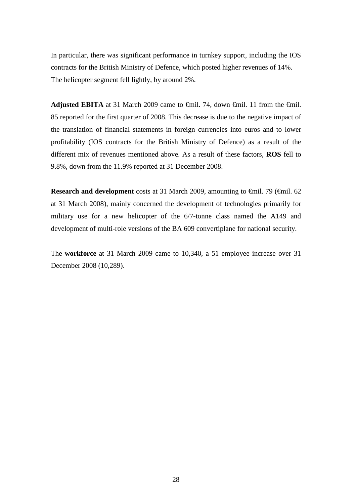In particular, there was significant performance in turnkey support, including the IOS contracts for the British Ministry of Defence, which posted higher revenues of 14%. The helicopter segment fell lightly, by around 2%.

Adjusted EBITA at 31 March 2009 came to  $\epsilon$ mil. 74, down  $\epsilon$ mil. 11 from the  $\epsilon$ mil. 85 reported for the first quarter of 2008. This decrease is due to the negative impact of the translation of financial statements in foreign currencies into euros and to lower profitability (IOS contracts for the British Ministry of Defence) as a result of the different mix of revenues mentioned above. As a result of these factors, **ROS** fell to 9.8%, down from the 11.9% reported at 31 December 2008.

**Research and development** costs at 31 March 2009, amounting to  $\epsilon$ mil. 79 ( $\epsilon$ mil. 62 at 31 March 2008), mainly concerned the development of technologies primarily for military use for a new helicopter of the 6/7-tonne class named the A149 and development of multi-role versions of the BA 609 convertiplane for national security.

The **workforce** at 31 March 2009 came to 10,340, a 51 employee increase over 31 December 2008 (10,289).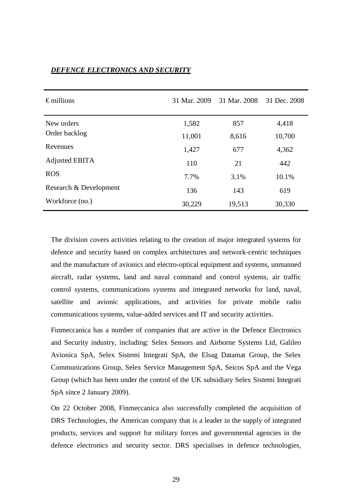| $\epsilon$ millions    | 31 Mar. 2009 | 31 Mar. 2008 | 31 Dec. 2008 |
|------------------------|--------------|--------------|--------------|
| New orders             | 1,582        | 857          | 4,418        |
| Order backlog          | 11,001       | 8,616        | 10,700       |
| Revenues               | 1,427        | 677          | 4,362        |
| Adjusted EBITA         | 110          | 21           | 442          |
| <b>ROS</b>             | 7.7%         | 3.1%         | 10.1%        |
| Research & Development | 136          | 143          | 619          |
| Workforce (no.)        | 30,229       | 19,513       | 30,330       |

## *DEFENCE ELECTRONICS AND SECURITY*

The division covers activities relating to the creation of major integrated systems for defence and security based on complex architectures and network-centric techniques and the manufacture of avionics and electro-optical equipment and systems, unmanned aircraft, radar systems, land and naval command and control systems, air traffic control systems, communications systems and integrated networks for land, naval, satellite and avionic applications, and activities for private mobile radio communications systems, value-added services and IT and security activities.

Finmeccanica has a number of companies that are active in the Defence Electronics and Security industry, including: Selex Sensors and Airborne Systems Ltd, Galileo Avionica SpA, Selex Sistemi Integrati SpA, the Elsag Datamat Group, the Selex Communications Group, Selex Service Management SpA, Seicos SpA and the Vega Group (which has been under the control of the UK subsidiary Selex Sistemi Integrati SpA since 2 January 2009).

On 22 October 2008, Finmeccanica also successfully completed the acquisition of DRS Technologies, the American company that is a leader in the supply of integrated products, services and support for military forces and governmental agencies in the defence electronics and security sector. DRS specialises in defence technologies,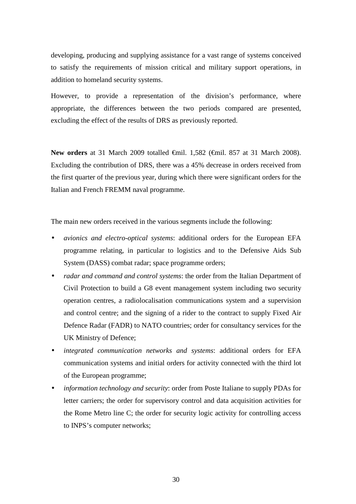developing, producing and supplying assistance for a vast range of systems conceived to satisfy the requirements of mission critical and military support operations, in addition to homeland security systems.

However, to provide a representation of the division's performance, where appropriate, the differences between the two periods compared are presented, excluding the effect of the results of DRS as previously reported.

New orders at 31 March 2009 totalled €mil. 1,582 (€mil. 857 a 31 March 2008). Excluding the contribution of DRS, there was a 45% decrease in orders received from the first quarter of the previous year, during which there were significant orders for the Italian and French FREMM naval programme.

The main new orders received in the various segments include the following:

- *avionics and electro-optical systems*: additional orders for the European EFA programme relating, in particular to logistics and to the Defensive Aids Sub System (DASS) combat radar; space programme orders;
- *radar and command and control systems*: the order from the Italian Department of Civil Protection to build a G8 event management system including two security operation centres, a radiolocalisation communications system and a supervision and control centre; and the signing of a rider to the contract to supply Fixed Air Defence Radar (FADR) to NATO countries; order for consultancy services for the UK Ministry of Defence;
- *integrated communication networks and systems*: additional orders for EFA communication systems and initial orders for activity connected with the third lot of the European programme;
- *information technology and security*: order from Poste Italiane to supply PDAs for letter carriers; the order for supervisory control and data acquisition activities for the Rome Metro line C; the order for security logic activity for controlling access to INPS's computer networks;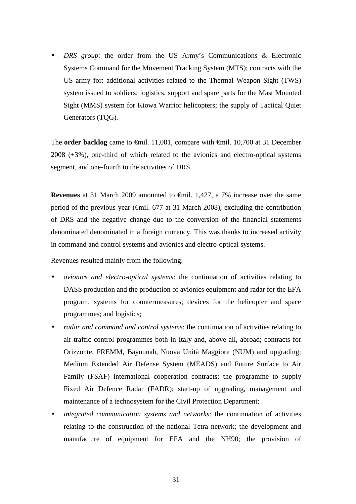• *DRS group*: the order from the US Army's Communications & Electronic Systems Command for the Movement Tracking System (MTS); contracts with the US army for: additional activities related to the Thermal Weapon Sight (TWS) system issued to soldiers; logistics, support and spare parts for the Mast Mounted Sight (MMS) system for Kiowa Warrior helicopters; the supply of Tactical Quiet Generators (TOG).

The **order backlog** came to  $\epsilon$ mil. 11,001, compare with  $\epsilon$ mil. 10,700 at 31 December 2008 (+3%), one-third of which related to the avionics and electro-optical systems segment, and one-fourth to the activities of DRS.

**Revenues** at 31 March 2009 amounted to €mil. 1,427, a 7% increase over the same period of the previous year ( $\epsilon$ mil. 677 at 31 March 2008), excluding the contribution of DRS and the negative change due to the conversion of the financial statements denominated denominated in a foreign currency. This was thanks to increased activity in command and control systems and avionics and electro-optical systems.

Revenues resulted mainly from the following:

- *avionics and electro-optical systems*: the continuation of activities relating to DASS production and the production of avionics equipment and radar for the EFA program; systems for countermeasures; devices for the helicopter and space programmes; and logistics;
- *radar and command and control systems*: the continuation of activities relating to air traffic control programmes both in Italy and, above all, abroad; contracts for Orizzonte, FREMM, Baynunah, Nuova Unità Maggiore (NUM) and upgrading; Medium Extended Air Defense System (MEADS) and Future Surface to Air Family (FSAF) international cooperation contracts; the programme to supply Fixed Air Defence Radar (FADR); start-up of upgrading, management and maintenance of a technosystem for the Civil Protection Department;
- *integrated communication systems and networks*: the continuation of activities relating to the construction of the national Tetra network; the development and manufacture of equipment for EFA and the NH90; the provision of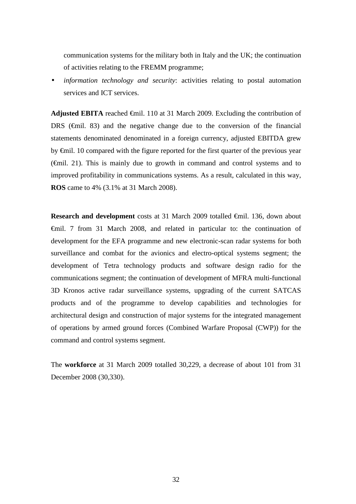communication systems for the military both in Italy and the UK; the continuation of activities relating to the FREMM programme;

• *information technology and security*: activities relating to postal automation services and ICT services.

Adjusted EBITA reached  $\epsilon$ mil. 110 at 31 March 2009. Excluding the contribution of DRS ( $\epsilon$ mil. 83) and the negative change due to the conversion of the financial statements denominated denominated in a foreign currency, adjusted EBITDA grew by  $\epsilon$ mil. 10 compared with the figure reported for the first quarter of the previous year (€mil. 21). This is mainly due to growth in command and control systems and to improved profitability in communications systems. As a result, calculated in this way, **ROS** came to 4% (3.1% at 31 March 2008).

**Research and development** costs at 31 March 2009 totalled €mil. 136, down about  $\epsilon$ mil. 7 from 31 March 2008, and related in particular to: the continuation of development for the EFA programme and new electronic-scan radar systems for both surveillance and combat for the avionics and electro-optical systems segment; the development of Tetra technology products and software design radio for the communications segment; the continuation of development of MFRA multi-functional 3D Kronos active radar surveillance systems, upgrading of the current SATCAS products and of the programme to develop capabilities and technologies for architectural design and construction of major systems for the integrated management of operations by armed ground forces (Combined Warfare Proposal (CWP)) for the command and control systems segment.

The **workforce** at 31 March 2009 totalled 30,229, a decrease of about 101 from 31 December 2008 (30,330).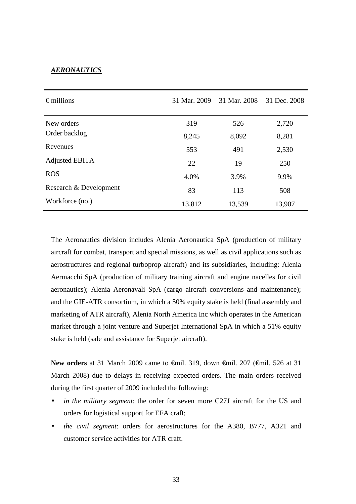## *AERONAUTICS*

| $\epsilon$ millions    | 31 Mar. 2009 | 31 Mar. 2008 | 31 Dec. 2008 |
|------------------------|--------------|--------------|--------------|
| New orders             | 319          | 526          | 2,720        |
| Order backlog          | 8,245        | 8,092        | 8,281        |
| Revenues               | 553          | 491          | 2,530        |
| Adjusted EBITA         | 22           | 19           | 250          |
| <b>ROS</b>             | 4.0%         | 3.9%         | 9.9%         |
| Research & Development | 83           | 113          | 508          |
| Workforce (no.)        | 13,812       | 13,539       | 13,907       |

The Aeronautics division includes Alenia Aeronautica SpA (production of military aircraft for combat, transport and special missions, as well as civil applications such as aerostructures and regional turboprop aircraft) and its subsidiaries, including: Alenia Aermacchi SpA (production of military training aircraft and engine nacelles for civil aeronautics); Alenia Aeronavali SpA (cargo aircraft conversions and maintenance); and the GIE-ATR consortium, in which a 50% equity stake is held (final assembly and marketing of ATR aircraft), Alenia North America Inc which operates in the American market through a joint venture and Superjet International SpA in which a 51% equity stake is held (sale and assistance for Superjet aircraft).

**New orders** at 31 March 2009 came to €mil. 319, down €mil. 207(€mil. 526 at 31 March 2008) due to delays in receiving expected orders. The main orders received during the first quarter of 2009 included the following:

- *in the military segment*: the order for seven more C27J aircraft for the US and orders for logistical support for EFA craft;
- *the civil segment*: orders for aerostructures for the A380, B777, A321 and customer service activities for ATR craft.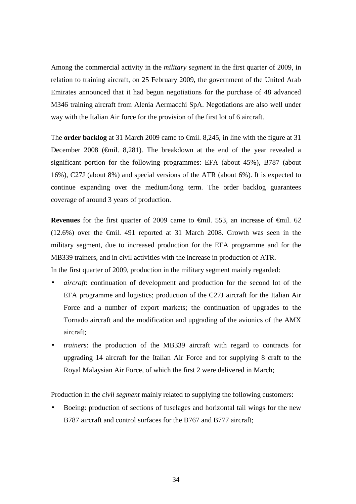Among the commercial activity in the *military segment* in the first quarter of 2009, in relation to training aircraft, on 25 February 2009, the government of the United Arab Emirates announced that it had begun negotiations for the purchase of 48 advanced M346 training aircraft from Alenia Aermacchi SpA. Negotiations are also well under way with the Italian Air force for the provision of the first lot of 6 aircraft.

The **order backlog** at 31 March 2009 came to  $\epsilon$ mil. 8,245, in line with the figure at 31 December 2008 ( $\epsilon$ mil. 8,281). The breakdown at the end of the year revealed a significant portion for the following programmes: EFA (about 45%), B787 (about 16%), C27J (about 8%) and special versions of the ATR (about 6%). It is expected to continue expanding over the medium/long term. The order backlog guarantees coverage of around 3 years of production.

**Revenues** for the first quarter of 2009 came to  $\epsilon$ mil. 553, an increase of  $\epsilon$ mil. 62 (12.6%) over the  $\epsilon$ mil. 491 reported at 31 March 2008. Growth was seen in the military segment, due to increased production for the EFA programme and for the MB339 trainers, and in civil activities with the increase in production of ATR*.*  In the first quarter of 2009, production in the military segment mainly regarded:

- *aircraft*: continuation of development and production for the second lot of the EFA programme and logistics; production of the C27J aircraft for the Italian Air Force and a number of export markets; the continuation of upgrades to the Tornado aircraft and the modification and upgrading of the avionics of the AMX aircraft;
- *trainers*: the production of the MB339 aircraft with regard to contracts for upgrading 14 aircraft for the Italian Air Force and for supplying 8 craft to the Royal Malaysian Air Force, of which the first 2 were delivered in March;

Production in the *civil segment* mainly related to supplying the following customers:

Boeing: production of sections of fuselages and horizontal tail wings for the new B787 aircraft and control surfaces for the B767 and B777 aircraft;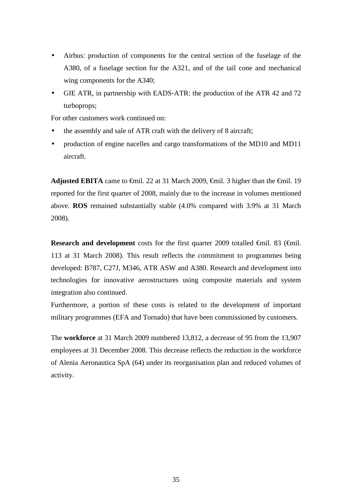- Airbus: production of components for the central section of the fuselage of the A380, of a fuselage section for the A321, and of the tail cone and mechanical wing components for the A340;
- GIE ATR, in partnership with EADS-ATR: the production of the ATR 42 and 72 turboprops;

For other customers work continued on:

- the assembly and sale of ATR craft with the delivery of 8 aircraft;
- production of engine nacelles and cargo transformations of the MD10 and MD11 aircraft.

**Adjusted EBITA** came to €mil. 22 at 31 March 2009, €mil. 3 higher than the €mil. 19 reported for the first quarter of 2008, mainly due to the increase in volumes mentioned above. **ROS** remained substantially stable (4.0% compared with 3.9% at 31 March 2008).

**Research and development** costs for the first quarter 2009 totalled  $\epsilon$ mil. 83 ( $\epsilon$ mil. 113 at 31 March 2008). This result reflects the commitment to programmes being developed: B787, C27J, M346, ATR ASW and A380*.* Research and development into technologies for innovative aerostructures using composite materials and system integration also continued.

Furthermore, a portion of these costs is related to the development of important military programmes (EFA and Tornado) that have been commissioned by customers.

The **workforce** at 31 March 2009 numbered 13,812, a decrease of 95 from the 13,907 employees at 31 December 2008. This decrease reflects the reduction in the workforce of Alenia Aeronautica SpA (64) under its reorganisation plan and reduced volumes of activity.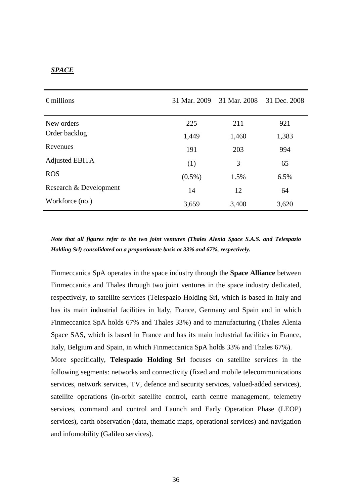## *SPACE*

| $\epsilon$ millions    | 31 Mar. 2009 | 31 Mar. 2008 | 31 Dec. 2008 |
|------------------------|--------------|--------------|--------------|
| New orders             | 225          | 211          | 921          |
| Order backlog          | 1,449        | 1,460        | 1,383        |
| Revenues               | 191          | 203          | 994          |
| Adjusted EBITA         | (1)          | 3            | 65           |
| <b>ROS</b>             | $(0.5\%)$    | 1.5%         | 6.5%         |
| Research & Development | 14           | 12           | 64           |
| Workforce (no.)        | 3,659        | 3,400        | 3,620        |

*Note that all figures refer to the two joint ventures (Thales Alenia Space S.A.S. and Telespazio Holding Srl) consolidated on a proportionate basis at 33% and 67%, respectively.* 

Finmeccanica SpA operates in the space industry through the **Space Alliance** between Finmeccanica and Thales through two joint ventures in the space industry dedicated, respectively, to satellite services (Telespazio Holding Srl, which is based in Italy and has its main industrial facilities in Italy, France, Germany and Spain and in which Finmeccanica SpA holds 67% and Thales 33%) and to manufacturing (Thales Alenia Space SAS, which is based in France and has its main industrial facilities in France, Italy, Belgium and Spain, in which Finmeccanica SpA holds 33% and Thales 67%). More specifically, **Telespazio Holding Srl** focuses on satellite services in the following segments: networks and connectivity (fixed and mobile telecommunications services, network services, TV, defence and security services, valued-added services), satellite operations (in-orbit satellite control, earth centre management, telemetry services, command and control and Launch and Early Operation Phase (LEOP) services), earth observation (data, thematic maps, operational services) and navigation and infomobility (Galileo services).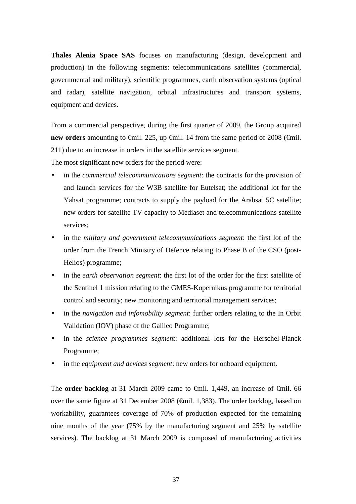**Thales Alenia Space SAS** focuses on manufacturing (design, development and production) in the following segments: telecommunications satellites (commercial, governmental and military), scientific programmes, earth observation systems (optical and radar), satellite navigation, orbital infrastructures and transport systems, equipment and devices.

From a commercial perspective, during the first quarter of 2009, the Group acquired **new orders** amounting to €mil. 225, up €mil. 14 from the same period of 2008 (€mil. 211) due to an increase in orders in the satellite services segment.

The most significant new orders for the period were:

- in the *commercial telecommunications segment*: the contracts for the provision of and launch services for the W3B satellite for Eutelsat; the additional lot for the Yahsat programme; contracts to supply the payload for the Arabsat 5C satellite; new orders for satellite TV capacity to Mediaset and telecommunications satellite services;
- in the *military and government telecommunications segment*: the first lot of the order from the French Ministry of Defence relating to Phase B of the CSO (post-Helios) programme;
- in the *earth observation segment*: the first lot of the order for the first satellite of the Sentinel 1 mission relating to the GMES-Kopernikus programme for territorial control and security; new monitoring and territorial management services;
- in the *navigation and infomobility segment*: further orders relating to the In Orbit Validation (IOV) phase of the Galileo Programme;
- in the *science programmes segment*: additional lots for the Herschel-Planck Programme;
- in the *equipment and devices segment*: new orders for onboard equipment.

The **order backlog** at 31 March 2009 came to €mil. 1,449, an increase of €mil. 66 over the same figure at 31 December 2008 (€mil. 1,383). The order backlog, based on workability, guarantees coverage of 70% of production expected for the remaining nine months of the year (75% by the manufacturing segment and 25% by satellite services). The backlog at 31 March 2009 is composed of manufacturing activities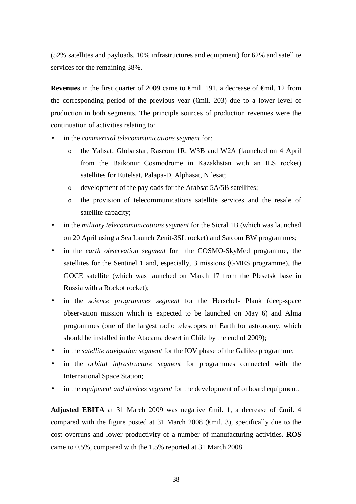(52% satellites and payloads, 10% infrastructures and equipment) for 62% and satellite services for the remaining 38%.

**Revenues** in the first quarter of 2009 came to €mil. 191, a decrease of €mil. 12 from the corresponding period of the previous year ( $\epsilon$ mil 203) due to a lower level of production in both segments. The principle sources of production revenues were the continuation of activities relating to:

- in the *commercial telecommunications segment* for:
	- o the Yahsat, Globalstar, Rascom 1R, W3B and W2A (launched on 4 April from the Baikonur Cosmodrome in Kazakhstan with an ILS rocket) satellites for Eutelsat, Palapa-D, Alphasat, Nilesat;
	- o development of the payloads for the Arabsat 5A/5B satellites;
	- o the provision of telecommunications satellite services and the resale of satellite capacity;
- in the *military telecommunications segment* for the Sicral 1B (which was launched on 20 April using a Sea Launch Zenit-3SL rocket) and Satcom BW programmes;
- in the *earth observation segment* for the COSMO-SkyMed programme, the satellites for the Sentinel 1 and, especially, 3 missions (GMES programme), the GOCE satellite (which was launched on March 17 from the Plesetsk base in Russia with a Rockot rocket);
- in the *science programmes segment* for the Herschel- Plank (deep-space observation mission which is expected to be launched on May 6) and Alma programmes (one of the largest radio telescopes on Earth for astronomy, which should be installed in the Atacama desert in Chile by the end of 2009);
- in the *satellite navigation segment* for the IOV phase of the Galileo programme;
- in the *orbital infrastructure segment* for programmes connected with the International Space Station;
- in the *equipment and devices segment* for the development of onboard equipment.

**Adjusted EBITA** at 31 March 2009 was negative  $\epsilon$ mil. 1, a decrease of  $\epsilon$ mil. 4 compared with the figure posted at 31 March 2008 ( $\bigoplus$ mil. 3), specifically due to the cost overruns and lower productivity of a number of manufacturing activities. **ROS** came to 0.5%, compared with the 1.5% reported at 31 March 2008.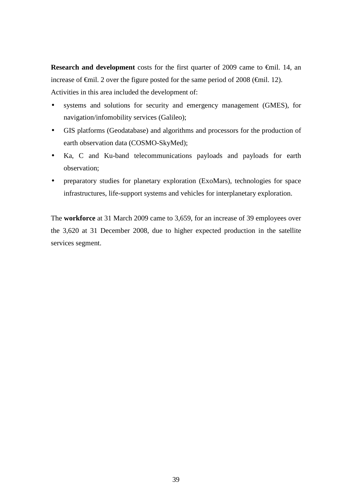**Research and development** costs for the first quarter of 2009 came to  $\epsilon$ mil. 14, an increase of  $\epsilon$ mil. 2 over the figure posted for the same period of 2008 ( $\epsilon$ mil. 12). Activities in this area included the development of:

- systems and solutions for security and emergency management (GMES), for navigation/infomobility services (Galileo);
- GIS platforms (Geodatabase) and algorithms and processors for the production of earth observation data (COSMO-SkyMed);
- Ka, C and Ku-band telecommunications payloads and payloads for earth observation;
- preparatory studies for planetary exploration (ExoMars), technologies for space infrastructures, life-support systems and vehicles for interplanetary exploration.

The **workforce** at 31 March 2009 came to 3,659, for an increase of 39 employees over the 3,620 at 31 December 2008, due to higher expected production in the satellite services segment.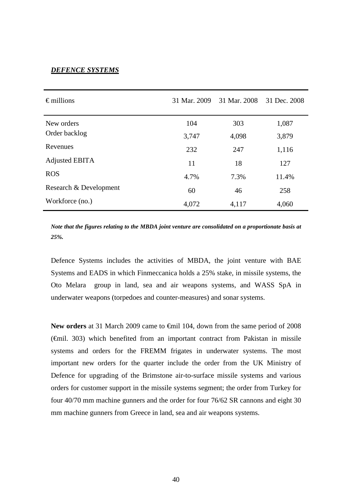## *DEFENCE SYSTEMS*

| $\epsilon$ millions    | 31 Mar. 2009 | 31 Mar. 2008 | 31 Dec. 2008 |
|------------------------|--------------|--------------|--------------|
| New orders             | 104          | 303          | 1,087        |
| Order backlog          | 3,747        | 4,098        | 3,879        |
| Revenues               | 232          | 247          | 1,116        |
| Adjusted EBITA         | 11           | 18           | 127          |
| <b>ROS</b>             | 4.7%         | 7.3%         | 11.4%        |
| Research & Development | 60           | 46           | 258          |
| Workforce (no.)        | 4,072        | 4,117        | 4,060        |

*Note that the figures relating to the MBDA joint venture are consolidated on a proportionate basis at 25%.*

Defence Systems includes the activities of MBDA, the joint venture with BAE Systems and EADS in which Finmeccanica holds a 25% stake, in missile systems, the Oto Melara group in land, sea and air weapons systems, and WASS SpA in underwater weapons (torpedoes and counter-measures) and sonar systems.

New orders at 31 March 2009 came to €mil 104, down from the same period of 2008  $(\text{Fmil. } 303)$  which benefited from an important contract from Pakistan in missile systems and orders for the FREMM frigates in underwater systems. The most important new orders for the quarter include the order from the UK Ministry of Defence for upgrading of the Brimstone air-to-surface missile systems and various orders for customer support in the missile systems segment; the order from Turkey for four 40/70 mm machine gunners and the order for four 76/62 SR cannons and eight 30 mm machine gunners from Greece in land, sea and air weapons systems.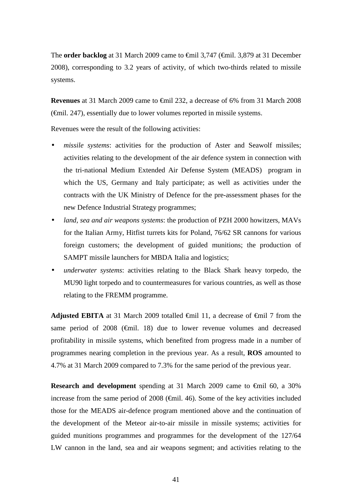The **order backlog** at 31 March 2009 came to  $\epsilon$ mil 3,747 ( $\epsilon$ mil. 3,879 a 31 December 2008), corresponding to 3.2 years of activity, of which two-thirds related to missile systems.

**Revenues** at 31 March 2009 came to €mil 232, a decrease of 6% from 31 March 2008  $(\epsilon m)$ . 247), essentially due to lower volumes reported in missile systems.

Revenues were the result of the following activities:

- *missile systems*: activities for the production of Aster and Seawolf missiles; activities relating to the development of the air defence system in connection with the tri-national Medium Extended Air Defense System (MEADS)program in which the US, Germany and Italy participate; as well as activities under the contracts with the UK Ministry of Defence for the pre-assessment phases for the new Defence Industrial Strategy programmes;
- *land, sea and air weapons systems*: the production of PZH 2000 howitzers, MAVs for the Italian Army, Hitfist turrets kits for Poland, 76/62 SR cannons for various foreign customers; the development of guided munitions; the production of SAMPT missile launchers for MBDA Italia and logistics;
- *underwater systems*: activities relating to the Black Shark heavy torpedo, the MU90 light torpedo and to countermeasures for various countries, as well as those relating to the FREMM programme.

Adjusted EBITA at 31 March 2009 totalled €mil 11, a decrease of <del>C</del>mil 7 from the same period of 2008 ( $\epsilon$ mil. 18) due to lower revenue volumes and decreased profitability in missile systems, which benefited from progress made in a number of programmes nearing completion in the previous year. As a result, **ROS** amounted to 4.7% at 31 March 2009 compared to 7.3% for the same period of the previous year.

**Research and development** spending at 31 March 2009 came to  $\epsilon$ mil 60, a 30% increase from the same period of 2008 ( $\epsilon$ mil. 46). Some of the key activities included those for the MEADS air-defence program mentioned above and the continuation of the development of the Meteor air-to-air missile in missile systems; activities for guided munitions programmes and programmes for the development of the 127/64 LW cannon in the land, sea and air weapons segment; and activities relating to the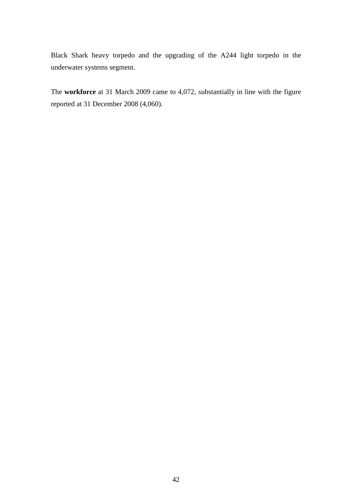Black Shark heavy torpedo and the upgrading of the A244 light torpedo in the underwater systems segment.

The **workforce** at 31 March 2009 came to 4,072, substantially in line with the figure reported at 31 December 2008 (4,060).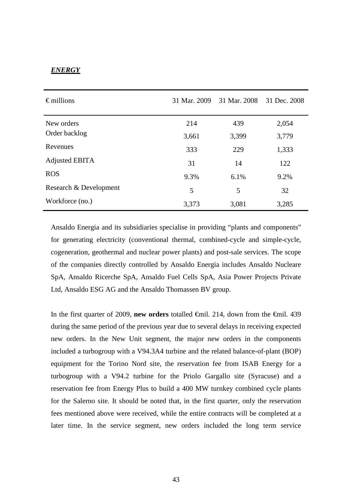## *ENERGY*

| $\epsilon$ millions    | 31 Mar. 2009 | 31 Mar. 2008 | 31 Dec. 2008 |
|------------------------|--------------|--------------|--------------|
| New orders             | 214          | 439          | 2,054        |
| Order backlog          | 3,661        | 3,399        | 3,779        |
| Revenues               | 333          | 229          | 1,333        |
| Adjusted EBITA         | 31           | 14           | 122          |
| <b>ROS</b>             | 9.3%         | 6.1%         | 9.2%         |
| Research & Development | 5            | 5            | 32           |
| Workforce (no.)        | 3,373        | 3,081        | 3,285        |

Ansaldo Energia and its subsidiaries specialise in providing "plants and components" for generating electricity (conventional thermal, combined-cycle and simple-cycle, cogeneration, geothermal and nuclear power plants) and post-sale services. The scope of the companies directly controlled by Ansaldo Energia includes Ansaldo Nucleare SpA, Ansaldo Ricerche SpA, Ansaldo Fuel Cells SpA, Asia Power Projects Private Ltd, Ansaldo ESG AG and the Ansaldo Thomassen BV group.

In the first quarter of 2009, **new orders** totalled €mil. 214, down from the €mil. 439 during the same period of the previous year due to several delays in receiving expected new orders. In the New Unit segment, the major new orders in the components included a turbogroup with a V94.3A4 turbine and the related balance-of-plant (BOP) equipment for the Torino Nord site, the reservation fee from ISAB Energy for a turbogroup with a V94.2 turbine for the Priolo Gargallo site (Syracuse) and a reservation fee from Energy Plus to build a 400 MW turnkey combined cycle plants for the Salerno site. It should be noted that, in the first quarter, only the reservation fees mentioned above were received, while the entire contracts will be completed at a later time. In the service segment, new orders included the long term service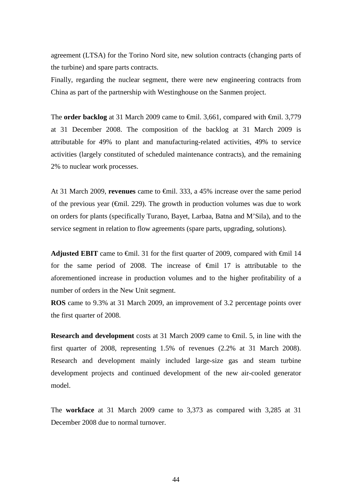agreement (LTSA) for the Torino Nord site, new solution contracts (changing parts of the turbine) and spare parts contracts.

Finally, regarding the nuclear segment, there were new engineering contracts from China as part of the partnership with Westinghouse on the Sanmen project.

The **order backlog** at 31 March 2009 came to €mil. 3,661, compared with €mil. 3,779 at 31 December 2008. The composition of the backlog at 31 March 2009 is attributable for 49% to plant and manufacturing-related activities, 49% to service activities (largely constituted of scheduled maintenance contracts), and the remaining 2% to nuclear work processes.

At 31 March 2009, **revenues** came to €mil. 333, a 45% increase over the same period of the previous year ( $\epsilon$ mil. 229). The growth in production volumes was due to work on orders for plants (specifically Turano, Bayet, Larbaa, Batna and M'Sila), and to the service segment in relation to flow agreements (spare parts, upgrading, solutions).

**Adjusted EBIT** came to €mil. 31 for the first quarter of 2009, compared with  $€$ mil 14 for the same period of 2008. The increase of  $\epsilon$ mil 17 is attributable to the aforementioned increase in production volumes and to the higher profitability of a number of orders in the New Unit segment.

**ROS** came to 9.3% at 31 March 2009, an improvement of 3.2 percentage points over the first quarter of 2008.

**Research and development** costs at 31 March 2009 came to  $\epsilon$ mil. 5, in line with the first quarter of 2008, representing 1.5% of revenues (2.2% at 31 March 2008). Research and development mainly included large-size gas and steam turbine development projects and continued development of the new air-cooled generator model.

The **workface** at 31 March 2009 came to 3,373 as compared with 3,285 at 31 December 2008 due to normal turnover.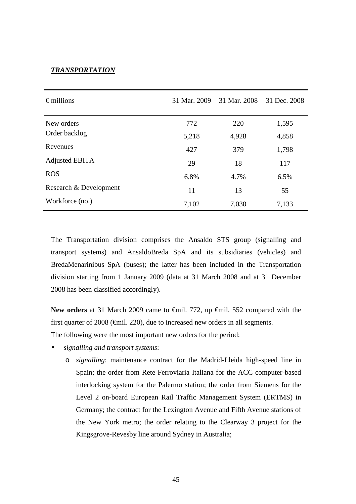## *TRANSPORTATION*

| $\epsilon$ millions    | 31 Mar. 2009 | 31 Mar. 2008 | 31 Dec. 2008 |
|------------------------|--------------|--------------|--------------|
| New orders             | 772          | 220          | 1,595        |
| Order backlog          | 5,218        | 4,928        | 4,858        |
| Revenues               | 427          | 379          | 1,798        |
| Adjusted EBITA         | 29           | 18           | 117          |
| <b>ROS</b>             | 6.8%         | 4.7%         | 6.5%         |
| Research & Development | 11           | 13           | 55           |
| Workforce (no.)        | 7,102        | 7,030        | 7,133        |

The Transportation division comprises the Ansaldo STS group (signalling and transport systems) and AnsaldoBreda SpA and its subsidiaries (vehicles) and BredaMenarinibus SpA (buses); the latter has been included in the Transportation division starting from 1 January 2009 (data at 31 March 2008 and at 31 December 2008 has been classified accordingly).

New orders at 31 March 2009 came to €mil. 772, up €mil. 552 ompared with the first quarter of 2008 ( $\epsilon$ mil. 220), due to increased new orders in all segments. The following were the most important new orders for the period:

- *signalling and transport systems*:
	- o *signalling*: maintenance contract for the Madrid-Lleida high-speed line in Spain; the order from Rete Ferroviaria Italiana for the ACC computer-based interlocking system for the Palermo station; the order from Siemens for the Level 2 on-board European Rail Traffic Management System (ERTMS) in Germany; the contract for the Lexington Avenue and Fifth Avenue stations of the New York metro; the order relating to the Clearway 3 project for the Kingsgrove-Revesby line around Sydney in Australia;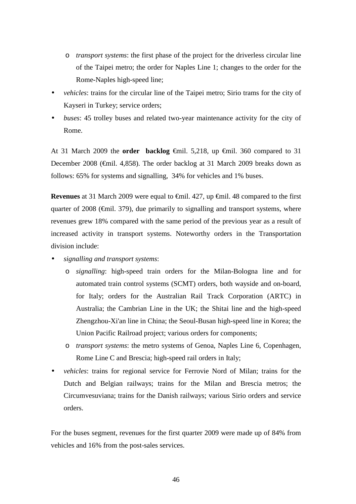- o *transport systems*: the first phase of the project for the driverless circular line of the Taipei metro; the order for Naples Line 1; changes to the order for the Rome-Naples high-speed line;
- *vehicles*: trains for the circular line of the Taipei metro; Sirio trams for the city of Kayseri in Turkey; service orders;
- *buses*: 45 trolley buses and related two-year maintenance activity for the city of Rome.

At 31 March 2009 the **order backlog** €mil. 5,218, up €mil. 360 compared to 31 December 2008 (€mil. 4,858). The order backlog at 31 March 2009 breaks down as follows: 65% for systems and signalling, 34% for vehicles and 1% buses.

**Revenues** at 31 March 2009 were equal to €mil. 427, up €mil. 48 compared to the first quarter of 2008 ( $\epsilon$ mil. 379), due primarily to signalling and transport systems, where revenues grew 18% compared with the same period of the previous year as a result of increased activity in transport systems. Noteworthy orders in the Transportation division include:

- *signalling and transport systems*:
	- o *signalling*: high-speed train orders for the Milan-Bologna line and for automated train control systems (SCMT) orders, both wayside and on-board, for Italy; orders for the Australian Rail Track Corporation (ARTC) in Australia; the Cambrian Line in the UK; the Shitai line and the high-speed Zhengzhou-Xi'an line in China; the Seoul-Busan high-speed line in Korea; the Union Pacific Railroad project; various orders for components;
	- o *transport systems*: the metro systems of Genoa, Naples Line 6, Copenhagen, Rome Line C and Brescia; high-speed rail orders in Italy;
- *vehicles*: trains for regional service for Ferrovie Nord of Milan; trains for the Dutch and Belgian railways; trains for the Milan and Brescia metros; the Circumvesuviana; trains for the Danish railways; various Sirio orders and service orders.

For the buses segment, revenues for the first quarter 2009 were made up of 84% from vehicles and 16% from the post-sales services.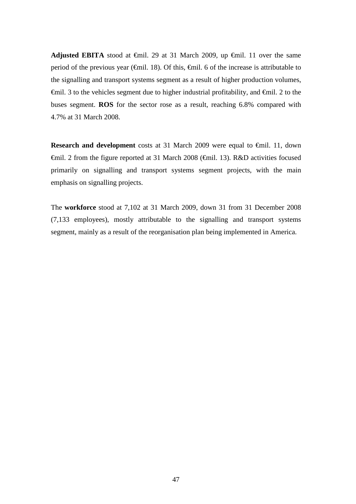Adjusted EBITA stood at  $\epsilon$ mil. 29 at 31 March 2009, up  $\epsilon$ mil. 11 over the same period of the previous year ( $\epsilon$ mil. 18). Of this,  $\epsilon$ mil. 6 of the increase is attributable to the signalling and transport systems segment as a result of higher production volumes,  $\epsilon$ mil. 3 to the vehicles segment due to higher industrial profitability, and  $\epsilon$ mil. 2 to the buses segment. **ROS** for the sector rose as a result, reaching 6.8% compared with 4.7% at 31 March 2008.

**Research and development** costs at 31 March 2009 were equal to €mil. 11, down  $\epsilon$ mil. 2 from the figure reported at 31 March 2008 ( $\epsilon$ mil. 13). R&D activities focused primarily on signalling and transport systems segment projects, with the main emphasis on signalling projects.

The **workforce** stood at 7,102 at 31 March 2009, down 31 from 31 December 2008 (7,133 employees), mostly attributable to the signalling and transport systems segment, mainly as a result of the reorganisation plan being implemented in America.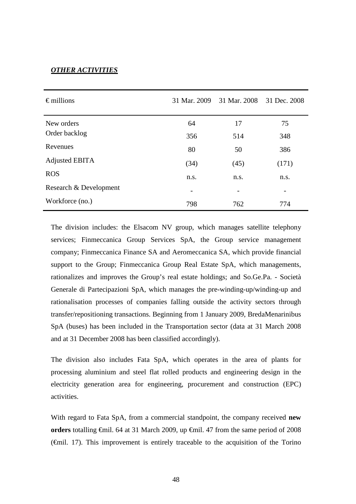## *OTHER ACTIVITIES*

| $\epsilon$ millions    | 31 Mar. 2009 | 31 Mar. 2008 | 31 Dec. 2008 |
|------------------------|--------------|--------------|--------------|
| New orders             | 64           | 17           | 75           |
| Order backlog          | 356          | 514          | 348          |
| Revenues               | 80           | 50           | 386          |
| Adjusted EBITA         | (34)         | (45)         | (171)        |
| <b>ROS</b>             | n.s.         | n.s.         | n.s.         |
| Research & Development |              |              |              |
| Workforce (no.)        | 798          | 762          | 774          |

The division includes: the Elsacom NV group, which manages satellite telephony services; Finmeccanica Group Services SpA, the Group service management company; Finmeccanica Finance SA and Aeromeccanica SA, which provide financial support to the Group; Finmeccanica Group Real Estate SpA, which managements, rationalizes and improves the Group's real estate holdings; and So.Ge.Pa. - Società Generale di Partecipazioni SpA, which manages the pre-winding-up/winding-up and rationalisation processes of companies falling outside the activity sectors through transfer/repositioning transactions. Beginning from 1 January 2009, BredaMenarinibus SpA (buses) has been included in the Transportation sector (data at 31 March 2008 and at 31 December 2008 has been classified accordingly).

The division also includes Fata SpA, which operates in the area of plants for processing aluminium and steel flat rolled products and engineering design in the electricity generation area for engineering, procurement and construction (EPC) activities.

With regard to Fata SpA, from a commercial standpoint, the company received **new orders** totalling €mil. 64 at 31 March 2009, up €mil. 47 from the same period of 2008  $(\epsilon m)$ . This improvement is entirely traceable to the acquisition of the Torino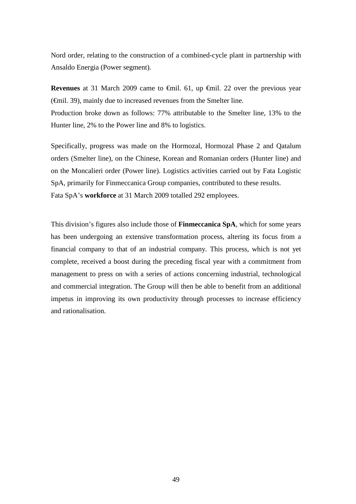Nord order, relating to the construction of a combined-cycle plant in partnership with Ansaldo Energia (Power segment).

**Revenues** at 31 March 2009 came to  $\epsilon$ mil. 61, up  $\epsilon$ mil. 22 over the previous year  $(\epsilon m$ il. 39), mainly due to increased revenues from the Smelter line. Production broke down as follows: 77% attributable to the Smelter line, 13% to the Hunter line, 2% to the Power line and 8% to logistics.

Specifically, progress was made on the Hormozal, Hormozal Phase 2 and Qatalum orders (Smelter line), on the Chinese, Korean and Romanian orders (Hunter line) and on the Moncalieri order (Power line). Logistics activities carried out by Fata Logistic SpA, primarily for Finmeccanica Group companies, contributed to these results. Fata SpA's **workforce** at 31 March 2009 totalled 292 employees.

This division's figures also include those of **Finmeccanica SpA**, which for some years has been undergoing an extensive transformation process, altering its focus from a financial company to that of an industrial company. This process, which is not yet complete, received a boost during the preceding fiscal year with a commitment from management to press on with a series of actions concerning industrial, technological and commercial integration. The Group will then be able to benefit from an additional impetus in improving its own productivity through processes to increase efficiency and rationalisation.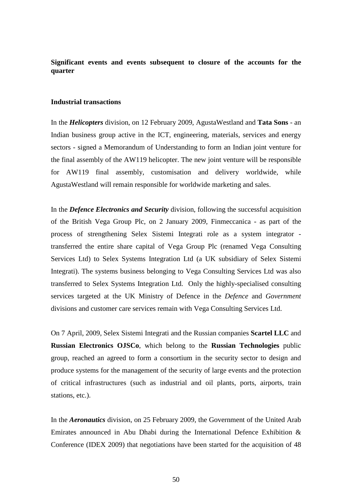**Significant events and events subsequent to closure of the accounts for the quarter** 

## **Industrial transactions**

In the *Helicopters* division, on 12 February 2009, AgustaWestland and **Tata Sons** - an Indian business group active in the ICT, engineering, materials, services and energy sectors - signed a Memorandum of Understanding to form an Indian joint venture for the final assembly of the AW119 helicopter. The new joint venture will be responsible for AW119 final assembly, customisation and delivery worldwide, while AgustaWestland will remain responsible for worldwide marketing and sales.

In the *Defence Electronics and Security* division, following the successful acquisition of the British Vega Group Plc, on 2 January 2009, Finmeccanica - as part of the process of strengthening Selex Sistemi Integrati role as a system integrator transferred the entire share capital of Vega Group Plc (renamed Vega Consulting Services Ltd) to Selex Systems Integration Ltd (a UK subsidiary of Selex Sistemi Integrati). The systems business belonging to Vega Consulting Services Ltd was also transferred to Selex Systems Integration Ltd. Only the highly-specialised consulting services targeted at the UK Ministry of Defence in the *Defence* and *Government* divisions and customer care services remain with Vega Consulting Services Ltd.

On 7 April, 2009, Selex Sistemi Integrati and the Russian companies **Scartel LLC** and **Russian Electronics OJSCo**, which belong to the **Russian Technologies** public group, reached an agreed to form a consortium in the security sector to design and produce systems for the management of the security of large events and the protection of critical infrastructures (such as industrial and oil plants, ports, airports, train stations, etc.).

In the *Aeronautics* division, on 25 February 2009, the Government of the United Arab Emirates announced in Abu Dhabi during the International Defence Exhibition & Conference (IDEX 2009) that negotiations have been started for the acquisition of 48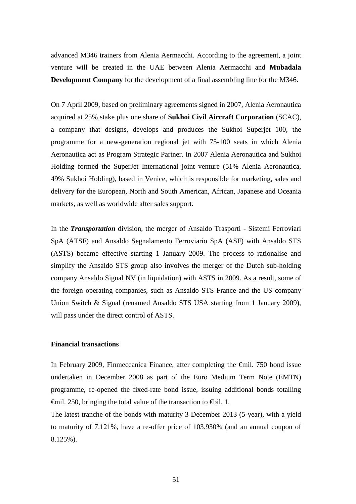advanced M346 trainers from Alenia Aermacchi. According to the agreement, a joint venture will be created in the UAE between Alenia Aermacchi and **Mubadala Development Company** for the development of a final assembling line for the M346.

On 7 April 2009, based on preliminary agreements signed in 2007, Alenia Aeronautica acquired at 25% stake plus one share of **Sukhoi Civil Aircraft Corporation** (SCAC), a company that designs, develops and produces the Sukhoi Superjet 100, the programme for a new-generation regional jet with 75-100 seats in which Alenia Aeronautica act as Program Strategic Partner. In 2007 Alenia Aeronautica and Sukhoi Holding formed the SuperJet International joint venture (51% Alenia Aeronautica, 49% Sukhoi Holding), based in Venice, which is responsible for marketing, sales and delivery for the European, North and South American, African, Japanese and Oceania markets, as well as worldwide after sales support.

In the *Transportation* division, the merger of Ansaldo Trasporti - Sistemi Ferroviari SpA (ATSF) and Ansaldo Segnalamento Ferroviario SpA (ASF) with Ansaldo STS (ASTS) became effective starting 1 January 2009. The process to rationalise and simplify the Ansaldo STS group also involves the merger of the Dutch sub-holding company Ansaldo Signal NV (in liquidation) with ASTS in 2009. As a result, some of the foreign operating companies, such as Ansaldo STS France and the US company Union Switch & Signal (renamed Ansaldo STS USA starting from 1 January 2009), will pass under the direct control of ASTS.

## **Financial transactions**

In February 2009, Finmeccanica Finance, after completing the  $\epsilon$ mil. 750 bond issue undertaken in December 2008 as part of the Euro Medium Term Note (EMTN) programme, re-opened the fixed-rate bond issue, issuing additional bonds totalling  $\epsilon$ mil. 250, bringing the total value of the transaction to  $\epsilon$ bil. 1.

The latest tranche of the bonds with maturity 3 December 2013 (5-year), with a yield to maturity of 7.121%, have a re-offer price of 103.930% (and an annual coupon of 8.125%).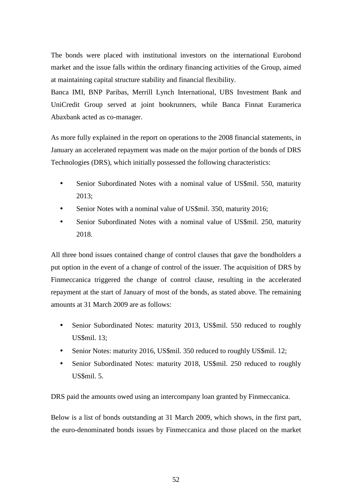The bonds were placed with institutional investors on the international Eurobond market and the issue falls within the ordinary financing activities of the Group, aimed at maintaining capital structure stability and financial flexibility.

Banca IMI, BNP Paribas, Merrill Lynch International, UBS Investment Bank and UniCredit Group served at joint bookrunners, while Banca Finnat Euramerica Abaxbank acted as co-manager.

As more fully explained in the report on operations to the 2008 financial statements, in January an accelerated repayment was made on the major portion of the bonds of DRS Technologies (DRS), which initially possessed the following characteristics:

- Senior Subordinated Notes with a nominal value of US\$mil. 550, maturity 2013;
- Senior Notes with a nominal value of US\$mil. 350, maturity 2016;
- Senior Subordinated Notes with a nominal value of US\$mil. 250, maturity 2018.

All three bond issues contained change of control clauses that gave the bondholders a put option in the event of a change of control of the issuer. The acquisition of DRS by Finmeccanica triggered the change of control clause, resulting in the accelerated repayment at the start of January of most of the bonds, as stated above. The remaining amounts at 31 March 2009 are as follows:

- Senior Subordinated Notes: maturity 2013, US\$mil. 550 reduced to roughly US\$mil. 13;
- Senior Notes: maturity 2016, US\$mil. 350 reduced to roughly US\$mil. 12;
- Senior Subordinated Notes: maturity 2018, US\$mil. 250 reduced to roughly US\$mil. 5.

DRS paid the amounts owed using an intercompany loan granted by Finmeccanica.

Below is a list of bonds outstanding at 31 March 2009, which shows, in the first part, the euro-denominated bonds issues by Finmeccanica and those placed on the market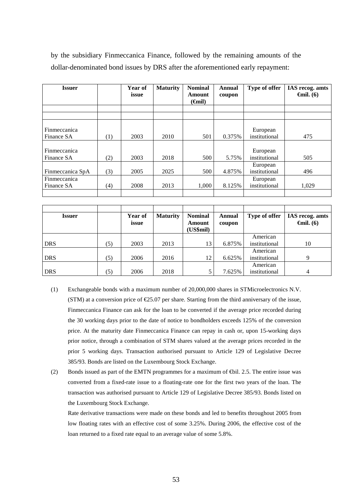| <b>Issuer</b>                     |     | Year of<br>issue | <b>Maturity</b> | <b>Nominal</b><br>Amount<br>$(\epsilon \text{mil})$ | Annual<br>coupon | <b>Type of offer</b>      | IAS recog. amts<br>$\epsilon$ mil. (6) |
|-----------------------------------|-----|------------------|-----------------|-----------------------------------------------------|------------------|---------------------------|----------------------------------------|
|                                   |     |                  |                 |                                                     |                  |                           |                                        |
|                                   |     |                  |                 |                                                     |                  |                           |                                        |
| <b>Finmeccanica</b><br>Finance SA | (1) | 2003             | 2010            | 501                                                 | 0.375%           | European<br>institutional | 475                                    |
|                                   |     |                  |                 |                                                     |                  |                           |                                        |
| Finmeccanica                      |     |                  |                 |                                                     |                  | European                  |                                        |
| Finance SA                        | (2) | 2003             | 2018            | 500                                                 | 5.75%            | institutional             | 505                                    |
| Finmeccanica SpA                  | (3) | 2005             | 2025            | 500                                                 | 4.875%           | European<br>institutional | 496                                    |
| Finmeccanica                      |     |                  |                 |                                                     |                  | European                  |                                        |
| Finance SA                        | (4) | 2008             | 2013            | 1,000                                               | 8.125%           | institutional             | 1,029                                  |
|                                   |     |                  |                 |                                                     |                  |                           |                                        |

by the subsidiary Finmeccanica Finance, followed by the remaining amounts of the dollar-denominated bond issues by DRS after the aforementioned early repayment:

| <b>Issuer</b> |     | Year of<br>issue | <b>Maturity</b> | <b>Nominal</b><br>Amount<br>(US\$mil) | <b>Annual</b><br>coupon | <b>Type of offer</b> | IAS recog. amts<br>$\epsilon$ mil. (6) |
|---------------|-----|------------------|-----------------|---------------------------------------|-------------------------|----------------------|----------------------------------------|
|               |     |                  |                 |                                       |                         | American             |                                        |
| <b>DRS</b>    | (5) | 2003             | 2013            | 13                                    | 6.875%                  | institutional        | 10                                     |
|               |     |                  |                 |                                       |                         | American             |                                        |
| <b>DRS</b>    | (5) | 2006             | 2016            | 12                                    | 6.625%                  | institutional        | 9                                      |
|               |     |                  |                 |                                       |                         | American             |                                        |
| <b>DRS</b>    | (5) | 2006             | 2018            |                                       | 7.625%                  | institutional        | 4                                      |

- (1) Exchangeable bonds with a maximum number of 20,000,000 shares in STMicroelectronics N.V. (STM) at a conversion price of  $\epsilon$ 25.07 per share. Surting from the third anniversary of the issue, Finmeccanica Finance can ask for the loan to be converted if the average price recorded during the 30 working days prior to the date of notice to bondholders exceeds 125% of the conversion price. At the maturity date Finmeccanica Finance can repay in cash or, upon 15-working days prior notice, through a combination of STM shares valued at the average prices recorded in the prior 5 working days. Transaction authorised pursuant to Article 129 of Legislative Decree 385/93. Bonds are listed on the Luxembourg Stock Exchange.
- (2) Bonds issued as part of the EMTN programmes for a maximum of  $\epsilon$ bil. 2.5. The entire issue was converted from a fixed-rate issue to a floating-rate one for the first two years of the loan. The transaction was authorised pursuant to Article 129 of Legislative Decree 385/93. Bonds listed on the Luxembourg Stock Exchange.

Rate derivative transactions were made on these bonds and led to benefits throughout 2005 from low floating rates with an effective cost of some 3.25%. During 2006, the effective cost of the loan returned to a fixed rate equal to an average value of some 5.8%.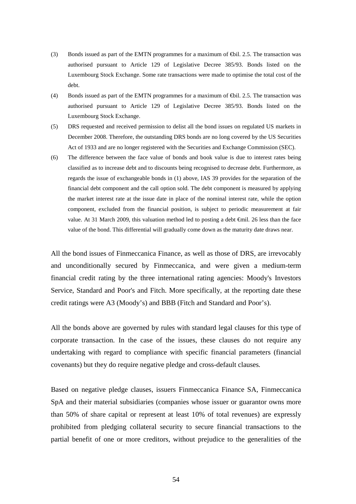- (3) Bonds issued as part of the EMTN programmes for a maximum of  $\epsilon$ bil. 2.5. The transaction was authorised pursuant to Article 129 of Legislative Decree 385/93. Bonds listed on the Luxembourg Stock Exchange. Some rate transactions were made to optimise the total cost of the debt.
- (4) Bonds issued as part of the EMTN programmes for a maximum of  $\epsilon$ bil. 2.5. The transaction was authorised pursuant to Article 129 of Legislative Decree 385/93. Bonds listed on the Luxembourg Stock Exchange.
- (5) DRS requested and received permission to delist all the bond issues on regulated US markets in December 2008. Therefore, the outstanding DRS bonds are no long covered by the US Securities Act of 1933 and are no longer registered with the Securities and Exchange Commission (SEC).
- (6) The difference between the face value of bonds and book value is due to interest rates being classified as to increase debt and to discounts being recognised to decrease debt. Furthermore, as regards the issue of exchangeable bonds in (1) above, IAS 39 provides for the separation of the financial debt component and the call option sold. The debt component is measured by applying the market interest rate at the issue date in place of the nominal interest rate, while the option component, excluded from the financial position, is subject to periodic measurement at fair value. At 31 March 2009, this valuation method led to posting a debt €mil. 26 less than the face value of the bond. This differential will gradually come down as the maturity date draws near.

All the bond issues of Finmeccanica Finance, as well as those of DRS, are irrevocably and unconditionally secured by Finmeccanica, and were given a medium-term financial credit rating by the three international rating agencies: Moody's Investors Service, Standard and Poor's and Fitch. More specifically, at the reporting date these credit ratings were A3 (Moody's) and BBB (Fitch and Standard and Poor's).

All the bonds above are governed by rules with standard legal clauses for this type of corporate transaction. In the case of the issues, these clauses do not require any undertaking with regard to compliance with specific financial parameters (financial covenants) but they do require negative pledge and cross-default clauses*.*

Based on negative pledge clauses, issuers Finmeccanica Finance SA, Finmeccanica SpA and their material subsidiaries (companies whose issuer or guarantor owns more than 50% of share capital or represent at least 10% of total revenues) are expressly prohibited from pledging collateral security to secure financial transactions to the partial benefit of one or more creditors, without prejudice to the generalities of the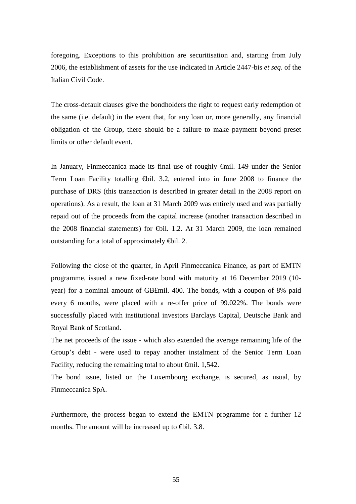foregoing. Exceptions to this prohibition are securitisation and, starting from July 2006, the establishment of assets for the use indicated in Article 2447-bis *et seq*. of the Italian Civil Code.

The cross-default clauses give the bondholders the right to request early redemption of the same (i.e. default) in the event that, for any loan or, more generally, any financial obligation of the Group, there should be a failure to make payment beyond preset limits or other default event.

In January, Finmeccanica made its final use of roughly €mil. 149 under the Senior Term Loan Facility totalling  $\epsilon$ bil. 3.2, entered into in June 2008 to finance the purchase of DRS (this transaction is described in greater detail in the 2008 report on operations). As a result, the loan at 31 March 2009 was entirely used and was partially repaid out of the proceeds from the capital increase (another transaction described in the 2008 financial statements) for €bil. 1.2. At 31 March 2009, the loan remained outstanding for a total of approximately  $\in$ bil. 2.

Following the close of the quarter, in April Finmeccanica Finance, as part of EMTN programme, issued a new fixed-rate bond with maturity at 16 December 2019 (10 year) for a nominal amount of GB£mil. 400. The bonds, with a coupon of 8% paid every 6 months, were placed with a re-offer price of 99.022%. The bonds were successfully placed with institutional investors Barclays Capital, Deutsche Bank and Royal Bank of Scotland.

The net proceeds of the issue - which also extended the average remaining life of the Group's debt - were used to repay another instalment of the Senior Term Loan Facility, reducing the remaining total to about  $\epsilon$ ml. 1,542.

The bond issue, listed on the Luxembourg exchange, is secured, as usual, by Finmeccanica SpA.

Furthermore, the process began to extend the EMTN programme for a further 12 months. The amount will be increased up to  $\in$ bil. 38.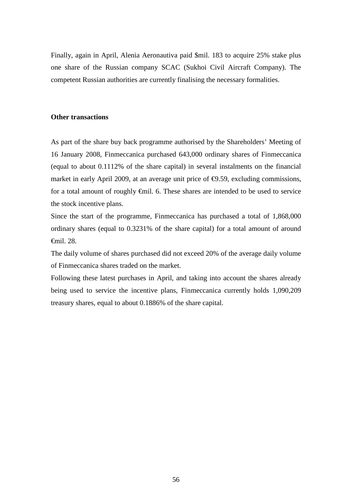Finally, again in April, Alenia Aeronautiva paid \$mil. 183 to acquire 25% stake plus one share of the Russian company SCAC (Sukhoi Civil Aircraft Company). The competent Russian authorities are currently finalising the necessary formalities.

## **Other transactions**

As part of the share buy back programme authorised by the Shareholders' Meeting of 16 January 2008, Finmeccanica purchased 643,000 ordinary shares of Finmeccanica (equal to about 0.1112% of the share capital) in several instalments on the financial market in early April 2009, at an average unit price of €9.59, excluding commissions, for a total amount of roughly  $\epsilon$ mil. 6. These shares are intended to be used to service the stock incentive plans.

Since the start of the programme, Finmeccanica has purchased a total of 1,868,000 ordinary shares (equal to 0.3231% of the share capital) for a total amount of around  $\epsilon$ mil. 28.

The daily volume of shares purchased did not exceed 20% of the average daily volume of Finmeccanica shares traded on the market.

Following these latest purchases in April, and taking into account the shares already being used to service the incentive plans, Finmeccanica currently holds 1,090,209 treasury shares, equal to about 0.1886% of the share capital.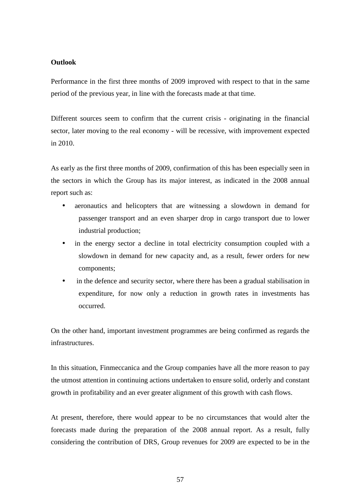## **Outlook**

Performance in the first three months of 2009 improved with respect to that in the same period of the previous year, in line with the forecasts made at that time.

Different sources seem to confirm that the current crisis - originating in the financial sector, later moving to the real economy - will be recessive, with improvement expected in 2010.

As early as the first three months of 2009, confirmation of this has been especially seen in the sectors in which the Group has its major interest, as indicated in the 2008 annual report such as:

- aeronautics and helicopters that are witnessing a slowdown in demand for passenger transport and an even sharper drop in cargo transport due to lower industrial production;
- in the energy sector a decline in total electricity consumption coupled with a slowdown in demand for new capacity and, as a result, fewer orders for new components;
- in the defence and security sector, where there has been a gradual stabilisation in expenditure, for now only a reduction in growth rates in investments has occurred.

On the other hand, important investment programmes are being confirmed as regards the infrastructures.

In this situation, Finmeccanica and the Group companies have all the more reason to pay the utmost attention in continuing actions undertaken to ensure solid, orderly and constant growth in profitability and an ever greater alignment of this growth with cash flows.

At present, therefore, there would appear to be no circumstances that would alter the forecasts made during the preparation of the 2008 annual report. As a result, fully considering the contribution of DRS, Group revenues for 2009 are expected to be in the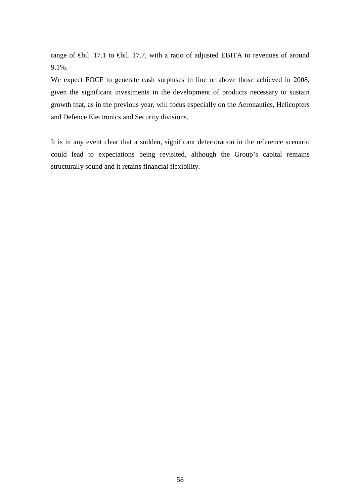range of €bil. 17.1 to €bil. 17.7, with a ratio of adjusted EBITA to revenues of around 9.1%.

We expect FOCF to generate cash surpluses in line or above those achieved in 2008, given the significant investments in the development of products necessary to sustain growth that, as in the previous year, will focus especially on the Aeronautics, Helicopters and Defence Electronics and Security divisions.

It is in any event clear that a sudden, significant deterioration in the reference scenario could lead to expectations being revisited, although the Group's capital remains structurally sound and it retains financial flexibility.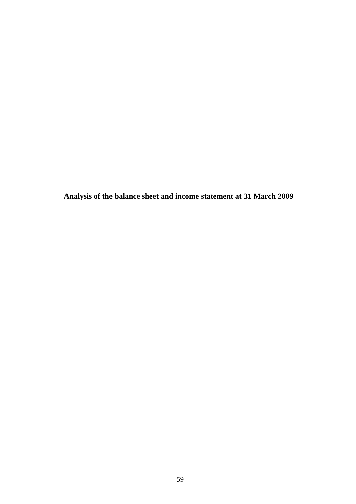**Analysis of the balance sheet and income statement at 31 March 2009**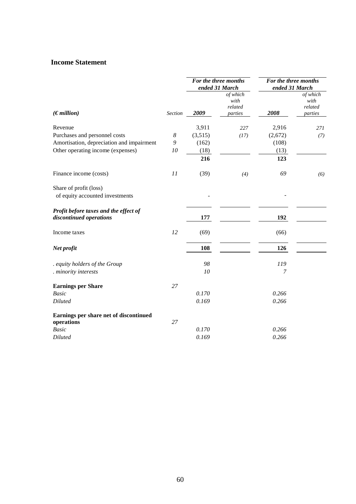## **Income Statement**

|                                                                  |                  | For the three months<br>ended 31 March |                                        | For the three months<br>ended 31 March |                                        |
|------------------------------------------------------------------|------------------|----------------------------------------|----------------------------------------|----------------------------------------|----------------------------------------|
| $(E$ million)                                                    | Section          | 2009                                   | of which<br>with<br>related<br>parties | 2008                                   | of which<br>with<br>related<br>parties |
| Revenue                                                          |                  | 3,911                                  | 227                                    | 2,916                                  | 271                                    |
| Purchases and personnel costs                                    | $\boldsymbol{8}$ | (3,515)                                | (17)                                   | (2,672)                                | (7)                                    |
| Amortisation, depreciation and impairment                        | 9                | (162)                                  |                                        | (108)                                  |                                        |
| Other operating income (expenses)                                | 10               | (18)                                   |                                        | (13)                                   |                                        |
|                                                                  |                  | 216                                    |                                        | 123                                    |                                        |
| Finance income (costs)                                           | 11               | (39)                                   | (4)                                    | 69                                     | (6)                                    |
| Share of profit (loss)<br>of equity accounted investments        |                  |                                        |                                        |                                        |                                        |
| Profit before taxes and the effect of<br>discontinued operations |                  | 177                                    |                                        | 192                                    |                                        |
| Income taxes                                                     | 12               | (69)                                   |                                        | (66)                                   |                                        |
| Net profit                                                       |                  | 108                                    |                                        | 126                                    |                                        |
| . equity holders of the Group                                    |                  | 98                                     |                                        | 119                                    |                                        |
| . minority interests                                             |                  | 10                                     |                                        | 7                                      |                                        |
| <b>Earnings per Share</b>                                        | 27               |                                        |                                        |                                        |                                        |
| <b>Basic</b>                                                     |                  | 0.170                                  |                                        | 0.266                                  |                                        |
| <b>Diluted</b>                                                   |                  | 0.169                                  |                                        | 0.266                                  |                                        |
| Earnings per share net of discontinued<br>operations             | 27               |                                        |                                        |                                        |                                        |
| <b>Basic</b>                                                     |                  | 0.170                                  |                                        | 0.266                                  |                                        |
| <b>Diluted</b>                                                   |                  | 0.169                                  |                                        | 0.266                                  |                                        |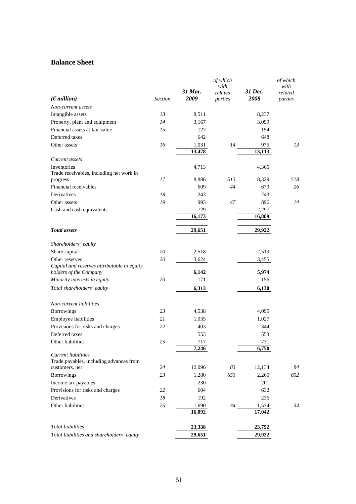## **Balance Sheet**

|                                                                       |                | 31 Mar.         | of which<br>with<br>related | 31 Dec.         | of which<br>with<br>related |
|-----------------------------------------------------------------------|----------------|-----------------|-----------------------------|-----------------|-----------------------------|
| (Emillion)                                                            | <b>Section</b> | 2009            | parties                     | 2008            | parties                     |
| Non-current assets                                                    |                |                 |                             |                 |                             |
| Intangible assets                                                     | 13             | 8,511           |                             | 8,237           |                             |
| Property, plant and equipment                                         | 14             | 3,167           |                             | 3,099           |                             |
| Financial assets at fair value                                        | 15             | 127             |                             | 154             |                             |
| Deferred taxes                                                        |                | 642             |                             | 648             |                             |
| Other assets                                                          | 16             | 1,031<br>13,478 | 14                          | 975<br>13,113   | 13                          |
| Current assets                                                        |                |                 |                             |                 |                             |
| Inventories<br>Trade receivables, including net work in               |                | 4,713           |                             | 4,365           |                             |
| progress                                                              | 17             | 8,886           | 513                         | 8,329           | 518                         |
| Financial receivables                                                 |                | 609             | 44                          | 679             | 26                          |
| Derivatives                                                           | 18             | 243             |                             | 243             |                             |
| Other assets                                                          | 19             | 993             | 47                          | 896             | 14                          |
| Cash and cash equivalents                                             |                | 729             |                             | 2,297           |                             |
|                                                                       |                | 16,173          |                             | 16,809          |                             |
| <b>Total</b> assets                                                   |                | 29,651          |                             | 29,922          |                             |
| Shareholders' equity                                                  |                |                 |                             |                 |                             |
| Share capital                                                         | 20             | 2,518           |                             | 2,519           |                             |
| Other reserves                                                        | 20             | 3,624           |                             | 3,455           |                             |
| Capital and reserves attributable to equity<br>holders of the Company |                | 6,142           |                             | 5,974           |                             |
| Minority interests in equity                                          | 20             | 171             |                             | 156             |                             |
| Total shareholders' equity                                            |                | 6,313           |                             | 6,130           |                             |
| Non-current liabilities                                               |                |                 |                             |                 |                             |
| Borrowings                                                            | 23             | 4,538           |                             | 4,095           |                             |
| Employee liabilities                                                  | 21             | 1,035           |                             | 1,027           |                             |
| Provisions for risks and charges                                      | 22             | 403             |                             | 344             |                             |
| Deferred taxes                                                        |                | 553             |                             | 553             |                             |
| Other liabilities                                                     | 25             | 717             |                             | 731             |                             |
|                                                                       |                | 7,246           |                             | 6,750           |                             |
| Current liabilities<br>Trade payables, including advances from        |                |                 |                             |                 |                             |
| customers, net                                                        | 24             | 12,096          | 83                          | 12,134          | 84                          |
| Borrowings                                                            | 23             | 1,280           | 653                         | 2,265           | 652                         |
| Income tax payables                                                   |                | 230             |                             | 201             |                             |
| Provisions for risks and charges                                      | 22             | 604             |                             | 632             |                             |
| Derivatives                                                           | 18             | 192             |                             | 236             |                             |
| Other liabilities                                                     | 25             | 1,690<br>16,092 | 34                          | 1,574<br>17,042 | 34                          |
|                                                                       |                |                 |                             |                 |                             |
| <b>Total liabilities</b>                                              |                | 23,338          |                             | 23,792          |                             |
| Total liabilities and shareholders' equity                            |                | 29,651          |                             | 29,922          |                             |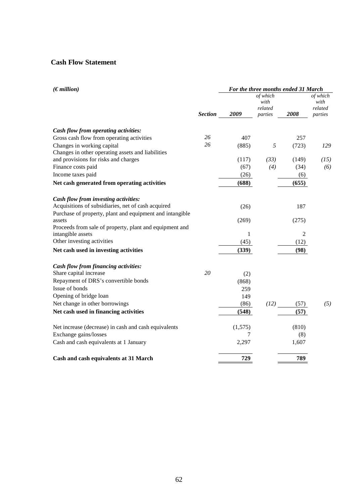## **Cash Flow Statement**

| $(E$ million)                                            | For the three months ended 31 March |         |                 |                |                 |
|----------------------------------------------------------|-------------------------------------|---------|-----------------|----------------|-----------------|
|                                                          |                                     |         | of which        |                | of which        |
|                                                          |                                     |         | with<br>related |                | with<br>related |
|                                                          | <b>Section</b>                      | 2009    | parties         | 2008           | parties         |
| Cash flow from operating activities:                     |                                     |         |                 |                |                 |
| Gross cash flow from operating activities                | 26                                  | 407     |                 | 257            |                 |
| Changes in working capital                               | 26                                  | (885)   | 5               | (723)          | 129             |
| Changes in other operating assets and liabilities        |                                     |         |                 |                |                 |
| and provisions for risks and charges                     |                                     | (117)   | (33)            | (149)          | (15)            |
| Finance costs paid                                       |                                     | (67)    | (4)             | (34)           | (6)             |
| Income taxes paid                                        |                                     | (26)    |                 | (6)            |                 |
| Net cash generated from operating activities             |                                     | (688)   |                 | (655)          |                 |
| Cash flow from investing activities:                     |                                     |         |                 |                |                 |
| Acquisitions of subsidiaries, net of cash acquired       |                                     | (26)    |                 | 187            |                 |
| Purchase of property, plant and equipment and intangible |                                     |         |                 |                |                 |
| assets                                                   |                                     | (269)   |                 | (275)          |                 |
| Proceeds from sale of property, plant and equipment and  |                                     |         |                 |                |                 |
| intangible assets<br>Other investing activities          |                                     | 1       |                 | $\overline{c}$ |                 |
|                                                          |                                     | (45)    |                 | (12)           |                 |
| Net cash used in investing activities                    |                                     | (339)   |                 | (98)           |                 |
| Cash flow from financing activities:                     |                                     |         |                 |                |                 |
| Share capital increase                                   | 20                                  | (2)     |                 |                |                 |
| Repayment of DRS's convertible bonds                     |                                     | (868)   |                 |                |                 |
| Issue of bonds                                           |                                     | 259     |                 |                |                 |
| Opening of bridge loan                                   |                                     | 149     |                 |                |                 |
| Net change in other borrowings                           |                                     | (86)    | (12)            | (57)           | (5)             |
| Net cash used in financing activities                    |                                     | (548)   |                 | (57)           |                 |
| Net increase (decrease) in cash and cash equivalents     |                                     | (1,575) |                 | (810)          |                 |
| Exchange gains/losses                                    |                                     | 7       |                 | (8)            |                 |
| Cash and cash equivalents at 1 January                   |                                     | 2,297   |                 | 1,607          |                 |
| Cash and cash equivalents at 31 March                    |                                     | 729     |                 | 789            |                 |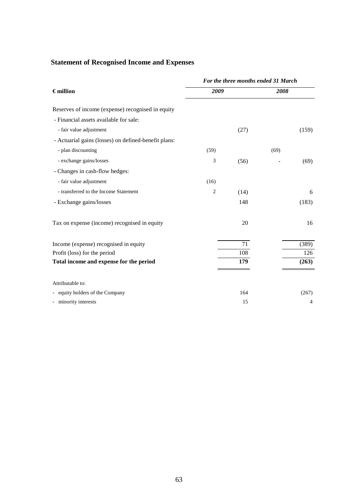## **Statement of Recognised Income and Expenses**

|                                                      | For the three months ended 31 March |      |      |       |  |
|------------------------------------------------------|-------------------------------------|------|------|-------|--|
| $\epsilon$ million                                   | 2009                                |      | 2008 |       |  |
| Reserves of income (expense) recognised in equity    |                                     |      |      |       |  |
| - Financial assets available for sale:               |                                     |      |      |       |  |
| - fair value adjustment                              |                                     | (27) |      | (159) |  |
| - Actuarial gains (losses) on defined-benefit plans: |                                     |      |      |       |  |
| - plan discounting                                   | (59)                                |      | (69) |       |  |
| - exchange gains/losses                              | 3                                   | (56) |      | (69)  |  |
| - Changes in cash-flow hedges:                       |                                     |      |      |       |  |
| - fair value adjustment                              | (16)                                |      |      |       |  |
| - transferred to the Income Statement                | 2                                   | (14) |      | 6     |  |
| - Exchange gains/losses                              |                                     | 148  |      | (183) |  |
| Tax on expense (income) recognised in equity         |                                     | 20   |      | 16    |  |
| Income (expense) recognised in equity                |                                     | 71   |      | (389) |  |
| Profit (loss) for the period                         |                                     | 108  |      | 126   |  |
| Total income and expense for the period              |                                     | 179  |      | (263) |  |
| Attributable to:                                     |                                     |      |      |       |  |
| - equity holders of the Company                      |                                     | 164  |      | (267) |  |
| - minority interests                                 |                                     | 15   |      | 4     |  |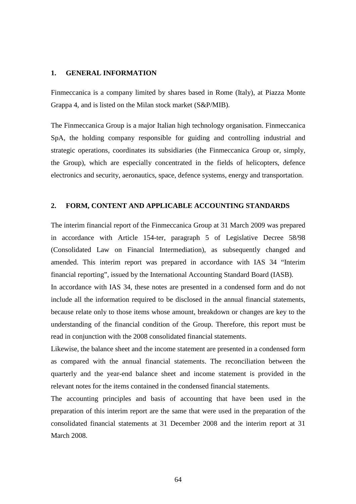### **1. GENERAL INFORMATION**

Finmeccanica is a company limited by shares based in Rome (Italy), at Piazza Monte Grappa 4, and is listed on the Milan stock market (S&P/MIB).

The Finmeccanica Group is a major Italian high technology organisation. Finmeccanica SpA, the holding company responsible for guiding and controlling industrial and strategic operations, coordinates its subsidiaries (the Finmeccanica Group or, simply, the Group), which are especially concentrated in the fields of helicopters, defence electronics and security, aeronautics, space, defence systems, energy and transportation.

### **2. FORM, CONTENT AND APPLICABLE ACCOUNTING STANDARDS**

The interim financial report of the Finmeccanica Group at 31 March 2009 was prepared in accordance with Article 154-ter, paragraph 5 of Legislative Decree 58/98 (Consolidated Law on Financial Intermediation), as subsequently changed and amended. This interim report was prepared in accordance with IAS 34 "Interim financial reporting", issued by the International Accounting Standard Board (IASB).

In accordance with IAS 34, these notes are presented in a condensed form and do not include all the information required to be disclosed in the annual financial statements, because relate only to those items whose amount, breakdown or changes are key to the understanding of the financial condition of the Group. Therefore, this report must be read in conjunction with the 2008 consolidated financial statements.

Likewise, the balance sheet and the income statement are presented in a condensed form as compared with the annual financial statements. The reconciliation between the quarterly and the year-end balance sheet and income statement is provided in the relevant notes for the items contained in the condensed financial statements.

The accounting principles and basis of accounting that have been used in the preparation of this interim report are the same that were used in the preparation of the consolidated financial statements at 31 December 2008 and the interim report at 31 March 2008.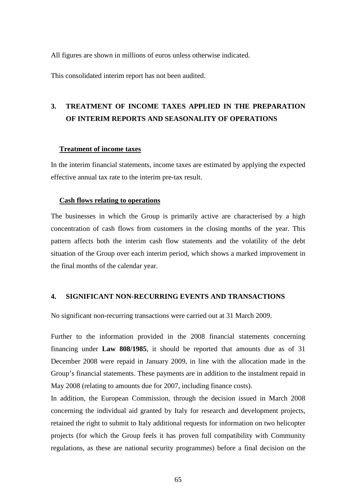All figures are shown in millions of euros unless otherwise indicated.

This consolidated interim report has not been audited.

# **3. TREATMENT OF INCOME TAXES APPLIED IN THE PREPARATION OF INTERIM REPORTS AND SEASONALITY OF OPERATIONS**

#### **Treatment of income taxes**

In the interim financial statements, income taxes are estimated by applying the expected effective annual tax rate to the interim pre-tax result.

### **Cash flows relating to operations**

The businesses in which the Group is primarily active are characterised by a high concentration of cash flows from customers in the closing months of the year. This pattern affects both the interim cash flow statements and the volatility of the debt situation of the Group over each interim period, which shows a marked improvement in the final months of the calendar year.

## **4. SIGNIFICANT NON-RECURRING EVENTS AND TRANSACTIONS**

No significant non-recurring transactions were carried out at 31 March 2009.

Further to the information provided in the 2008 financial statements concerning financing under **Law 808/1985**, it should be reported that amounts due as of 31 December 2008 were repaid in January 2009, in line with the allocation made in the Group's financial statements. These payments are in addition to the instalment repaid in May 2008 (relating to amounts due for 2007, including finance costs).

In addition, the European Commission, through the decision issued in March 2008 concerning the individual aid granted by Italy for research and development projects, retained the right to submit to Italy additional requests for information on two helicopter projects (for which the Group feels it has proven full compatibility with Community regulations, as these are national security programmes) before a final decision on the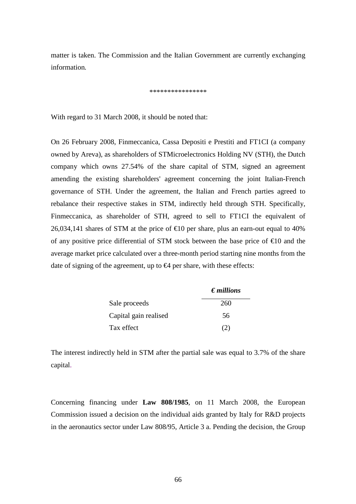matter is taken. The Commission and the Italian Government are currently exchanging information*.*

\*\*\*\*\*\*\*\*\*\*\*\*\*\*\*\*

With regard to 31 March 2008, it should be noted that:

On 26 February 2008, Finmeccanica, Cassa Depositi e Prestiti and FT1CI (a company owned by Areva), as shareholders of STMicroelectronics Holding NV (STH), the Dutch company which owns 27.54% of the share capital of STM, signed an agreement amending the existing shareholders' agreement concerning the joint Italian-French governance of STH. Under the agreement, the Italian and French parties agreed to rebalance their respective stakes in STM, indirectly held through STH. Specifically, Finmeccanica, as shareholder of STH, agreed to sell to FT1CI the equivalent of 26,034,141 shares of STM at the price of  $\epsilon$ 10 per share, plus an earn-out equal to 40% of any positive price differential of STM stock between the base price of  $\epsilon$ 10 and the average market price calculated over a three-month period starting nine months from the date of signing of the agreement, up to  $\epsilon$ 4 per share, with these effects:

|                       | $\epsilon$ millions |
|-----------------------|---------------------|
| Sale proceeds         | 260                 |
| Capital gain realised | 56                  |
| Tax effect            | (2)                 |

The interest indirectly held in STM after the partial sale was equal to 3.7% of the share capital.

Concerning financing under **Law 808/1985**, on 11 March 2008, the European Commission issued a decision on the individual aids granted by Italy for R&D projects in the aeronautics sector under Law 808/95, Article 3 a. Pending the decision, the Group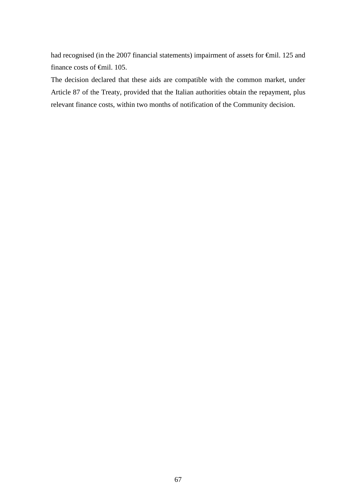had recognised (in the 2007 financial statements) impairment of assets for €mil. 125 and finance costs of €mil. 105.

The decision declared that these aids are compatible with the common market, under Article 87 of the Treaty, provided that the Italian authorities obtain the repayment, plus relevant finance costs, within two months of notification of the Community decision.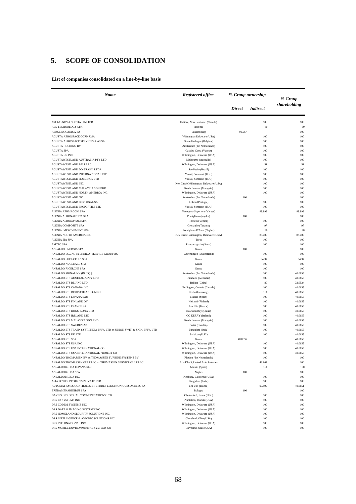## **5. SCOPE OF CONSOLIDATION**

**List of companies consolidated on a line-by-line basis**

| Name                                                                      | <b>Registered office</b>                            | % Group ownership |                 | % Group            |
|---------------------------------------------------------------------------|-----------------------------------------------------|-------------------|-----------------|--------------------|
|                                                                           |                                                     | <b>Direct</b>     | <b>Indirect</b> | shareholding       |
| 3083683 NOVA SCOTIA LIMITED                                               | Halifax, New Scotland (Canada)                      |                   | 100             | 100                |
| ABS TECHNOLOGY SPA                                                        | Florence                                            |                   | 60              | 60                 |
| AEROMECCANICA SA                                                          | Luxembourg                                          | 99.967            |                 | 100                |
| AGUSTA AEROSPACE CORP. USA                                                | Wilmington Delaware (USA)                           |                   | 100             | 100                |
| AGUSTA AEROSPACE SERVICES A.AS SA                                         | Grace Hollogne (Belgium)                            |                   | 100             | 100                |
| <b>AGUSTA HOLDING BV</b>                                                  | Amsterdam (the Netherlands)                         |                   | 100             | 100                |
| <b>AGUSTA SPA</b>                                                         | Cascina Costa (Varese)                              |                   | 100             | 100<br>100         |
| AGUSTA US INC<br>AGUSTAWESTLAND AUSTRALIA PTY LTD                         | Wilmington, Delaware (USA)<br>Melbourne (Australia) |                   | 100<br>100      | 100                |
| AGUSTAWESTLAND BELL LLC                                                   | Wilmington, Delaware (USA)                          |                   | 51              | 51                 |
| AGUSTAWESTLAND DO BRASIL LTDA                                             | Sao Paulo (Brazil)                                  |                   | 100             | 100                |
| AGUSTAWESTLAND INTERNATIONAL LTD                                          | Yeovil, Somerset (U.K.)                             |                   | 100             | 100                |
| AGUSTAWESTLAND HOLDINGS LTD                                               | Yeovil, Somerset (U.K.)                             |                   | 100             | 100                |
| AGUSTAWESTLAND INC                                                        | Nex Castle, Wilmington, Delaware (USA)              |                   | 100             | 100                |
| AGUSTAWESTLAND MALAYSIA SDN BHD                                           | Kuala Lumpur (Malaysia)                             |                   | 100             | 100                |
| AGUSTAWESTLAND NORTH AMERICA INC                                          | Wilmington, Delaware (USA)                          |                   | 100             | 100                |
| AGUSTAWESTLAND NV                                                         | Amsterdam (the Netherlands)                         | 100               |                 | 100                |
| AGUSTAWESTLAND PORTUGAL SA                                                | Lisbon (Portugal)                                   |                   | 100             | 100                |
| AGUSTAWESTLAND PROPERTIES LTD                                             | Yeovil, Somerset (U.K.)                             |                   | 100             | 100                |
| ALENIA AERMACCHI SPA                                                      | Venegono Superiore (Varese)                         |                   | 99.998          | 99.998             |
| ALENIA AERONAUTICA SPA                                                    | Pomigliano (Naples)                                 | 100               |                 | 100                |
| ALENIA AERONAVALI SPA                                                     | Tessera (Venice)                                    |                   | 100             | 100<br>97          |
| ALENIA COMPOSITE SPA<br>ALENIA IMPROVEMENT SPA                            | Grottaglie (Taranto)<br>Pomigliano D'Arco (Naples)  |                   | 97<br>98        | 98                 |
| ALENIA NORTH AMERICA INC                                                  | Nex Castle, Wilmington, Delaware (USA)              |                   | 88.409          | 88.409             |
| <b>ALENIA SIA SPA</b>                                                     | Turin                                               |                   | 100             | 100                |
| <b>AMTEC SPA</b>                                                          | Piancastagnaio (Siena)                              |                   | 100             | 100                |
| ANSALDO ENERGIA SPA                                                       | Genoa                                               | 100               |                 | 100                |
| ANSALDO ESG AG ex ENERGY SERVICE GROUP AG                                 | Wurenlingen (Switzerland)                           |                   | 100             | 100                |
| ANSALDO FUEL CELLS SPA                                                    | Genoa                                               |                   | 94.37           | 94.37              |
| ANSALDO NUCLEARE SPA                                                      | Genoa                                               |                   | 100             | 100                |
| ANSALDO RICERCHE SPA                                                      | Genoa                                               |                   | 100             | 100                |
| ANSALDO SIGNAL NV (IN LIQ.)                                               | Amsterdam (the Netherlands)                         |                   | 100             | 40.0655            |
| ANSALDO STS AUSTRALIA PTY LTD                                             | Birsbane (Australia)                                |                   | 100             | 40.0655            |
| ANSALDO STS BEIJING LTD                                                   | Beijing (China)                                     |                   | 80              | 32.0524            |
| ANSALDO STS CANADA INC.                                                   | Burlington, Ontario (Canada)                        |                   | 100             | 40.0655            |
| ANSALDO STS DEUTSCHLAND GMBH                                              | Berlin (Germany)                                    |                   | 100             | 40.0655            |
| ANSALDO STS ESPANA SAU                                                    | Madrid (Spain)                                      |                   | 100             | 40.0655            |
| ANSALDO STS FINLAND OY                                                    | Helsinki (Finland)                                  |                   | 100             | 40.0655            |
| ANSALDO STS FRANCE SA<br>ANSALDO STS HONG KONG LTD                        | Les Ulis (France)<br>Kowloon Bay (China)            |                   | 100<br>100      | 40.0655<br>40.0655 |
| ANSALDO STS IRELAND LTD                                                   | CO KERRY (Ireland)                                  |                   | 100             | 40.0655            |
| ANSALDO STS MALAYSIA SDN BHD                                              | Kuala Lumpur (Malaysia)                             |                   | 100             | 40.0655            |
| ANSALDO STS SWEDEN AB                                                     | Solna (Sweden)                                      |                   | 100             | 40.0655            |
| ANSALDO STS TRASP. SYST. INDIA PRIV. LTD ex UNION SWIT. & SIGN. PRIV. LTD | Bangalore (India)                                   |                   | 100             | 40.0655            |
| ANSALDO STS UK LTD                                                        | Barbican (U.K.)                                     |                   | 100             | 40.0655            |
| ANSALDO STS SPA                                                           | Genoa                                               | 40.0655           |                 | 40.0655            |
| ANSALDO STS USA INC                                                       | Wilmington, Delaware (USA)                          |                   | 100             | 40.0655            |
| ANSALDO STS USA INTERNATIONAL CO                                          | Wilmington, Delaware (USA)                          |                   | 100             | 40.0655            |
| ANSALDO STS USA INTERNATIONAL PROJECT CO                                  | Wilmington, Delaware (USA)                          |                   | 100             | 40.0655            |
| ANSALDO THOMASSEN BV ex THOMASSEN TURBINE SYSTEMS BV                      | Rheden (the Netherlands)                            |                   | 100             | 100                |
| ANSALDO THOMASSEN GULF LLC ex THOMASSEN SERVICE GULF LLC                  | Abu Dhabi, United Arab Emirates                     |                   | 48.667          | 100                |
| ANSALDOBREDA ESPANA SLU<br>ANSALDOBREDA SPA                               | Madrid (Spain)                                      |                   | 100             | 100                |
| ANSALDOBREDA INC                                                          | Naples                                              | 100               |                 | 100<br>100         |
| ASIA POWER PROJECTS PRIVATE LTD                                           | Pittsburg, California (USA)<br>Bangalore (India)    |                   | 100<br>100      | 100                |
| AUTOMATISMES CONTROLES ET ETUDES ELECTRONIQUES ACELEC SA                  | Les Ulis (France)                                   |                   | 99.999          | 40.0651            |
| BREDAMENARINIBUS SPA                                                      | Bologna                                             | 100               |                 | 100                |
| DAVIES INDUSTRIAL COMMUNICATIONS LTD                                      | Chelmsford, Essex (U.K.)                            |                   | 100             | 100                |
| DRS C3 SYSTEMS INC                                                        | Plantation, Florida (USA)                           |                   | 100             | 100                |
| DRS CODEM SYSTEMS INC                                                     | Wilmington, Delaware (USA)                          |                   | 100             | 100                |
| DRS DATA & IMAGING SYSTEMS INC                                            | Wilmington, Delaware (USA)                          |                   | 100             | 100                |
| DRS HOMELAND SECURITY SOLUTIONS INC                                       | Wilmington, Delaware (USA)                          |                   | 100             | 100                |
| DRS INTELLIGENCE & AVIONIC SOLUTIONS INC                                  | Cleveland, Ohio (USA)                               |                   | 100             | 100                |
| DRS INTERNATIONAL INC                                                     | Wilmington, Delaware (USA)                          |                   | 100             | 100                |
| DRS MOBILE ENVIRONMENTAL SYSTEMS CO                                       | Cleveland, Ohio (USA)                               |                   | 100             | 100                |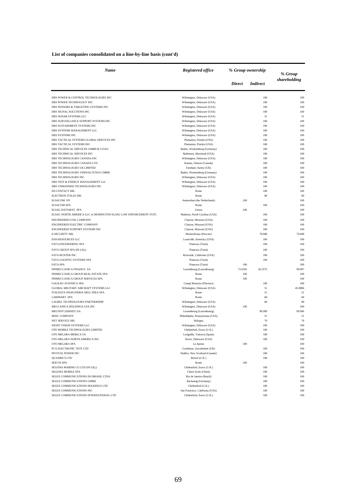|  |  |  | List of companies consolidated on a line-by-line basis (cont'd) |  |
|--|--|--|-----------------------------------------------------------------|--|
|--|--|--|-----------------------------------------------------------------|--|

| shareholding<br><b>Direct</b><br><b>Indirect</b><br>DRS POWER & CONTROL TECHNOLOGIES INC<br>Wilmington, Delaware (USA)<br>100<br>100<br>DRS POWER TECHNOLOGY INC<br>Wilmington, Delaware (USA)<br>100<br>100<br>DRS SENSORS & TARGETING SYSTEMS INC<br>100<br>100<br>Wilmington, Delaware (USA)<br>Wilmington, Delaware (USA)<br>DRS SIGNAL SOLUTIONS INC<br>100<br>100<br>DRS SONAR SYSTEMS LLC<br>Wilmington, Delaware (USA)<br>51<br>51<br>DRS SURVEILLANCE SUPPORT SYSTEMS INC<br>Wilmington, Delaware (USA)<br>100<br>100<br>DRS SUSTAINMENT SYSTEMS INC<br>Wilmington, Delaware (USA)<br>100<br>100<br>DRS SYSTEMS MANAGEMENT LLC<br>100<br>Wilmington, Delaware (USA)<br>100<br>100<br>DRS SYSTEMS INC<br>Wilmington, Delaware (USA)<br>100<br>DRS TACTICAL SYSTEMS GLOBAL SERVICES INC<br>Plantation, Florida (USA)<br>100<br>100<br>DRS TACTICAL SYSTEMS INC<br>Plantation, Florida (USA)<br>100<br>100<br>DRS TECHNICAL SERVICES GMBH & CO KG<br>Baden, Wurttemberg (Germany)<br>100<br>100<br>DRS TECHNICAL SERVICES INC<br>100<br>100<br>Baltimora, Maryland (USA)<br>DRS TECHNOLOGIES CANADA INC<br>Wilmington, Delaware (USA)<br>100<br>100<br>DRS TECHNOLOGIES CANADA LTD<br>Kanata, Ontario (Canada)<br>100<br>100<br>DRS TECHNOLOGIES UK LIMITED<br>Farnham, Surrey (UK)<br>100<br>100<br>DRS TECHNOLOGIES VERWALTUNGS GMBH<br>Baden, Wurttemberg (Germany)<br>100<br>100<br>DRS TECHNOLOGIES INC<br>100<br>100<br>Wilmington, Delaware (USA)<br>DRS TEST & ENERGY MANAGEMENT LLC<br>Wilmington, Delaware (USA)<br>100<br>100<br>DRS UNMANNED TECHNOLOGIES INC<br>100<br>Wilmington, Delaware (USA)<br>100<br>ED CONTACT SRL<br>Rome<br>100<br>100<br>ELECTRON ITALIA SRL<br>Rome<br>80<br>80<br><b>ELSACOM NV</b><br>100<br>100<br>Amsterdam (the Netherlands)<br><b>ELSACOM SPA</b><br>Rome<br>100<br>100<br>100<br><b>ELSAG DATAMAT SPA</b><br>Genoa<br>100<br>ELSAG NORTH AMERICA LLC ex REMINGTON ELSAG LAW ENFORCEMENT SYST.<br>Madison, North Carolina (USA)<br>100<br>100<br>ENGINEERED COIL COMPANY<br>Clayton, Missouri (USA)<br>100<br>100<br>ENGINEERED ELECTRIC COMPANY<br>100<br>100<br>Clayton, Missouri (USA)<br>ENGINEERED SUPPORT SYSTEMS INC<br>Clayton, Missouri (USA)<br>100<br>100<br><b>E-SECURITY SRL</b><br>Montesilvano (Pescara)<br>79.688<br>79.688<br><b>ESSI RESOURCES LLC</b><br>Louisville, Krntucky (USA)<br>100<br>100<br><b>FATA ENGINEERING SPA</b><br>Pianezza (Turin)<br>100<br>100<br>FATA GROUP SPA (IN LIQ.)<br>Pianezza (Turin)<br>100<br>100<br><b>FATA HUNTER INC</b><br>Riverside, California (USA)<br>100<br>100<br>FATA LOGISTIC SYSTEMS SPA<br>Pianezza (Turin)<br>100<br>100<br><b>FATA SPA</b><br>Pianezza (Turin)<br>100<br>100<br>FINMECCANICA FINANCE SA<br>Luxembourg (Luxembourg)<br>73.6395<br>26.3575<br>99.997<br>FINMECCANICA GROUP REAL ESTATE SPA<br>Rome<br>100<br>100<br>FINMECCANICA GROUP SERVICES SPA<br>100<br>100<br>Rome<br><b>GALILEO AVIONICA SPA</b><br>Campi Bisenzio (Florence)<br>100<br>100<br>GLOBAL MILITARY AIRCRAFT SYSTEMS LLC<br>Wilmington, Delaware (USA)<br>45.0886<br>51<br>ITALDATA INGEGNERIA DELL'IDEA SPA<br>Rome<br>51<br>51<br><b>LARIMART SPA</b><br>Rome<br>60<br>60<br>LAUREL TECHNOLOGIES PARTNERSHIP<br>80<br>Wilmington, Delaware (USA)<br>80<br>MECCANICA HOLDINGS USA INC<br>Wilmington, Delaware (USA)<br>100<br>100<br>MECFINT (JERSEY) SA<br>Luxembourg (Luxembourg)<br>99.999<br>99.996<br><b>MSSC COMPANY</b><br>Philadelphia, Pennsylvania (USA)<br>51<br>51<br><b>NET SERVICE SRL</b><br>Bologna<br>70<br>70<br>NIGHT VISION SYSTEMS LLC<br>Wilmington, Delaware (USA)<br>100<br>100<br>OTE MOBILE TECHNOLOGIES LIMITED<br>Chelmsford, Essex (U.K.)<br>100<br>100<br>100<br>OTO MELARA IBERICA SA<br>Loriguilla, Valencia (Spain)<br>100<br>OTO MELARA NORTH AMERICA INC<br>Dover, Delaware (USA)<br>100<br>100<br>OTO MELARA SPA<br>100<br>La Spezia<br>100<br>PCA ELECTRONIC TEST LTD<br>Grantham, Lincolnshire (UK)<br>100<br>100<br>PIVOTAL POWER INC<br>Halifax, New Scotland (Canada)<br>100<br>100<br><b>QUADRICS LTD</b><br>Bristol (U.K.)<br>100<br>100<br><b>SEICOS SPA</b><br>Rome<br>100<br>100<br>SELENIA MARINE CO LTD (IN LIQ.)<br>Chelmsford, Essex (U.K.)<br>100<br>100<br>SELENIA MOBILE SPA<br>Chieti Scalo (Chieti)<br>100<br>100<br>SELEX COMMUNICATIONS DO BRASIL LTDA<br>Rio de Janeiro (Brazil)<br>100<br>100<br>SELEX COMMUNICATIONS GMBH<br>Backnang (Germany)<br>100<br>100<br>SELEX COMMUNICATIONS HOLDINGS LTD<br>Chelmsford (U.K.)<br>100<br>100<br>SELEX COMMUNICATIONS INC<br>San Francisco, California (USA)<br>100<br>100<br>SELEX COMMUNICATIONS INTERNATIONAL LTD<br>Chelmsford, Essex (U.K.)<br>100<br>100 | Name | Registered office | % Group ownership | % Group |
|-----------------------------------------------------------------------------------------------------------------------------------------------------------------------------------------------------------------------------------------------------------------------------------------------------------------------------------------------------------------------------------------------------------------------------------------------------------------------------------------------------------------------------------------------------------------------------------------------------------------------------------------------------------------------------------------------------------------------------------------------------------------------------------------------------------------------------------------------------------------------------------------------------------------------------------------------------------------------------------------------------------------------------------------------------------------------------------------------------------------------------------------------------------------------------------------------------------------------------------------------------------------------------------------------------------------------------------------------------------------------------------------------------------------------------------------------------------------------------------------------------------------------------------------------------------------------------------------------------------------------------------------------------------------------------------------------------------------------------------------------------------------------------------------------------------------------------------------------------------------------------------------------------------------------------------------------------------------------------------------------------------------------------------------------------------------------------------------------------------------------------------------------------------------------------------------------------------------------------------------------------------------------------------------------------------------------------------------------------------------------------------------------------------------------------------------------------------------------------------------------------------------------------------------------------------------------------------------------------------------------------------------------------------------------------------------------------------------------------------------------------------------------------------------------------------------------------------------------------------------------------------------------------------------------------------------------------------------------------------------------------------------------------------------------------------------------------------------------------------------------------------------------------------------------------------------------------------------------------------------------------------------------------------------------------------------------------------------------------------------------------------------------------------------------------------------------------------------------------------------------------------------------------------------------------------------------------------------------------------------------------------------------------------------------------------------------------------------------------------------------------------------------------------------------------------------------------------------------------------------------------------------------------------------------------------------------------------------------------------------------------------------------------------------------------------------------------------------------------------------------------------------------------------------------------------------------------------------------------------------------------------------------------------------------------------------------------------------------------------------------------------------------------------------------------------------------------------------------------------------------------------------------------------------------------------------------------------------------------------------------------------------------------------------------------|------|-------------------|-------------------|---------|
|                                                                                                                                                                                                                                                                                                                                                                                                                                                                                                                                                                                                                                                                                                                                                                                                                                                                                                                                                                                                                                                                                                                                                                                                                                                                                                                                                                                                                                                                                                                                                                                                                                                                                                                                                                                                                                                                                                                                                                                                                                                                                                                                                                                                                                                                                                                                                                                                                                                                                                                                                                                                                                                                                                                                                                                                                                                                                                                                                                                                                                                                                                                                                                                                                                                                                                                                                                                                                                                                                                                                                                                                                                                                                                                                                                                                                                                                                                                                                                                                                                                                                                                                                                                                                                                                                                                                                                                                                                                                                                                                                                                                                                                                             |      |                   |                   |         |
|                                                                                                                                                                                                                                                                                                                                                                                                                                                                                                                                                                                                                                                                                                                                                                                                                                                                                                                                                                                                                                                                                                                                                                                                                                                                                                                                                                                                                                                                                                                                                                                                                                                                                                                                                                                                                                                                                                                                                                                                                                                                                                                                                                                                                                                                                                                                                                                                                                                                                                                                                                                                                                                                                                                                                                                                                                                                                                                                                                                                                                                                                                                                                                                                                                                                                                                                                                                                                                                                                                                                                                                                                                                                                                                                                                                                                                                                                                                                                                                                                                                                                                                                                                                                                                                                                                                                                                                                                                                                                                                                                                                                                                                                             |      |                   |                   |         |
|                                                                                                                                                                                                                                                                                                                                                                                                                                                                                                                                                                                                                                                                                                                                                                                                                                                                                                                                                                                                                                                                                                                                                                                                                                                                                                                                                                                                                                                                                                                                                                                                                                                                                                                                                                                                                                                                                                                                                                                                                                                                                                                                                                                                                                                                                                                                                                                                                                                                                                                                                                                                                                                                                                                                                                                                                                                                                                                                                                                                                                                                                                                                                                                                                                                                                                                                                                                                                                                                                                                                                                                                                                                                                                                                                                                                                                                                                                                                                                                                                                                                                                                                                                                                                                                                                                                                                                                                                                                                                                                                                                                                                                                                             |      |                   |                   |         |
|                                                                                                                                                                                                                                                                                                                                                                                                                                                                                                                                                                                                                                                                                                                                                                                                                                                                                                                                                                                                                                                                                                                                                                                                                                                                                                                                                                                                                                                                                                                                                                                                                                                                                                                                                                                                                                                                                                                                                                                                                                                                                                                                                                                                                                                                                                                                                                                                                                                                                                                                                                                                                                                                                                                                                                                                                                                                                                                                                                                                                                                                                                                                                                                                                                                                                                                                                                                                                                                                                                                                                                                                                                                                                                                                                                                                                                                                                                                                                                                                                                                                                                                                                                                                                                                                                                                                                                                                                                                                                                                                                                                                                                                                             |      |                   |                   |         |
|                                                                                                                                                                                                                                                                                                                                                                                                                                                                                                                                                                                                                                                                                                                                                                                                                                                                                                                                                                                                                                                                                                                                                                                                                                                                                                                                                                                                                                                                                                                                                                                                                                                                                                                                                                                                                                                                                                                                                                                                                                                                                                                                                                                                                                                                                                                                                                                                                                                                                                                                                                                                                                                                                                                                                                                                                                                                                                                                                                                                                                                                                                                                                                                                                                                                                                                                                                                                                                                                                                                                                                                                                                                                                                                                                                                                                                                                                                                                                                                                                                                                                                                                                                                                                                                                                                                                                                                                                                                                                                                                                                                                                                                                             |      |                   |                   |         |
|                                                                                                                                                                                                                                                                                                                                                                                                                                                                                                                                                                                                                                                                                                                                                                                                                                                                                                                                                                                                                                                                                                                                                                                                                                                                                                                                                                                                                                                                                                                                                                                                                                                                                                                                                                                                                                                                                                                                                                                                                                                                                                                                                                                                                                                                                                                                                                                                                                                                                                                                                                                                                                                                                                                                                                                                                                                                                                                                                                                                                                                                                                                                                                                                                                                                                                                                                                                                                                                                                                                                                                                                                                                                                                                                                                                                                                                                                                                                                                                                                                                                                                                                                                                                                                                                                                                                                                                                                                                                                                                                                                                                                                                                             |      |                   |                   |         |
|                                                                                                                                                                                                                                                                                                                                                                                                                                                                                                                                                                                                                                                                                                                                                                                                                                                                                                                                                                                                                                                                                                                                                                                                                                                                                                                                                                                                                                                                                                                                                                                                                                                                                                                                                                                                                                                                                                                                                                                                                                                                                                                                                                                                                                                                                                                                                                                                                                                                                                                                                                                                                                                                                                                                                                                                                                                                                                                                                                                                                                                                                                                                                                                                                                                                                                                                                                                                                                                                                                                                                                                                                                                                                                                                                                                                                                                                                                                                                                                                                                                                                                                                                                                                                                                                                                                                                                                                                                                                                                                                                                                                                                                                             |      |                   |                   |         |
|                                                                                                                                                                                                                                                                                                                                                                                                                                                                                                                                                                                                                                                                                                                                                                                                                                                                                                                                                                                                                                                                                                                                                                                                                                                                                                                                                                                                                                                                                                                                                                                                                                                                                                                                                                                                                                                                                                                                                                                                                                                                                                                                                                                                                                                                                                                                                                                                                                                                                                                                                                                                                                                                                                                                                                                                                                                                                                                                                                                                                                                                                                                                                                                                                                                                                                                                                                                                                                                                                                                                                                                                                                                                                                                                                                                                                                                                                                                                                                                                                                                                                                                                                                                                                                                                                                                                                                                                                                                                                                                                                                                                                                                                             |      |                   |                   |         |
|                                                                                                                                                                                                                                                                                                                                                                                                                                                                                                                                                                                                                                                                                                                                                                                                                                                                                                                                                                                                                                                                                                                                                                                                                                                                                                                                                                                                                                                                                                                                                                                                                                                                                                                                                                                                                                                                                                                                                                                                                                                                                                                                                                                                                                                                                                                                                                                                                                                                                                                                                                                                                                                                                                                                                                                                                                                                                                                                                                                                                                                                                                                                                                                                                                                                                                                                                                                                                                                                                                                                                                                                                                                                                                                                                                                                                                                                                                                                                                                                                                                                                                                                                                                                                                                                                                                                                                                                                                                                                                                                                                                                                                                                             |      |                   |                   |         |
|                                                                                                                                                                                                                                                                                                                                                                                                                                                                                                                                                                                                                                                                                                                                                                                                                                                                                                                                                                                                                                                                                                                                                                                                                                                                                                                                                                                                                                                                                                                                                                                                                                                                                                                                                                                                                                                                                                                                                                                                                                                                                                                                                                                                                                                                                                                                                                                                                                                                                                                                                                                                                                                                                                                                                                                                                                                                                                                                                                                                                                                                                                                                                                                                                                                                                                                                                                                                                                                                                                                                                                                                                                                                                                                                                                                                                                                                                                                                                                                                                                                                                                                                                                                                                                                                                                                                                                                                                                                                                                                                                                                                                                                                             |      |                   |                   |         |
|                                                                                                                                                                                                                                                                                                                                                                                                                                                                                                                                                                                                                                                                                                                                                                                                                                                                                                                                                                                                                                                                                                                                                                                                                                                                                                                                                                                                                                                                                                                                                                                                                                                                                                                                                                                                                                                                                                                                                                                                                                                                                                                                                                                                                                                                                                                                                                                                                                                                                                                                                                                                                                                                                                                                                                                                                                                                                                                                                                                                                                                                                                                                                                                                                                                                                                                                                                                                                                                                                                                                                                                                                                                                                                                                                                                                                                                                                                                                                                                                                                                                                                                                                                                                                                                                                                                                                                                                                                                                                                                                                                                                                                                                             |      |                   |                   |         |
|                                                                                                                                                                                                                                                                                                                                                                                                                                                                                                                                                                                                                                                                                                                                                                                                                                                                                                                                                                                                                                                                                                                                                                                                                                                                                                                                                                                                                                                                                                                                                                                                                                                                                                                                                                                                                                                                                                                                                                                                                                                                                                                                                                                                                                                                                                                                                                                                                                                                                                                                                                                                                                                                                                                                                                                                                                                                                                                                                                                                                                                                                                                                                                                                                                                                                                                                                                                                                                                                                                                                                                                                                                                                                                                                                                                                                                                                                                                                                                                                                                                                                                                                                                                                                                                                                                                                                                                                                                                                                                                                                                                                                                                                             |      |                   |                   |         |
|                                                                                                                                                                                                                                                                                                                                                                                                                                                                                                                                                                                                                                                                                                                                                                                                                                                                                                                                                                                                                                                                                                                                                                                                                                                                                                                                                                                                                                                                                                                                                                                                                                                                                                                                                                                                                                                                                                                                                                                                                                                                                                                                                                                                                                                                                                                                                                                                                                                                                                                                                                                                                                                                                                                                                                                                                                                                                                                                                                                                                                                                                                                                                                                                                                                                                                                                                                                                                                                                                                                                                                                                                                                                                                                                                                                                                                                                                                                                                                                                                                                                                                                                                                                                                                                                                                                                                                                                                                                                                                                                                                                                                                                                             |      |                   |                   |         |
|                                                                                                                                                                                                                                                                                                                                                                                                                                                                                                                                                                                                                                                                                                                                                                                                                                                                                                                                                                                                                                                                                                                                                                                                                                                                                                                                                                                                                                                                                                                                                                                                                                                                                                                                                                                                                                                                                                                                                                                                                                                                                                                                                                                                                                                                                                                                                                                                                                                                                                                                                                                                                                                                                                                                                                                                                                                                                                                                                                                                                                                                                                                                                                                                                                                                                                                                                                                                                                                                                                                                                                                                                                                                                                                                                                                                                                                                                                                                                                                                                                                                                                                                                                                                                                                                                                                                                                                                                                                                                                                                                                                                                                                                             |      |                   |                   |         |
|                                                                                                                                                                                                                                                                                                                                                                                                                                                                                                                                                                                                                                                                                                                                                                                                                                                                                                                                                                                                                                                                                                                                                                                                                                                                                                                                                                                                                                                                                                                                                                                                                                                                                                                                                                                                                                                                                                                                                                                                                                                                                                                                                                                                                                                                                                                                                                                                                                                                                                                                                                                                                                                                                                                                                                                                                                                                                                                                                                                                                                                                                                                                                                                                                                                                                                                                                                                                                                                                                                                                                                                                                                                                                                                                                                                                                                                                                                                                                                                                                                                                                                                                                                                                                                                                                                                                                                                                                                                                                                                                                                                                                                                                             |      |                   |                   |         |
|                                                                                                                                                                                                                                                                                                                                                                                                                                                                                                                                                                                                                                                                                                                                                                                                                                                                                                                                                                                                                                                                                                                                                                                                                                                                                                                                                                                                                                                                                                                                                                                                                                                                                                                                                                                                                                                                                                                                                                                                                                                                                                                                                                                                                                                                                                                                                                                                                                                                                                                                                                                                                                                                                                                                                                                                                                                                                                                                                                                                                                                                                                                                                                                                                                                                                                                                                                                                                                                                                                                                                                                                                                                                                                                                                                                                                                                                                                                                                                                                                                                                                                                                                                                                                                                                                                                                                                                                                                                                                                                                                                                                                                                                             |      |                   |                   |         |
|                                                                                                                                                                                                                                                                                                                                                                                                                                                                                                                                                                                                                                                                                                                                                                                                                                                                                                                                                                                                                                                                                                                                                                                                                                                                                                                                                                                                                                                                                                                                                                                                                                                                                                                                                                                                                                                                                                                                                                                                                                                                                                                                                                                                                                                                                                                                                                                                                                                                                                                                                                                                                                                                                                                                                                                                                                                                                                                                                                                                                                                                                                                                                                                                                                                                                                                                                                                                                                                                                                                                                                                                                                                                                                                                                                                                                                                                                                                                                                                                                                                                                                                                                                                                                                                                                                                                                                                                                                                                                                                                                                                                                                                                             |      |                   |                   |         |
|                                                                                                                                                                                                                                                                                                                                                                                                                                                                                                                                                                                                                                                                                                                                                                                                                                                                                                                                                                                                                                                                                                                                                                                                                                                                                                                                                                                                                                                                                                                                                                                                                                                                                                                                                                                                                                                                                                                                                                                                                                                                                                                                                                                                                                                                                                                                                                                                                                                                                                                                                                                                                                                                                                                                                                                                                                                                                                                                                                                                                                                                                                                                                                                                                                                                                                                                                                                                                                                                                                                                                                                                                                                                                                                                                                                                                                                                                                                                                                                                                                                                                                                                                                                                                                                                                                                                                                                                                                                                                                                                                                                                                                                                             |      |                   |                   |         |
|                                                                                                                                                                                                                                                                                                                                                                                                                                                                                                                                                                                                                                                                                                                                                                                                                                                                                                                                                                                                                                                                                                                                                                                                                                                                                                                                                                                                                                                                                                                                                                                                                                                                                                                                                                                                                                                                                                                                                                                                                                                                                                                                                                                                                                                                                                                                                                                                                                                                                                                                                                                                                                                                                                                                                                                                                                                                                                                                                                                                                                                                                                                                                                                                                                                                                                                                                                                                                                                                                                                                                                                                                                                                                                                                                                                                                                                                                                                                                                                                                                                                                                                                                                                                                                                                                                                                                                                                                                                                                                                                                                                                                                                                             |      |                   |                   |         |
|                                                                                                                                                                                                                                                                                                                                                                                                                                                                                                                                                                                                                                                                                                                                                                                                                                                                                                                                                                                                                                                                                                                                                                                                                                                                                                                                                                                                                                                                                                                                                                                                                                                                                                                                                                                                                                                                                                                                                                                                                                                                                                                                                                                                                                                                                                                                                                                                                                                                                                                                                                                                                                                                                                                                                                                                                                                                                                                                                                                                                                                                                                                                                                                                                                                                                                                                                                                                                                                                                                                                                                                                                                                                                                                                                                                                                                                                                                                                                                                                                                                                                                                                                                                                                                                                                                                                                                                                                                                                                                                                                                                                                                                                             |      |                   |                   |         |
|                                                                                                                                                                                                                                                                                                                                                                                                                                                                                                                                                                                                                                                                                                                                                                                                                                                                                                                                                                                                                                                                                                                                                                                                                                                                                                                                                                                                                                                                                                                                                                                                                                                                                                                                                                                                                                                                                                                                                                                                                                                                                                                                                                                                                                                                                                                                                                                                                                                                                                                                                                                                                                                                                                                                                                                                                                                                                                                                                                                                                                                                                                                                                                                                                                                                                                                                                                                                                                                                                                                                                                                                                                                                                                                                                                                                                                                                                                                                                                                                                                                                                                                                                                                                                                                                                                                                                                                                                                                                                                                                                                                                                                                                             |      |                   |                   |         |
|                                                                                                                                                                                                                                                                                                                                                                                                                                                                                                                                                                                                                                                                                                                                                                                                                                                                                                                                                                                                                                                                                                                                                                                                                                                                                                                                                                                                                                                                                                                                                                                                                                                                                                                                                                                                                                                                                                                                                                                                                                                                                                                                                                                                                                                                                                                                                                                                                                                                                                                                                                                                                                                                                                                                                                                                                                                                                                                                                                                                                                                                                                                                                                                                                                                                                                                                                                                                                                                                                                                                                                                                                                                                                                                                                                                                                                                                                                                                                                                                                                                                                                                                                                                                                                                                                                                                                                                                                                                                                                                                                                                                                                                                             |      |                   |                   |         |
|                                                                                                                                                                                                                                                                                                                                                                                                                                                                                                                                                                                                                                                                                                                                                                                                                                                                                                                                                                                                                                                                                                                                                                                                                                                                                                                                                                                                                                                                                                                                                                                                                                                                                                                                                                                                                                                                                                                                                                                                                                                                                                                                                                                                                                                                                                                                                                                                                                                                                                                                                                                                                                                                                                                                                                                                                                                                                                                                                                                                                                                                                                                                                                                                                                                                                                                                                                                                                                                                                                                                                                                                                                                                                                                                                                                                                                                                                                                                                                                                                                                                                                                                                                                                                                                                                                                                                                                                                                                                                                                                                                                                                                                                             |      |                   |                   |         |
|                                                                                                                                                                                                                                                                                                                                                                                                                                                                                                                                                                                                                                                                                                                                                                                                                                                                                                                                                                                                                                                                                                                                                                                                                                                                                                                                                                                                                                                                                                                                                                                                                                                                                                                                                                                                                                                                                                                                                                                                                                                                                                                                                                                                                                                                                                                                                                                                                                                                                                                                                                                                                                                                                                                                                                                                                                                                                                                                                                                                                                                                                                                                                                                                                                                                                                                                                                                                                                                                                                                                                                                                                                                                                                                                                                                                                                                                                                                                                                                                                                                                                                                                                                                                                                                                                                                                                                                                                                                                                                                                                                                                                                                                             |      |                   |                   |         |
|                                                                                                                                                                                                                                                                                                                                                                                                                                                                                                                                                                                                                                                                                                                                                                                                                                                                                                                                                                                                                                                                                                                                                                                                                                                                                                                                                                                                                                                                                                                                                                                                                                                                                                                                                                                                                                                                                                                                                                                                                                                                                                                                                                                                                                                                                                                                                                                                                                                                                                                                                                                                                                                                                                                                                                                                                                                                                                                                                                                                                                                                                                                                                                                                                                                                                                                                                                                                                                                                                                                                                                                                                                                                                                                                                                                                                                                                                                                                                                                                                                                                                                                                                                                                                                                                                                                                                                                                                                                                                                                                                                                                                                                                             |      |                   |                   |         |
|                                                                                                                                                                                                                                                                                                                                                                                                                                                                                                                                                                                                                                                                                                                                                                                                                                                                                                                                                                                                                                                                                                                                                                                                                                                                                                                                                                                                                                                                                                                                                                                                                                                                                                                                                                                                                                                                                                                                                                                                                                                                                                                                                                                                                                                                                                                                                                                                                                                                                                                                                                                                                                                                                                                                                                                                                                                                                                                                                                                                                                                                                                                                                                                                                                                                                                                                                                                                                                                                                                                                                                                                                                                                                                                                                                                                                                                                                                                                                                                                                                                                                                                                                                                                                                                                                                                                                                                                                                                                                                                                                                                                                                                                             |      |                   |                   |         |
|                                                                                                                                                                                                                                                                                                                                                                                                                                                                                                                                                                                                                                                                                                                                                                                                                                                                                                                                                                                                                                                                                                                                                                                                                                                                                                                                                                                                                                                                                                                                                                                                                                                                                                                                                                                                                                                                                                                                                                                                                                                                                                                                                                                                                                                                                                                                                                                                                                                                                                                                                                                                                                                                                                                                                                                                                                                                                                                                                                                                                                                                                                                                                                                                                                                                                                                                                                                                                                                                                                                                                                                                                                                                                                                                                                                                                                                                                                                                                                                                                                                                                                                                                                                                                                                                                                                                                                                                                                                                                                                                                                                                                                                                             |      |                   |                   |         |
|                                                                                                                                                                                                                                                                                                                                                                                                                                                                                                                                                                                                                                                                                                                                                                                                                                                                                                                                                                                                                                                                                                                                                                                                                                                                                                                                                                                                                                                                                                                                                                                                                                                                                                                                                                                                                                                                                                                                                                                                                                                                                                                                                                                                                                                                                                                                                                                                                                                                                                                                                                                                                                                                                                                                                                                                                                                                                                                                                                                                                                                                                                                                                                                                                                                                                                                                                                                                                                                                                                                                                                                                                                                                                                                                                                                                                                                                                                                                                                                                                                                                                                                                                                                                                                                                                                                                                                                                                                                                                                                                                                                                                                                                             |      |                   |                   |         |
|                                                                                                                                                                                                                                                                                                                                                                                                                                                                                                                                                                                                                                                                                                                                                                                                                                                                                                                                                                                                                                                                                                                                                                                                                                                                                                                                                                                                                                                                                                                                                                                                                                                                                                                                                                                                                                                                                                                                                                                                                                                                                                                                                                                                                                                                                                                                                                                                                                                                                                                                                                                                                                                                                                                                                                                                                                                                                                                                                                                                                                                                                                                                                                                                                                                                                                                                                                                                                                                                                                                                                                                                                                                                                                                                                                                                                                                                                                                                                                                                                                                                                                                                                                                                                                                                                                                                                                                                                                                                                                                                                                                                                                                                             |      |                   |                   |         |
|                                                                                                                                                                                                                                                                                                                                                                                                                                                                                                                                                                                                                                                                                                                                                                                                                                                                                                                                                                                                                                                                                                                                                                                                                                                                                                                                                                                                                                                                                                                                                                                                                                                                                                                                                                                                                                                                                                                                                                                                                                                                                                                                                                                                                                                                                                                                                                                                                                                                                                                                                                                                                                                                                                                                                                                                                                                                                                                                                                                                                                                                                                                                                                                                                                                                                                                                                                                                                                                                                                                                                                                                                                                                                                                                                                                                                                                                                                                                                                                                                                                                                                                                                                                                                                                                                                                                                                                                                                                                                                                                                                                                                                                                             |      |                   |                   |         |
|                                                                                                                                                                                                                                                                                                                                                                                                                                                                                                                                                                                                                                                                                                                                                                                                                                                                                                                                                                                                                                                                                                                                                                                                                                                                                                                                                                                                                                                                                                                                                                                                                                                                                                                                                                                                                                                                                                                                                                                                                                                                                                                                                                                                                                                                                                                                                                                                                                                                                                                                                                                                                                                                                                                                                                                                                                                                                                                                                                                                                                                                                                                                                                                                                                                                                                                                                                                                                                                                                                                                                                                                                                                                                                                                                                                                                                                                                                                                                                                                                                                                                                                                                                                                                                                                                                                                                                                                                                                                                                                                                                                                                                                                             |      |                   |                   |         |
|                                                                                                                                                                                                                                                                                                                                                                                                                                                                                                                                                                                                                                                                                                                                                                                                                                                                                                                                                                                                                                                                                                                                                                                                                                                                                                                                                                                                                                                                                                                                                                                                                                                                                                                                                                                                                                                                                                                                                                                                                                                                                                                                                                                                                                                                                                                                                                                                                                                                                                                                                                                                                                                                                                                                                                                                                                                                                                                                                                                                                                                                                                                                                                                                                                                                                                                                                                                                                                                                                                                                                                                                                                                                                                                                                                                                                                                                                                                                                                                                                                                                                                                                                                                                                                                                                                                                                                                                                                                                                                                                                                                                                                                                             |      |                   |                   |         |
|                                                                                                                                                                                                                                                                                                                                                                                                                                                                                                                                                                                                                                                                                                                                                                                                                                                                                                                                                                                                                                                                                                                                                                                                                                                                                                                                                                                                                                                                                                                                                                                                                                                                                                                                                                                                                                                                                                                                                                                                                                                                                                                                                                                                                                                                                                                                                                                                                                                                                                                                                                                                                                                                                                                                                                                                                                                                                                                                                                                                                                                                                                                                                                                                                                                                                                                                                                                                                                                                                                                                                                                                                                                                                                                                                                                                                                                                                                                                                                                                                                                                                                                                                                                                                                                                                                                                                                                                                                                                                                                                                                                                                                                                             |      |                   |                   |         |
|                                                                                                                                                                                                                                                                                                                                                                                                                                                                                                                                                                                                                                                                                                                                                                                                                                                                                                                                                                                                                                                                                                                                                                                                                                                                                                                                                                                                                                                                                                                                                                                                                                                                                                                                                                                                                                                                                                                                                                                                                                                                                                                                                                                                                                                                                                                                                                                                                                                                                                                                                                                                                                                                                                                                                                                                                                                                                                                                                                                                                                                                                                                                                                                                                                                                                                                                                                                                                                                                                                                                                                                                                                                                                                                                                                                                                                                                                                                                                                                                                                                                                                                                                                                                                                                                                                                                                                                                                                                                                                                                                                                                                                                                             |      |                   |                   |         |
|                                                                                                                                                                                                                                                                                                                                                                                                                                                                                                                                                                                                                                                                                                                                                                                                                                                                                                                                                                                                                                                                                                                                                                                                                                                                                                                                                                                                                                                                                                                                                                                                                                                                                                                                                                                                                                                                                                                                                                                                                                                                                                                                                                                                                                                                                                                                                                                                                                                                                                                                                                                                                                                                                                                                                                                                                                                                                                                                                                                                                                                                                                                                                                                                                                                                                                                                                                                                                                                                                                                                                                                                                                                                                                                                                                                                                                                                                                                                                                                                                                                                                                                                                                                                                                                                                                                                                                                                                                                                                                                                                                                                                                                                             |      |                   |                   |         |
|                                                                                                                                                                                                                                                                                                                                                                                                                                                                                                                                                                                                                                                                                                                                                                                                                                                                                                                                                                                                                                                                                                                                                                                                                                                                                                                                                                                                                                                                                                                                                                                                                                                                                                                                                                                                                                                                                                                                                                                                                                                                                                                                                                                                                                                                                                                                                                                                                                                                                                                                                                                                                                                                                                                                                                                                                                                                                                                                                                                                                                                                                                                                                                                                                                                                                                                                                                                                                                                                                                                                                                                                                                                                                                                                                                                                                                                                                                                                                                                                                                                                                                                                                                                                                                                                                                                                                                                                                                                                                                                                                                                                                                                                             |      |                   |                   |         |
|                                                                                                                                                                                                                                                                                                                                                                                                                                                                                                                                                                                                                                                                                                                                                                                                                                                                                                                                                                                                                                                                                                                                                                                                                                                                                                                                                                                                                                                                                                                                                                                                                                                                                                                                                                                                                                                                                                                                                                                                                                                                                                                                                                                                                                                                                                                                                                                                                                                                                                                                                                                                                                                                                                                                                                                                                                                                                                                                                                                                                                                                                                                                                                                                                                                                                                                                                                                                                                                                                                                                                                                                                                                                                                                                                                                                                                                                                                                                                                                                                                                                                                                                                                                                                                                                                                                                                                                                                                                                                                                                                                                                                                                                             |      |                   |                   |         |
|                                                                                                                                                                                                                                                                                                                                                                                                                                                                                                                                                                                                                                                                                                                                                                                                                                                                                                                                                                                                                                                                                                                                                                                                                                                                                                                                                                                                                                                                                                                                                                                                                                                                                                                                                                                                                                                                                                                                                                                                                                                                                                                                                                                                                                                                                                                                                                                                                                                                                                                                                                                                                                                                                                                                                                                                                                                                                                                                                                                                                                                                                                                                                                                                                                                                                                                                                                                                                                                                                                                                                                                                                                                                                                                                                                                                                                                                                                                                                                                                                                                                                                                                                                                                                                                                                                                                                                                                                                                                                                                                                                                                                                                                             |      |                   |                   |         |
|                                                                                                                                                                                                                                                                                                                                                                                                                                                                                                                                                                                                                                                                                                                                                                                                                                                                                                                                                                                                                                                                                                                                                                                                                                                                                                                                                                                                                                                                                                                                                                                                                                                                                                                                                                                                                                                                                                                                                                                                                                                                                                                                                                                                                                                                                                                                                                                                                                                                                                                                                                                                                                                                                                                                                                                                                                                                                                                                                                                                                                                                                                                                                                                                                                                                                                                                                                                                                                                                                                                                                                                                                                                                                                                                                                                                                                                                                                                                                                                                                                                                                                                                                                                                                                                                                                                                                                                                                                                                                                                                                                                                                                                                             |      |                   |                   |         |
|                                                                                                                                                                                                                                                                                                                                                                                                                                                                                                                                                                                                                                                                                                                                                                                                                                                                                                                                                                                                                                                                                                                                                                                                                                                                                                                                                                                                                                                                                                                                                                                                                                                                                                                                                                                                                                                                                                                                                                                                                                                                                                                                                                                                                                                                                                                                                                                                                                                                                                                                                                                                                                                                                                                                                                                                                                                                                                                                                                                                                                                                                                                                                                                                                                                                                                                                                                                                                                                                                                                                                                                                                                                                                                                                                                                                                                                                                                                                                                                                                                                                                                                                                                                                                                                                                                                                                                                                                                                                                                                                                                                                                                                                             |      |                   |                   |         |
|                                                                                                                                                                                                                                                                                                                                                                                                                                                                                                                                                                                                                                                                                                                                                                                                                                                                                                                                                                                                                                                                                                                                                                                                                                                                                                                                                                                                                                                                                                                                                                                                                                                                                                                                                                                                                                                                                                                                                                                                                                                                                                                                                                                                                                                                                                                                                                                                                                                                                                                                                                                                                                                                                                                                                                                                                                                                                                                                                                                                                                                                                                                                                                                                                                                                                                                                                                                                                                                                                                                                                                                                                                                                                                                                                                                                                                                                                                                                                                                                                                                                                                                                                                                                                                                                                                                                                                                                                                                                                                                                                                                                                                                                             |      |                   |                   |         |
|                                                                                                                                                                                                                                                                                                                                                                                                                                                                                                                                                                                                                                                                                                                                                                                                                                                                                                                                                                                                                                                                                                                                                                                                                                                                                                                                                                                                                                                                                                                                                                                                                                                                                                                                                                                                                                                                                                                                                                                                                                                                                                                                                                                                                                                                                                                                                                                                                                                                                                                                                                                                                                                                                                                                                                                                                                                                                                                                                                                                                                                                                                                                                                                                                                                                                                                                                                                                                                                                                                                                                                                                                                                                                                                                                                                                                                                                                                                                                                                                                                                                                                                                                                                                                                                                                                                                                                                                                                                                                                                                                                                                                                                                             |      |                   |                   |         |
|                                                                                                                                                                                                                                                                                                                                                                                                                                                                                                                                                                                                                                                                                                                                                                                                                                                                                                                                                                                                                                                                                                                                                                                                                                                                                                                                                                                                                                                                                                                                                                                                                                                                                                                                                                                                                                                                                                                                                                                                                                                                                                                                                                                                                                                                                                                                                                                                                                                                                                                                                                                                                                                                                                                                                                                                                                                                                                                                                                                                                                                                                                                                                                                                                                                                                                                                                                                                                                                                                                                                                                                                                                                                                                                                                                                                                                                                                                                                                                                                                                                                                                                                                                                                                                                                                                                                                                                                                                                                                                                                                                                                                                                                             |      |                   |                   |         |
|                                                                                                                                                                                                                                                                                                                                                                                                                                                                                                                                                                                                                                                                                                                                                                                                                                                                                                                                                                                                                                                                                                                                                                                                                                                                                                                                                                                                                                                                                                                                                                                                                                                                                                                                                                                                                                                                                                                                                                                                                                                                                                                                                                                                                                                                                                                                                                                                                                                                                                                                                                                                                                                                                                                                                                                                                                                                                                                                                                                                                                                                                                                                                                                                                                                                                                                                                                                                                                                                                                                                                                                                                                                                                                                                                                                                                                                                                                                                                                                                                                                                                                                                                                                                                                                                                                                                                                                                                                                                                                                                                                                                                                                                             |      |                   |                   |         |
|                                                                                                                                                                                                                                                                                                                                                                                                                                                                                                                                                                                                                                                                                                                                                                                                                                                                                                                                                                                                                                                                                                                                                                                                                                                                                                                                                                                                                                                                                                                                                                                                                                                                                                                                                                                                                                                                                                                                                                                                                                                                                                                                                                                                                                                                                                                                                                                                                                                                                                                                                                                                                                                                                                                                                                                                                                                                                                                                                                                                                                                                                                                                                                                                                                                                                                                                                                                                                                                                                                                                                                                                                                                                                                                                                                                                                                                                                                                                                                                                                                                                                                                                                                                                                                                                                                                                                                                                                                                                                                                                                                                                                                                                             |      |                   |                   |         |
|                                                                                                                                                                                                                                                                                                                                                                                                                                                                                                                                                                                                                                                                                                                                                                                                                                                                                                                                                                                                                                                                                                                                                                                                                                                                                                                                                                                                                                                                                                                                                                                                                                                                                                                                                                                                                                                                                                                                                                                                                                                                                                                                                                                                                                                                                                                                                                                                                                                                                                                                                                                                                                                                                                                                                                                                                                                                                                                                                                                                                                                                                                                                                                                                                                                                                                                                                                                                                                                                                                                                                                                                                                                                                                                                                                                                                                                                                                                                                                                                                                                                                                                                                                                                                                                                                                                                                                                                                                                                                                                                                                                                                                                                             |      |                   |                   |         |
|                                                                                                                                                                                                                                                                                                                                                                                                                                                                                                                                                                                                                                                                                                                                                                                                                                                                                                                                                                                                                                                                                                                                                                                                                                                                                                                                                                                                                                                                                                                                                                                                                                                                                                                                                                                                                                                                                                                                                                                                                                                                                                                                                                                                                                                                                                                                                                                                                                                                                                                                                                                                                                                                                                                                                                                                                                                                                                                                                                                                                                                                                                                                                                                                                                                                                                                                                                                                                                                                                                                                                                                                                                                                                                                                                                                                                                                                                                                                                                                                                                                                                                                                                                                                                                                                                                                                                                                                                                                                                                                                                                                                                                                                             |      |                   |                   |         |
|                                                                                                                                                                                                                                                                                                                                                                                                                                                                                                                                                                                                                                                                                                                                                                                                                                                                                                                                                                                                                                                                                                                                                                                                                                                                                                                                                                                                                                                                                                                                                                                                                                                                                                                                                                                                                                                                                                                                                                                                                                                                                                                                                                                                                                                                                                                                                                                                                                                                                                                                                                                                                                                                                                                                                                                                                                                                                                                                                                                                                                                                                                                                                                                                                                                                                                                                                                                                                                                                                                                                                                                                                                                                                                                                                                                                                                                                                                                                                                                                                                                                                                                                                                                                                                                                                                                                                                                                                                                                                                                                                                                                                                                                             |      |                   |                   |         |
|                                                                                                                                                                                                                                                                                                                                                                                                                                                                                                                                                                                                                                                                                                                                                                                                                                                                                                                                                                                                                                                                                                                                                                                                                                                                                                                                                                                                                                                                                                                                                                                                                                                                                                                                                                                                                                                                                                                                                                                                                                                                                                                                                                                                                                                                                                                                                                                                                                                                                                                                                                                                                                                                                                                                                                                                                                                                                                                                                                                                                                                                                                                                                                                                                                                                                                                                                                                                                                                                                                                                                                                                                                                                                                                                                                                                                                                                                                                                                                                                                                                                                                                                                                                                                                                                                                                                                                                                                                                                                                                                                                                                                                                                             |      |                   |                   |         |
|                                                                                                                                                                                                                                                                                                                                                                                                                                                                                                                                                                                                                                                                                                                                                                                                                                                                                                                                                                                                                                                                                                                                                                                                                                                                                                                                                                                                                                                                                                                                                                                                                                                                                                                                                                                                                                                                                                                                                                                                                                                                                                                                                                                                                                                                                                                                                                                                                                                                                                                                                                                                                                                                                                                                                                                                                                                                                                                                                                                                                                                                                                                                                                                                                                                                                                                                                                                                                                                                                                                                                                                                                                                                                                                                                                                                                                                                                                                                                                                                                                                                                                                                                                                                                                                                                                                                                                                                                                                                                                                                                                                                                                                                             |      |                   |                   |         |
|                                                                                                                                                                                                                                                                                                                                                                                                                                                                                                                                                                                                                                                                                                                                                                                                                                                                                                                                                                                                                                                                                                                                                                                                                                                                                                                                                                                                                                                                                                                                                                                                                                                                                                                                                                                                                                                                                                                                                                                                                                                                                                                                                                                                                                                                                                                                                                                                                                                                                                                                                                                                                                                                                                                                                                                                                                                                                                                                                                                                                                                                                                                                                                                                                                                                                                                                                                                                                                                                                                                                                                                                                                                                                                                                                                                                                                                                                                                                                                                                                                                                                                                                                                                                                                                                                                                                                                                                                                                                                                                                                                                                                                                                             |      |                   |                   |         |
|                                                                                                                                                                                                                                                                                                                                                                                                                                                                                                                                                                                                                                                                                                                                                                                                                                                                                                                                                                                                                                                                                                                                                                                                                                                                                                                                                                                                                                                                                                                                                                                                                                                                                                                                                                                                                                                                                                                                                                                                                                                                                                                                                                                                                                                                                                                                                                                                                                                                                                                                                                                                                                                                                                                                                                                                                                                                                                                                                                                                                                                                                                                                                                                                                                                                                                                                                                                                                                                                                                                                                                                                                                                                                                                                                                                                                                                                                                                                                                                                                                                                                                                                                                                                                                                                                                                                                                                                                                                                                                                                                                                                                                                                             |      |                   |                   |         |
|                                                                                                                                                                                                                                                                                                                                                                                                                                                                                                                                                                                                                                                                                                                                                                                                                                                                                                                                                                                                                                                                                                                                                                                                                                                                                                                                                                                                                                                                                                                                                                                                                                                                                                                                                                                                                                                                                                                                                                                                                                                                                                                                                                                                                                                                                                                                                                                                                                                                                                                                                                                                                                                                                                                                                                                                                                                                                                                                                                                                                                                                                                                                                                                                                                                                                                                                                                                                                                                                                                                                                                                                                                                                                                                                                                                                                                                                                                                                                                                                                                                                                                                                                                                                                                                                                                                                                                                                                                                                                                                                                                                                                                                                             |      |                   |                   |         |
|                                                                                                                                                                                                                                                                                                                                                                                                                                                                                                                                                                                                                                                                                                                                                                                                                                                                                                                                                                                                                                                                                                                                                                                                                                                                                                                                                                                                                                                                                                                                                                                                                                                                                                                                                                                                                                                                                                                                                                                                                                                                                                                                                                                                                                                                                                                                                                                                                                                                                                                                                                                                                                                                                                                                                                                                                                                                                                                                                                                                                                                                                                                                                                                                                                                                                                                                                                                                                                                                                                                                                                                                                                                                                                                                                                                                                                                                                                                                                                                                                                                                                                                                                                                                                                                                                                                                                                                                                                                                                                                                                                                                                                                                             |      |                   |                   |         |
|                                                                                                                                                                                                                                                                                                                                                                                                                                                                                                                                                                                                                                                                                                                                                                                                                                                                                                                                                                                                                                                                                                                                                                                                                                                                                                                                                                                                                                                                                                                                                                                                                                                                                                                                                                                                                                                                                                                                                                                                                                                                                                                                                                                                                                                                                                                                                                                                                                                                                                                                                                                                                                                                                                                                                                                                                                                                                                                                                                                                                                                                                                                                                                                                                                                                                                                                                                                                                                                                                                                                                                                                                                                                                                                                                                                                                                                                                                                                                                                                                                                                                                                                                                                                                                                                                                                                                                                                                                                                                                                                                                                                                                                                             |      |                   |                   |         |
|                                                                                                                                                                                                                                                                                                                                                                                                                                                                                                                                                                                                                                                                                                                                                                                                                                                                                                                                                                                                                                                                                                                                                                                                                                                                                                                                                                                                                                                                                                                                                                                                                                                                                                                                                                                                                                                                                                                                                                                                                                                                                                                                                                                                                                                                                                                                                                                                                                                                                                                                                                                                                                                                                                                                                                                                                                                                                                                                                                                                                                                                                                                                                                                                                                                                                                                                                                                                                                                                                                                                                                                                                                                                                                                                                                                                                                                                                                                                                                                                                                                                                                                                                                                                                                                                                                                                                                                                                                                                                                                                                                                                                                                                             |      |                   |                   |         |
|                                                                                                                                                                                                                                                                                                                                                                                                                                                                                                                                                                                                                                                                                                                                                                                                                                                                                                                                                                                                                                                                                                                                                                                                                                                                                                                                                                                                                                                                                                                                                                                                                                                                                                                                                                                                                                                                                                                                                                                                                                                                                                                                                                                                                                                                                                                                                                                                                                                                                                                                                                                                                                                                                                                                                                                                                                                                                                                                                                                                                                                                                                                                                                                                                                                                                                                                                                                                                                                                                                                                                                                                                                                                                                                                                                                                                                                                                                                                                                                                                                                                                                                                                                                                                                                                                                                                                                                                                                                                                                                                                                                                                                                                             |      |                   |                   |         |
|                                                                                                                                                                                                                                                                                                                                                                                                                                                                                                                                                                                                                                                                                                                                                                                                                                                                                                                                                                                                                                                                                                                                                                                                                                                                                                                                                                                                                                                                                                                                                                                                                                                                                                                                                                                                                                                                                                                                                                                                                                                                                                                                                                                                                                                                                                                                                                                                                                                                                                                                                                                                                                                                                                                                                                                                                                                                                                                                                                                                                                                                                                                                                                                                                                                                                                                                                                                                                                                                                                                                                                                                                                                                                                                                                                                                                                                                                                                                                                                                                                                                                                                                                                                                                                                                                                                                                                                                                                                                                                                                                                                                                                                                             |      |                   |                   |         |
|                                                                                                                                                                                                                                                                                                                                                                                                                                                                                                                                                                                                                                                                                                                                                                                                                                                                                                                                                                                                                                                                                                                                                                                                                                                                                                                                                                                                                                                                                                                                                                                                                                                                                                                                                                                                                                                                                                                                                                                                                                                                                                                                                                                                                                                                                                                                                                                                                                                                                                                                                                                                                                                                                                                                                                                                                                                                                                                                                                                                                                                                                                                                                                                                                                                                                                                                                                                                                                                                                                                                                                                                                                                                                                                                                                                                                                                                                                                                                                                                                                                                                                                                                                                                                                                                                                                                                                                                                                                                                                                                                                                                                                                                             |      |                   |                   |         |
|                                                                                                                                                                                                                                                                                                                                                                                                                                                                                                                                                                                                                                                                                                                                                                                                                                                                                                                                                                                                                                                                                                                                                                                                                                                                                                                                                                                                                                                                                                                                                                                                                                                                                                                                                                                                                                                                                                                                                                                                                                                                                                                                                                                                                                                                                                                                                                                                                                                                                                                                                                                                                                                                                                                                                                                                                                                                                                                                                                                                                                                                                                                                                                                                                                                                                                                                                                                                                                                                                                                                                                                                                                                                                                                                                                                                                                                                                                                                                                                                                                                                                                                                                                                                                                                                                                                                                                                                                                                                                                                                                                                                                                                                             |      |                   |                   |         |
|                                                                                                                                                                                                                                                                                                                                                                                                                                                                                                                                                                                                                                                                                                                                                                                                                                                                                                                                                                                                                                                                                                                                                                                                                                                                                                                                                                                                                                                                                                                                                                                                                                                                                                                                                                                                                                                                                                                                                                                                                                                                                                                                                                                                                                                                                                                                                                                                                                                                                                                                                                                                                                                                                                                                                                                                                                                                                                                                                                                                                                                                                                                                                                                                                                                                                                                                                                                                                                                                                                                                                                                                                                                                                                                                                                                                                                                                                                                                                                                                                                                                                                                                                                                                                                                                                                                                                                                                                                                                                                                                                                                                                                                                             |      |                   |                   |         |
|                                                                                                                                                                                                                                                                                                                                                                                                                                                                                                                                                                                                                                                                                                                                                                                                                                                                                                                                                                                                                                                                                                                                                                                                                                                                                                                                                                                                                                                                                                                                                                                                                                                                                                                                                                                                                                                                                                                                                                                                                                                                                                                                                                                                                                                                                                                                                                                                                                                                                                                                                                                                                                                                                                                                                                                                                                                                                                                                                                                                                                                                                                                                                                                                                                                                                                                                                                                                                                                                                                                                                                                                                                                                                                                                                                                                                                                                                                                                                                                                                                                                                                                                                                                                                                                                                                                                                                                                                                                                                                                                                                                                                                                                             |      |                   |                   |         |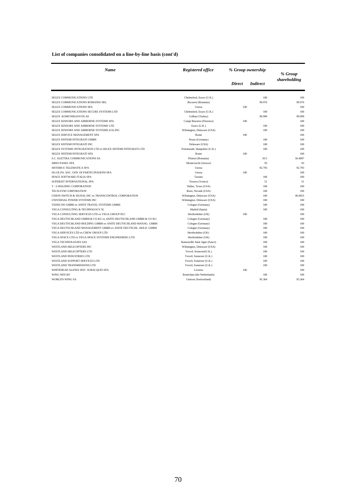| <b>Name</b>                                                     | <b>Registered office</b>      | % Group ownership |                 | % Group      |
|-----------------------------------------------------------------|-------------------------------|-------------------|-----------------|--------------|
|                                                                 |                               | <b>Direct</b>     | <i>Indirect</i> | shareholding |
| SELEX COMMUNICATIONS LTD                                        | Chelmsford, Essex (U.K.)      |                   | 100             | 100          |
| SELEX COMMUNICATIONS ROMANIA SRL                                | Bucarest (Romania)            |                   | 99.976          | 99.976       |
| SELEX COMMUNICATIONS SPA                                        | Genoa                         | 100               |                 | 100          |
| SELEX COMMUNICATIONS SECURE SYSTEMS LTD                         | Chelmsford, Essex (U.K.)      |                   | 100             | 100          |
| SELEX KOMUNIKASYON AS                                           | Golbasi (Turkey)              |                   | 99.999          | 99,999       |
| SELEX SENSORS AND AIRBORNE SYSTEMS SPA                          | Campi Bisenzio (Florence)     | 100               |                 | 100          |
| SELEX SENSORS AND AIRBORNE SYSTEMS LTD                          | Essex (U.K.)                  |                   | 100             | 100          |
| SELEX SENSORS AND AIRBORNE SYSTEMS (US) INC                     | Wilmington, Delaware (USA)    |                   | 100             | 100          |
| SELEX SERVICE MANAGEMENT SPA                                    | Rome                          | 100               |                 | 100          |
| SELEX SISTEMI INTEGRATI GMBH                                    | Neuss (Germany)               |                   | 100             | 100          |
| SELEX SISTEMI INTEGRATI INC                                     | Delaware (USA)                |                   | 100             | 100          |
| SELEX SYSTEMS INTEGRATION LTD ex SELEX SISTEMI INTEGRATI LTD    | Portsmouth, Hampshire (U.K.)  |                   | 100             | 100          |
| SELEX SISTEMI INTEGRATI SPA                                     | Rome                          | 100               |                 | 100          |
| S.C. ELETTRA COMMUNICATIONS SA                                  | Ploiesti (Romania)            |                   | 50.5            | 50.4997      |
| <b>SIRIO PANEL SPA</b>                                          | Montevarchi (Arezzo)          |                   | 93              | 93           |
| SISTEMI E TELEMATICA SPA                                        | Genoa                         |                   | 92.793          | 92.793       |
| SO.GE.PA. SOC. GEN. DI PARTECIPAZIONI SPA                       | Genoa                         | 100               |                 | 100          |
| SPACE SOFTWARE ITALIA SPA                                       | Taranto                       |                   | 100             | 100          |
| SUPERJET INTERNATIONAL SPA                                      | Tessera (Venice)              |                   | 51              | 51           |
| T - S HOLDING CORPORATION                                       | Dallas, Texas (USA)           |                   | 100             | 100          |
| TECH-SYM CORPORATION                                            | Reno, Nevada (USA)            |                   | 100             | 100          |
| UNION SWITCH & SIGNAL INC ex TRANSCONTROL CORPORATION           | Wilmington, Delaware (USA)    |                   | 100             | 40.0655      |
| UNIVERSAL POWER SYSTEMS INC                                     | Wilmington, Delaware (USA)    |                   | 100             | 100          |
| VEDECON GMBH ex ANITE TRAVEL SYSTEMS GMBH                       | Cologne (Germany)             |                   | 100             | 100          |
| VEGA CONSULTING & TECHNOLOGY SL                                 | Madrid (Spain)                |                   | 100             | 100          |
| VEGA CONSULTING SERVICES LTD ex VEGA GROUP PLC                  | Hertfordshire (UK)            | 100               |                 | 100          |
| VEGA DEUTSCHLAND GMBH & CO KG ex ANITE DEUTSCHLAND GMBH & CO KG | Cologne (Germany)             |                   | 100             | 100          |
| VEGA DEUTSCHLAND HOLDING GMBH ex ANITE DEUTSCHLAND MANAG. GMBH  | Cologne (Germany)             |                   | 100             | 100          |
| VEGA DEUTSCHLAND MANAGEMENT GMBH ex ANITE DEUTSCHL, HOLD, GMBH  | Cologne (Germany)             |                   | 100             | 100          |
| VEGA SERVICES LTD ex CREW GROUP LTD                             | Hertfordshire (UK)            |                   | 100             | 100          |
| VEGA SPACE LTD ex VEGA SPACE SYSTEMS ENGINEERING LTD            | Hertfordshire (UK)            |                   | 100             | 100          |
| VEGA TECHNOLOGIES SAS                                           | Ramonville Saint Agne (Fance) |                   | 100             | 100          |
| <b>WESTLAND HELICOPTERS INC</b>                                 | Wilmington, Delaware (USA)    |                   | 100             | 100          |
| <b>WESTLAND HELICOPTERS LTD</b>                                 | Yeovil, Somerset(U.K.)        |                   | 100             | 100          |
| WESTLAND INDUSTRIES LTD                                         | Yeovil, Somerset (U.K.)       |                   | 100             | 100          |
| WESTLAND SUPPORT SERVICES LTD                                   | Yeovil, Somerset (U.K.)       |                   | 100             | 100          |
| WESTLAND TRANSMISSIONS LTD                                      | Yeovil, Somerset (U.K.)       |                   | 100             | 100          |
| WHITEHEAD ALENIA SIST. SUBACQUEI SPA                            | Livorno                       | 100               |                 | 100          |
| WING NED BV                                                     | Rotterdam (the Netherlands)   |                   | 100             | 100          |
| <b>WORLD'S WING SA</b>                                          | Ginevra (Switzerland)         |                   | 95.364          | 95.364       |

### **List of companies consolidated on a line-by-line basis (cont'd)**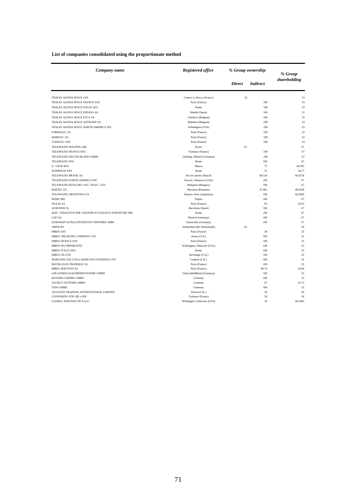| List of companies consolidated using the proportionate method |  |  |  |  |
|---------------------------------------------------------------|--|--|--|--|
|---------------------------------------------------------------|--|--|--|--|

| Company name                                             | <b>Registered office</b>        | % Group ownership |                 | % Group      |
|----------------------------------------------------------|---------------------------------|-------------------|-----------------|--------------|
|                                                          |                                 | <b>Direct</b>     | <b>Indirect</b> | shareholding |
| THALES ALENIA SPACE SAS                                  | Cannes La Bocca (France)        | 33                |                 | 33           |
| THALES ALENIA SPACE FRANCE SAS                           | Paris (France)                  |                   | 100             | 33           |
| THALES ALENIA SPACE ITALIA SPA                           | Rome                            |                   | 100             | 33           |
| THALES ALENIA SPACE ESPANA SA                            | Madrid (Spain)                  |                   | 100             | 33           |
| THALES ALENIA SPACE ETCA SA                              | Charleroi (Belgium)             |                   | 100             | 33           |
| THALES ALENIA SPACE ANTWERP SA                           | Hoboken (Belgium)               |                   | 100             | 33           |
| THALES ALENIA SPACE NORTH AMERICA INC                    | Wilmington (USA)                |                   | 100             | 33           |
| <b>FORMALEC SA</b>                                       | Paris (France)                  |                   | 100             | 33           |
| <b>MARILEC SA</b>                                        | Paris (France)                  |                   | 100             | 33           |
|                                                          |                                 |                   |                 |              |
| <b>VANELEC SAS</b>                                       | Paris (France)                  |                   | 100             | 33           |
| TELESPAZIO HOLDING SRL                                   | Rome                            | 67                |                 | 67           |
| TELESPAZIO FRANCE SAS                                    | Toulouse (France)               |                   | 100             | 67           |
| TELESPAZIO DEUTSCHLAND GMBH                              | Gilching, Munich (Germany)      |                   | 100             | 67           |
| <b>TELESPAZIO SPA</b>                                    | Rome                            |                   | 100             | 67           |
| E - GEOS SPA                                             | Matera                          |                   | 75              | 49.593       |
| <b>EURIMAGE SPA</b>                                      | Rome                            |                   | 51              | 34.17        |
| <b>TELESPAZIO BRASIL SA</b>                              | Rio de Janeiro (Brazil)         |                   | 98.534          | 66.0178      |
| TELESPAZIO NORTH AMERICA INC                             | Doover, Delaware (USA)          |                   | 100             | 67           |
| TELESPAZIO HUNGARY SAT. TELEC. LTD                       | Budapest (Hungary)              |                   | 100             | 67           |
| <b>RARTEL SA</b><br>TELESPAZIO ARGENTINA SA              | Bucarest (Romania)              |                   | 61.061          | 40.9109      |
|                                                          | Buenos Aires (Argentina)        |                   | 100             | 66.9509      |
| <b>MARS SRL</b>                                          | Naples                          |                   | 100             | 67           |
| <b>FILEAS SA</b>                                         | Paris (France)                  |                   | 85              | 56.95        |
| <b>AURENSIS SL</b>                                       | Barcelona (Spain)               |                   | 100             | 67           |
| ISAF - INIZIATIVE PER I SISTEMI AVANZATI E FORNITURE SRL | Rome                            |                   | 100             | 67           |
| <b>GAF AG</b>                                            | Munich (Germany)                |                   | 100             | 67<br>67     |
| EUROMAP SATELLITENDATEN-VERTRIEB MBH                     | Neustrelitz (Germany)           |                   | 100             |              |
| <b>AMSH BV</b>                                           | Amsterdam (the Netherlands)     | 50                |                 | 50           |
| <b>MBDA SAS</b><br>MBDA TREASURE COMPANY LTD             | Paris (France)<br>Jersey (U.K.) |                   | 50<br>100       | 25<br>25     |
| <b>MBDA FRANCE SAS</b>                                   | Paris (France)                  |                   | 100             | 25           |
| MBDA INCORPORATED                                        | Wilmington, Delaware (USA)      |                   | 100             | 25           |
| <b>MBDA ITALIA SPA</b>                                   | Rome                            |                   | 100             | 25           |
| <b>MBDA UK LTD</b>                                       | Stevenage (U.K.)                |                   | 100             | 25           |
| MARCONI UAE LTD ex MARCONI OVERSEAS LTD                  | London (U.K.)                   |                   | 100             | 25           |
| <b>MATRA ELECTRONIQUE SA</b>                             | Paris (France)                  |                   | 100             | 25           |
| <b>MBDA SERVICES SA</b>                                  | Paris (France)                  |                   | 99.76           | 24.94        |
| LFK-LENKFLUGKORPERSYSTEME GMBH                           | UnterschleiBheim (Germany)      |                   | 100             | 25           |
| <b>BAYERN-CHEMIE GMBH</b>                                | Germany                         |                   | 100             | 25           |
| TAURUS SYSTEMS GMBH                                      | Germany                         |                   | 67              | 16.75        |
| <b>TDW GMBH</b>                                          | Germany                         |                   | 100             | 25           |
| AVIATION TRAINING INTERNATIONAL LIMITED                  | Dorset (U.K.)                   |                   | 50              | 50           |
| CONSORZIO ATR GIE e SPE                                  | Toulouse (France)               |                   | 50              | 50           |
| <b>GLOBAL AERONAUTICA LLC</b>                            | Wilmington, Delaware (USA)      |                   | 50              | 44.2045      |
|                                                          |                                 |                   |                 |              |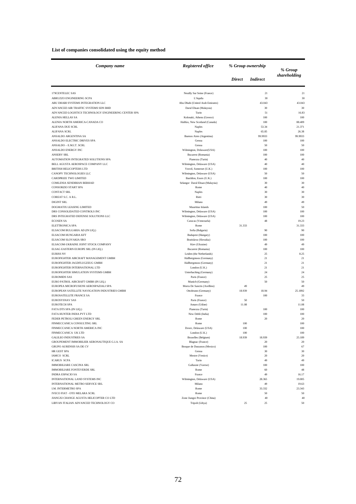### **List of companies consolidated using the equity method**

| Company name                                                                 | Registered office                               | % Group ownership |                 | % Group      |
|------------------------------------------------------------------------------|-------------------------------------------------|-------------------|-----------------|--------------|
|                                                                              |                                                 | <b>Direct</b>     | <b>Indirect</b> | shareholding |
| 179CENTELEC SAS                                                              | Neuilly Sur Seine (France)                      |                   | 21              | 21           |
| ABRUZZO ENGINEERING SCPA                                                     | L'Aquila                                        |                   | 30              | 30           |
| ABU DHABI SYSTEMS INTEGRATION LLC                                            | Abu Dhabi (United Arab Emirates)                |                   | 43.043          | 43.043       |
| ADVANCED AIR TRAFFIC SYSTEMS SDN BHD                                         | Darul Ehsan (Malaysia)                          |                   | 30              | 30           |
| ADVANCED LOGISTICS TECHNOLOGY ENGINEERING CENTER SPA                         | Turin                                           |                   | 51              | 16.83        |
| ALENIA HELLAS SA                                                             | Kolonaki, Athens (Greece)                       |                   | 100             | 100          |
| ALENIA NORTH AMERICA-CANADA CO                                               | Halifax, New Scotland (Canada)                  |                   | 100             | 88.409       |
| <b>ALIFANA DUE SCRL</b>                                                      | Naples                                          |                   | 53.34           | 21.371       |
| <b>ALIFANA SCRL</b>                                                          | Naples                                          |                   | 65.85           | 26.38        |
| ANSALDO ARGENTINA SA                                                         | Buenos Aires (Argentina)                        |                   | 99.9933         | 99.9933      |
| ANSALDO ELECTRIC DRIVES SPA                                                  | Genoa                                           |                   | 100             | 100          |
| ANSALDO - E.M.I.T. SCRL                                                      | Genoa                                           |                   | 50              | 50           |
| ANSALDO ENERGY INC                                                           | Wilmington, Delaware(USA)                       |                   | 100             | 100          |
| <b>ANSERV SRL</b>                                                            | Bucarest (Romania)                              |                   | 100             | 100          |
| AUTOMATION INTEGRATED SOLUTIONS SPA                                          | Pianezza (Turin)                                |                   | 40              | 40           |
| BELL AGUSTA AEROSPACE COMPANY LLC                                            | Wilmington, Delaware (USA)                      |                   | 40              | 40           |
| BRITISH HELICOPTERS LTD                                                      | Yeovil, Somerset (U.K.)                         |                   | 100             | 100          |
| CANOPY TECHNOLOGIES LLC                                                      | Wilmington, Delaware (USA)                      |                   | 50              | 50           |
| <b>CARDPRIZE TWO LIMITED</b>                                                 | Basildon, Essex (U.K.)                          |                   | 100             | 100          |
| COMLENIA SENDIRIAN BERHAD                                                    | Selangor Darul Ehsan (Malaysia)                 |                   | 30              | 30           |
| <b>CONSORZIO START SPA</b>                                                   | Rome                                            |                   | 40              | 40           |
| <b>CONTACT SRL</b>                                                           | Naples                                          |                   | 30              | 30           |
| COREAT S.C. A R.L.                                                           | Rieti                                           |                   | 30              | 30           |
| <b>DIGINT SRL</b>                                                            | Milano                                          |                   | 49              | 49           |
| DOGMATIX LEASING LIMITED                                                     | Mauritius Islands                               |                   | 100             | 50           |
| DRS CONSOLIDATED CONTROLS INC                                                | Wilmington, Delaware (USA)                      |                   | 100             | 100          |
| DRS INTEGRATED DEFENSE SOLUTIONS LLC                                         | Wilmington, Delaware (USA)                      |                   | 100             | 100          |
| <b>ECOSEN SA</b>                                                             | Caracas (Venezuela)                             |                   | 48              | 19.23        |
| ELETTRONICA SPA                                                              | Rome                                            | 31.333            |                 | 31.333       |
| ELSACOM BULGARIA AD (IN LIQ.)                                                | Sofia (Bulgaria)                                |                   | 90              | 90           |
| ELSACOM HUNGARIA KFT                                                         | Budapest (Hungary)                              |                   | 100             | 100          |
| ELSACOM SLOVAKIA SRO                                                         | Bratislava (Slovakia)                           |                   | 100             | 100          |
| ELSACOM-UKRAINE JOINT STOCK COMPANY                                          | Kiev (Ukraine)                                  |                   | 49              | 49           |
| ELSAG EASTERN EUROPE SRL (IN LIQ.)                                           | Bucarest (Romania)                              |                   | 100             | 100          |
| <b>EURISS NV</b>                                                             | Leiden (the Netherlands)                        |                   | 25              | 8.25         |
|                                                                              |                                                 |                   | 21              | 21           |
| EUROFIGHTER AIRCRAFT MANAGEMENT GMBH<br>EUROFIGHTER JAGDFLUGZEUG GMBH        | Hallbergmoos (Germany)                          |                   | 21              | 21           |
| EUROFIGHTER INTERNATIONAL LTD                                                | Hallbergmoos (Germany)<br>London (U.K.)         |                   | 21              | 21           |
| EUROFIGHTER SIMULATION SYSTEMS GMBH                                          |                                                 |                   | 24              | 24           |
|                                                                              | Unterhaching (Germany)                          |                   |                 |              |
| <b>EUROMIDS SAS</b>                                                          | Paris (France)                                  |                   | 25<br>50        | 25<br>50     |
| EURO PATROL AIRCRAFT GMBH (IN LIQ.)<br>EUROPEA MICROFUSIONI AEROSPAZIALI SPA | Munich (Germany)<br>Morra De Sanctis (Avellino) | 49                |                 | 49           |
| EUROPEAN SATELLITE NAVIGATION INDUSTRIES GMBH                                | Ottobrunn (Germany)                             | 18.939            | 18.94           | 25.1892      |
| EUROSATELLITE FRANCE SA                                                      | France                                          |                   | 100             | 33           |
| <b>EUROSYSNAV SAS</b>                                                        | Paris (France)                                  | 50                |                 | 50           |
| <b>EUROTECH SPA</b>                                                          | Amaro (Udine)                                   | 11.08             |                 | 11.08        |
| FATA DTS SPA (IN LIQ.)                                                       | Pianezza (Turin)                                |                   | 100             | 100          |
| FATA HUNTER INDIA PVT LTD                                                    | New Dehli (India)                               |                   | 100             | 100          |
| FEDER PETROLI GREEN ENERGY SRL                                               | Rome                                            |                   | 20              | 20           |
| FINMECCANICA CONSULTING SRL                                                  | Rome                                            | 100               |                 | 100          |
| FINMECCANICA NORTH AMERICA INC                                               | Dover, Delaware (USA)                           | 100               |                 | 100          |
| FINMECCANICA UK LTD                                                          | London (U.K.)                                   | 100               |                 | 100          |
| <b>GALILEO INDUSTRIES SA</b>                                                 | <b>Bruxelles</b> (Belgium)                      | 18.939            | 18.939          | 25.189       |
| GROUPEMENT IMMOBILIER AERONAUTIQUE G.I.A. SA                                 | Blagnac (France)                                |                   | 20              | 20           |
| <b>GRUPO AURENSIS SA DE CV</b>                                               | Bosque de Duraznos (Mexico)                     |                   | 100             | 67           |
| HR GEST SPA                                                                  | Genoa                                           |                   | 30              | 30           |
| IAMCO SCRL                                                                   | Mestre (Venice)                                 |                   | 20              | 20           |
| <b>ICARUS SCPA</b>                                                           | Turin                                           |                   | 49              | 49           |
| IMMOBILIARE CASCINA SRL                                                      |                                                 |                   | 100             | 100          |
| IMMOBILIARE FONTEVERDE SRL                                                   | Gallarate (Varese)<br>Rome                      |                   | 60              | 48           |
| <b>INDRA ESPACIO SA</b>                                                      | France                                          |                   |                 |              |
|                                                                              |                                                 |                   | 49<br>28.365    | 16.17        |
| INTERNATIONAL LAND SYSTEMS INC                                               | Wilmington, Delaware (USA)                      |                   |                 | 19.005       |
| INTERNATIONAL METRO SERVICE SRL                                              | Milano                                          |                   | 49              | 19.63        |
| I.M. INTERMETRO SPA                                                          | Rome                                            |                   | 33.332          | 23.343       |
| IVECO FIAT - OTO MELARA SCRL                                                 | Rome                                            |                   | 50              | 50           |
| JIANGXI CHANGE AGUSTA HELICOPTER CO LTD                                      | Zone Jiangxi Province (China)                   |                   | 40              | 40           |
| LIBYAN ITALIAN ADVANCED TECHNOLOGY CO                                        | Tripoli (Libya)                                 | $25\,$            | $25\,$          | 50           |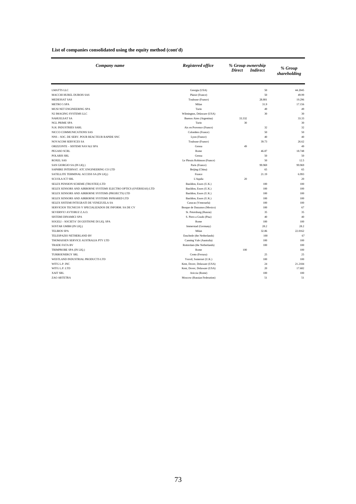|  | List of companies consolidated using the equity method (cont'd) |  |  |
|--|-----------------------------------------------------------------|--|--|
|  |                                                                 |  |  |

| Company name                                                     | <b>Registered office</b>     | % Group ownership<br><b>Direct</b><br><b>Indirect</b> | % Group<br>shareholding |
|------------------------------------------------------------------|------------------------------|-------------------------------------------------------|-------------------------|
| <b>LMATTS LLC</b>                                                | Georgia (USA)                | 50                                                    | 44.2045                 |
| <b>MACCHI HUREL DUBOIS SAS</b>                                   | Plaisir (France)             | 50                                                    | 49.99                   |
| <b>MEDESSAT SAS</b>                                              | Toulouse (France)            | 28.801                                                | 19.296                  |
| <b>METRO 5 SPA</b>                                               | Milan                        | 31.9                                                  | 17.156                  |
| MUSI NET ENGINEERING SPA                                         | Turin                        | 49                                                    | 49                      |
| N2 IMAGING SYSTEMS LLC                                           | Wilmington, Delaware (USA)   | 30                                                    | 30                      |
| <b>NAHUELSAT SA</b>                                              | Buenos Aires (Argentina)     | 33.332                                                | 33.33                   |
| <b>NGL PRIME SPA</b>                                             | Turin                        | 30                                                    | 30                      |
| N.H. INDUSTRIES SARL                                             | Aix en Provence (France)     | 32                                                    | 32                      |
| NICCO COMMUNICATIONS SAS                                         | Colombes (France)            | 50                                                    | 50                      |
| NNS - SOC. DE SERV. POUR REACTEUR RAPIDE SNC                     | Lyon (France)                | 40                                                    | 40                      |
| <b>NOVACOM SERVICES SA</b>                                       | Toulouse (France)            | 39.73                                                 | 26.62                   |
| ORIZZONTE - SISTEMI NAVALI SPA                                   | Genoa                        | 49                                                    | 49                      |
| PEGASO SCRL                                                      | Rome                         | 46.87                                                 | 18.748                  |
| <b>POLARIS SRL</b>                                               | Genoa                        | 50                                                    | 50                      |
| <b>ROXEL SAS</b>                                                 | Le Plessis Robinson (France) | 50                                                    | 12.5                    |
| SAN GIORGIO SA (IN LIQ.)                                         | Paris (France)               | 99.969                                                | 99,969                  |
| SAPHIRE INTERNAT. ATC ENGINEERING CO LTD                         | Beijing (China)              | 65                                                    | 65                      |
| SATELLITE TERMINAL ACCESS SA (IN LIQ.)                           | France                       | 21.19                                                 | 6.993                   |
| <b>SCUOLA ICT SRL</b>                                            | L'Aquila                     | 20                                                    | 20                      |
| SELEX PENSION SCHEME (TRUSTEE) LTD                               | Basildon, Essex (U.K.)       | 100                                                   | 100                     |
| SELEX SENSORS AND AIRBORNE SYSTEMS ELECTRO OPTICS (OVERSEAS) LTD | Basildon, Essex (U.K.)       | 100                                                   | 100                     |
| SELEX SENSORS AND AIRBORNE SYSTEMS (PROJECTS) LTD                | Basildon, Essex (U.K.)       | 100                                                   | 100                     |
| SELEX SENSORS AND AIRBORNE SYSTEMS INFRARED LTD                  | Basildon, Essex (U.K.)       | 100                                                   | 100                     |
| SELEX SISTEMI INTEGRATI DE VENEZUELA SA                          | Caracas (Venezuela)          | 100                                                   | 100                     |
| SERVICIOS TECNICOS Y SPECIALIZADOS DE INFORM. SA DE CV           | Bosque de Duraznos (Mexico)  | 100                                                   | 67                      |
| SEVERNYJ AVTOBUZ Z.A.O.                                          | St. Petersburg (Russia)      | 35                                                    | 35                      |
| SISTEMI DINAMICI SPA                                             | S. Piero a Grado (Pisa)      | 40                                                    | 40                      |
| SOGELI - SOCIETA' DI GESTIONE DI LIQ. SPA                        | Rome                         | 100                                                   | 100                     |
| SOSTAR GMBH (IN LIQ.)                                            | Immerstad (Germany)          | 28.2                                                  | 28.2                    |
| <b>TELBIOS SPA</b>                                               | Milan                        | 32.86                                                 | 22.0162                 |
| TELESPAZIO NETHERLAND BV                                         | Enschede (the Netherlands)   | 100                                                   | 67                      |
| THOMASSEN SERVICE AUSTRALIA PTY LTD                              | Canning Vale (Australia)     | 100                                                   | 100                     |
| <b>TRADE FATA BV</b>                                             | Rotterdam (the Netherlands)  | 100                                                   | 100                     |
| TRIMPROBE SPA (IN LIQ.)                                          | Rome                         | 100                                                   | 100                     |
| <b>TURBOENERGY SRL</b>                                           | Cento (Ferrara)              | 25                                                    | 25                      |
| WESTLAND INDUSTRIAL PRODUCTS LTD                                 | Yeovil, Somerset (U.K.)      | 100                                                   | 100                     |
| WITG L.P. INC                                                    | Kent, Dover, Delaware (USA)  | 24                                                    | 21.2184                 |
| WITG L.P. LTD                                                    | Kent, Dover, Delaware (USA)  | 20                                                    | 17.682                  |
| <b>XAIT SRL</b>                                                  | Ariccia (Rome)               | 100                                                   | 100                     |
| ZAO ARTETRA                                                      | Moscow (Russian Federation)  | 51                                                    | 51                      |
|                                                                  |                              |                                                       |                         |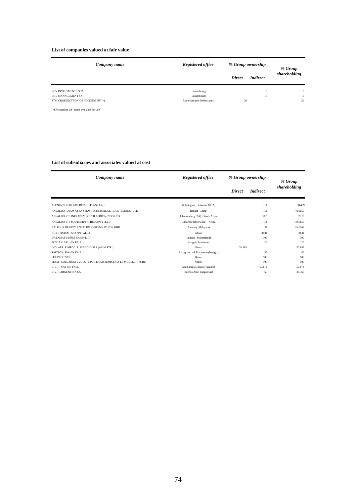#### **List of companies valued at fair value**

| Company name                                    | Registered office           |               | % Group ownership | % Group      |  |
|-------------------------------------------------|-----------------------------|---------------|-------------------|--------------|--|
|                                                 |                             | <b>Direct</b> | <i>Indirect</i>   | shareholding |  |
| <b>BCV INVESTMENTS SCA</b><br>BCV MANAGEMENT SA | Luxembourg<br>Luxembourg    |               | 15<br>15          | 15<br>15     |  |
| STMICROELECTRONICS HOLDING NV (*)               | Rotterdam (the Netherlands) | 20            |                   | 20           |  |

(\*) Recognised ad "assets available for sale"

#### **List of subsidiaries and associates valued at cost**

| Company name                                                    | Registered office                                                                                                                                                                                                                                                                                                                                         | % Group ownership | % Group |
|-----------------------------------------------------------------|-----------------------------------------------------------------------------------------------------------------------------------------------------------------------------------------------------------------------------------------------------------------------------------------------------------------------------------------------------------|-------------------|---------|
|                                                                 | <b>Direct</b><br><i>Indirect</i><br>100<br>Wilmington, Delaware (USA)<br>Beijing (China)<br>100<br>Johannesburg (ZA) - South Africa<br>50.7<br>Gaborone (Botswana) - Africa<br>100<br>40<br>Ampang (Malaysia)<br>Milan<br>30.34<br>Lugano (Switzerland)<br>100<br>Anagni (Frosinone)<br>20<br>Genoa<br>30.982<br>Passignano sul Trasimeno (Perugia)<br>40 | shareholding      |         |
| ALENIA NORTH AMERICA DEFENSE LLC                                |                                                                                                                                                                                                                                                                                                                                                           |                   | 88.409  |
| ANSALDO RAILWAY SYSTEM TECHNICAL SERVICE (BEIJING) LTD          |                                                                                                                                                                                                                                                                                                                                                           |                   | 40.0655 |
| ANSALDO STS INFRADEV SOUTH AFRICA (PTY) LTD                     |                                                                                                                                                                                                                                                                                                                                                           |                   | 20.31   |
| ANSALDO STS SOUTHERN AFRICA (PTY) LTD                           |                                                                                                                                                                                                                                                                                                                                                           |                   | 40.0655 |
| BALFOUR BEATTY ANSALDO SYSTEMS JV SDN BHD                       |                                                                                                                                                                                                                                                                                                                                                           |                   | 16.0262 |
| CCRT SISTEMI SPA (IN FALL.)                                     |                                                                                                                                                                                                                                                                                                                                                           |                   | 30.34   |
| DATAMAT SUISSE SA (IN LIQ.)                                     |                                                                                                                                                                                                                                                                                                                                                           |                   | 100     |
| FOSCAN SRL (IN FALL.)                                           |                                                                                                                                                                                                                                                                                                                                                           |                   | 20      |
| IND. AER. E MECC. R. PIAGGIO SPA (AMM.STR.)                     |                                                                                                                                                                                                                                                                                                                                                           |                   | 30.982  |
| SAITECH SPA (IN FALL.)                                          |                                                                                                                                                                                                                                                                                                                                                           |                   | 40      |
| SEL PROC SCRL                                                   | Rome                                                                                                                                                                                                                                                                                                                                                      | 100               | 100     |
| SESM - SOLUZIONI EVOLUTE PER LA SISTEMISTICA E I MODELLI - SCRL | <b>Naples</b>                                                                                                                                                                                                                                                                                                                                             | 100               | 100     |
| U.V.T. SPA (IN FALL.)                                           | San Giorgio Jonico (Taranto)                                                                                                                                                                                                                                                                                                                              | 50.614            | 50.614  |
| <b>ILV.T. ARGENTINA SA</b>                                      | Buenos Aires (Argentina)                                                                                                                                                                                                                                                                                                                                  | 60                | 30.368  |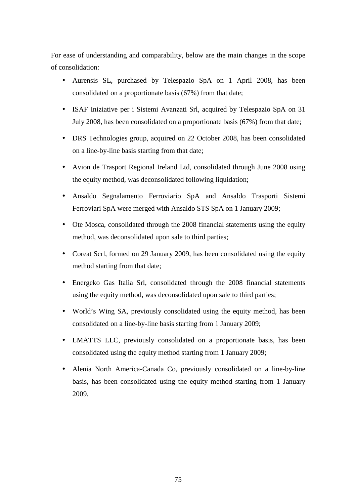For ease of understanding and comparability, below are the main changes in the scope of consolidation:

- Aurensis SL, purchased by Telespazio SpA on 1 April 2008, has been consolidated on a proportionate basis (67%) from that date;
- ISAF Iniziative per i Sistemi Avanzati Srl, acquired by Telespazio SpA on 31 July 2008, has been consolidated on a proportionate basis (67%) from that date;
- DRS Technologies group, acquired on 22 October 2008, has been consolidated on a line-by-line basis starting from that date;
- Avion de Trasport Regional Ireland Ltd, consolidated through June 2008 using the equity method, was deconsolidated following liquidation;
- Ansaldo Segnalamento Ferroviario SpA and Ansaldo Trasporti Sistemi Ferroviari SpA were merged with Ansaldo STS SpA on 1 January 2009;
- Ote Mosca, consolidated through the 2008 financial statements using the equity method, was deconsolidated upon sale to third parties;
- Coreat Scrl, formed on 29 January 2009, has been consolidated using the equity method starting from that date;
- Energeko Gas Italia Srl, consolidated through the 2008 financial statements using the equity method, was deconsolidated upon sale to third parties;
- World's Wing SA, previously consolidated using the equity method, has been consolidated on a line-by-line basis starting from 1 January 2009;
- LMATTS LLC, previously consolidated on a proportionate basis, has been consolidated using the equity method starting from 1 January 2009;
- Alenia North America-Canada Co, previously consolidated on a line-by-line basis, has been consolidated using the equity method starting from 1 January 2009.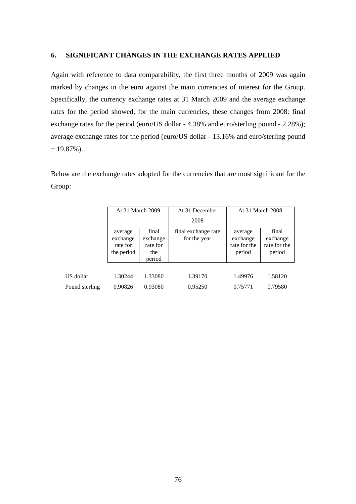### **6. SIGNIFICANT CHANGES IN THE EXCHANGE RATES APPLIED**

Again with reference to data comparability, the first three months of 2009 was again marked by changes in the euro against the main currencies of interest for the Group. Specifically, the currency exchange rates at 31 March 2009 and the average exchange rates for the period showed, for the main currencies, these changes from 2008: final exchange rates for the period (euro/US dollar - 4.38% and euro/sterling pound - 2.28%); average exchange rates for the period (euro/US dollar - 13.16% and euro/sterling pound + 19.87%).

Below are the exchange rates adopted for the currencies that are most significant for the Group:

|                | At 31 March 2009                                                                                |         | At 31 December<br>2008              | At 31 March 2008                                                                             |         |
|----------------|-------------------------------------------------------------------------------------------------|---------|-------------------------------------|----------------------------------------------------------------------------------------------|---------|
|                | final<br>average<br>exchange<br>exchange<br>rate for<br>rate for<br>the period<br>the<br>period |         | final exchange rate<br>for the year | final<br>average<br>exchange<br>exchange<br>rate for the<br>rate for the<br>period<br>period |         |
| US dollar      | 1.30244                                                                                         | 1.33080 | 1.39170                             | 1.49976                                                                                      | 1.58120 |
| Pound sterling | 0.90826                                                                                         | 0.93080 | 0.95250                             | 0.75771                                                                                      | 0.79580 |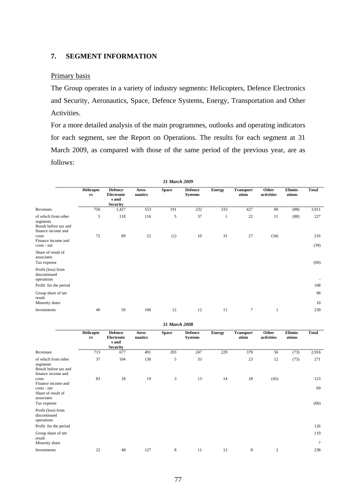# **7. SEGMENT INFORMATION**

### Primary basis

The Group operates in a variety of industry segments: Helicopters, Defence Electronics and Security, Aeronautics, Space, Defence Systems, Energy, Transportation and Other Activities.

For a more detailed analysis of the main programmes, outlooks and operating indicators for each segment, see the Report on Operations. The results for each segment at 31 March 2009, as compared with those of the same period of the previous year, are as follows:

|                                                                                | 31 March 2009          |                                                          |                  |              |                                  |               |                           |                     |                   |              |  |  |  |
|--------------------------------------------------------------------------------|------------------------|----------------------------------------------------------|------------------|--------------|----------------------------------|---------------|---------------------------|---------------------|-------------------|--------------|--|--|--|
|                                                                                | <b>Helicopte</b><br>rs | <b>Defence</b><br>Electronic<br>s and<br><b>Security</b> | Aero-<br>nautics | <b>Space</b> | <b>Defence</b><br><b>Systems</b> | <b>Energy</b> | <b>Transport</b><br>ation | Other<br>activities | Elimin-<br>ations | <b>Total</b> |  |  |  |
| Revenues                                                                       | 756                    | 1,427                                                    | 553              | 191          | 232                              | 333           | 427                       | 80                  | (88)              | 3,911        |  |  |  |
| of which from other<br>segments<br>Result before tax and<br>finance income and | 5                      | 118                                                      | 116              | 5            | 37                               | 1             | 22                        | 11                  | (88)              | 227          |  |  |  |
| costs<br>Finance income and<br>costs - net                                     | 72                     | 89                                                       | 22               | (1)          | 10                               | 31            | 27                        | (34)                |                   | 216<br>(39)  |  |  |  |
| Share of result of<br>associates<br>Tax expense                                |                        |                                                          |                  |              |                                  |               |                           |                     |                   | (69)         |  |  |  |
| Profit (loss) from<br>discontinued<br>operations<br>Profit for the period      |                        |                                                          |                  |              |                                  |               |                           |                     |                   | 108          |  |  |  |
| Group share of net<br>result<br>Minority share                                 |                        |                                                          |                  |              |                                  |               |                           |                     |                   | 98<br>10     |  |  |  |
| Investments                                                                    | 40                     | 50                                                       | 106              | 12           | 12                               | 11            | $\tau$                    | 1                   |                   | 239          |  |  |  |

|                                                                                | 31 March 2008                       |                                                          |                  |              |                                  |               |                           |                     |                   |                       |  |  |
|--------------------------------------------------------------------------------|-------------------------------------|----------------------------------------------------------|------------------|--------------|----------------------------------|---------------|---------------------------|---------------------|-------------------|-----------------------|--|--|
|                                                                                | Helicopte<br>$\mathbf{r}\mathbf{s}$ | <b>Defence</b><br>Electronic<br>s and<br><b>Security</b> | Aero-<br>nautics | <b>Space</b> | <b>Defence</b><br><b>Systems</b> | <b>Energy</b> | <b>Transport</b><br>ation | Other<br>activities | Elimin-<br>ations | <b>Total</b>          |  |  |
| Revenues                                                                       | 713                                 | 677                                                      | 491              | 203          | 247                              | 229           | 379                       | 50                  | (73)              | 2,916                 |  |  |
| of which from other<br>segments<br>Result before tax and<br>finance income and | 37                                  | 104                                                      | 130              | 5            | 33                               |               | 23                        | 12                  | (73)              | 271                   |  |  |
| costs                                                                          | 83                                  | 18                                                       | 19               | 3            | 13                               | 14            | 18                        | (45)                |                   | 123                   |  |  |
| Finance income and<br>costs - net<br>Share of result of<br>associates          |                                     |                                                          |                  |              |                                  |               |                           |                     |                   | 69                    |  |  |
| Tax expense                                                                    |                                     |                                                          |                  |              |                                  |               |                           |                     |                   | (66)                  |  |  |
| Profit (loss) from<br>discontinued<br>operations                               |                                     |                                                          |                  |              |                                  |               |                           |                     |                   |                       |  |  |
| Profit for the period                                                          |                                     |                                                          |                  |              |                                  |               |                           |                     |                   | 126                   |  |  |
| Group share of net<br>result<br>Minority share                                 |                                     |                                                          |                  |              |                                  |               |                           |                     |                   | 119<br>$\overline{7}$ |  |  |
| Investments                                                                    | 22                                  | 48                                                       | 127              | 8            | 11                               | 12            | 8                         | $\overline{2}$      |                   | 238                   |  |  |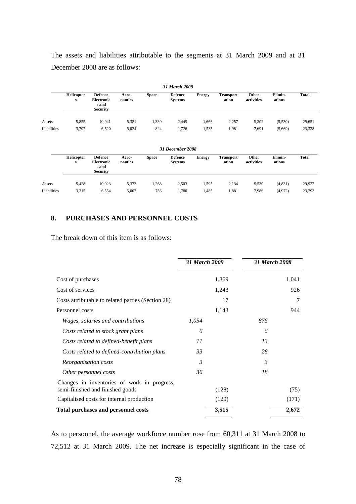The assets and liabilities attributable to the segments at 31 March 2009 and at 31 December 2008 are as follows:

|             | 31 March 2009          |                                                                 |                  |              |                                  |               |                           |                     |                   |              |  |
|-------------|------------------------|-----------------------------------------------------------------|------------------|--------------|----------------------------------|---------------|---------------------------|---------------------|-------------------|--------------|--|
|             | <b>Helicopter</b><br>s | <b>Defence</b><br><b>Electronic</b><br>s and<br><b>Security</b> | Aero-<br>nautics | <b>Space</b> | <b>Defence</b><br><b>Systems</b> | <b>Energy</b> | <b>Transport</b><br>ation | Other<br>activities | Elimin-<br>ations | <b>Total</b> |  |
| Assets      | 5,855                  | 10,941                                                          | 5,381            | 1,330        | 2.449                            | 1,666         | 2,257                     | 5,302               | (5,530)           | 29,651       |  |
| Liabilities | 3.707                  | 6,520                                                           | 5,024            | 824          | 1.726                            | 1,535         | 1,981                     | 7,691               | (5,669)           | 23,338       |  |

|             | 31 December 2008 |                                                                 |                  |              |                                  |               |                           |                     |                   |              |
|-------------|------------------|-----------------------------------------------------------------|------------------|--------------|----------------------------------|---------------|---------------------------|---------------------|-------------------|--------------|
|             | Helicopter<br>s  | <b>Defence</b><br><b>Electronic</b><br>s and<br><b>Security</b> | Aero-<br>nautics | <b>Space</b> | <b>Defence</b><br><b>Systems</b> | <b>Energy</b> | <b>Transport</b><br>ation | Other<br>activities | Elimin-<br>ations | <b>Total</b> |
| Assets      | 5.428            | 10.923                                                          | 5,372            | .268         | 2,503                            | 1,595         | 2.134                     | 5,530               | (4,831)           | 29,922       |
| Liabilities | 3,315            | 6,554                                                           | 5,007            | 756          | 1.780                            | 1,485         | 1,881                     | 7,986               | (4,972)           | 23,792       |

# **8. PURCHASES AND PERSONNEL COSTS**

The break down of this item is as follows:

|                                                                                 | <b>31 March 2009</b> | <b>31 March 2008</b> |
|---------------------------------------------------------------------------------|----------------------|----------------------|
| Cost of purchases                                                               | 1,369                | 1,041                |
| Cost of services                                                                | 1,243                | 926                  |
| Costs attributable to related parties (Section 28)                              | 17                   | 7                    |
| Personnel costs                                                                 | 1,143                | 944                  |
| Wages, salaries and contributions                                               | 1,054                | 876                  |
| Costs related to stock grant plans                                              | 6                    | 6                    |
| Costs related to defined-benefit plans                                          | 11                   | 13                   |
| Costs related to defined-contribution plans                                     | 33                   | 28                   |
| Reorganisation costs                                                            | 3                    | 3                    |
| Other personnel costs                                                           | 36                   | 18                   |
| Changes in inventories of work in progress,<br>semi-finished and finished goods | (128)                | (75)                 |
| Capitalised costs for internal production                                       | (129)                | (171)                |
| <b>Total purchases and personnel costs</b>                                      | 3,515                | 2,672                |

As to personnel, the average workforce number rose from 60,311 at 31 March 2008 to 72,512 at 31 March 2009. The net increase is especially significant in the case of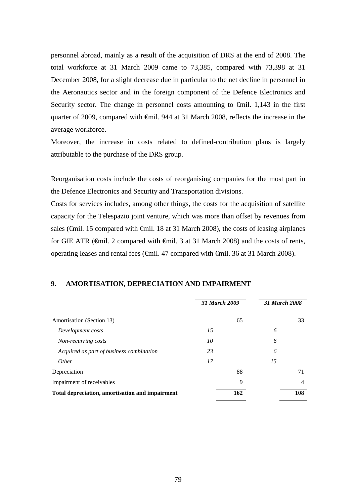personnel abroad, mainly as a result of the acquisition of DRS at the end of 2008. The total workforce at 31 March 2009 came to 73,385, compared with 73,398 at 31 December 2008, for a slight decrease due in particular to the net decline in personnel in the Aeronautics sector and in the foreign component of the Defence Electronics and Security sector. The change in personnel costs amounting to  $\epsilon$ mil. 1,143 in the first quarter of 2009, compared with €mil. 944 at 31 March 2008, reflects the increase in the average workforce.

Moreover, the increase in costs related to defined-contribution plans is largely attributable to the purchase of the DRS group.

Reorganisation costs include the costs of reorganising companies for the most part in the Defence Electronics and Security and Transportation divisions.

Costs for services includes, among other things, the costs for the acquisition of satellite capacity for the Telespazio joint venture, which was more than offset by revenues from sales ( $\epsilon$ mil. 15 compared with  $\epsilon$ mil. 18 at 31 March 2008), the costs of leasing airplanes for GIE ATR ( $\epsilon$ mil. 2 compared with  $\epsilon$ mil. 3 at 31 Mach 2008) and the costs of rents, operating leases and rental fees ( $\epsilon$ mil. 47 compared with  $\epsilon$ mil. 36 at 31 March 2008).

#### **9. AMORTISATION, DEPRECIATION AND IMPAIRMENT**

|                                                 | 31 March 2009 |     | 31 March 2008 |                |
|-------------------------------------------------|---------------|-----|---------------|----------------|
| Amortisation (Section 13)                       |               | 65  |               | 33             |
| Development costs                               | 15            |     | 6             |                |
| Non-recurring costs                             | 10            |     | 6             |                |
| Acquired as part of business combination        | 23            |     | 6             |                |
| <i>Other</i>                                    | 17            |     | 15            |                |
| Depreciation                                    |               | 88  |               | 71             |
| Impairment of receivables                       |               | 9   |               | $\overline{4}$ |
| Total depreciation, amortisation and impairment |               | 162 |               | 108            |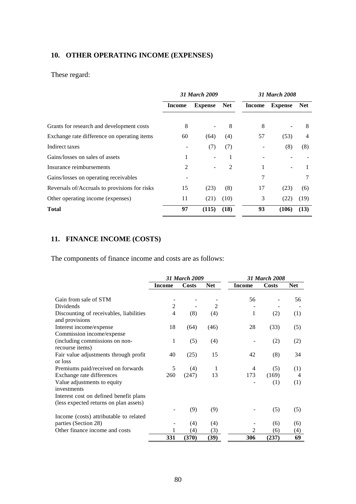# **10. OTHER OPERATING INCOME (EXPENSES)**

# These regard:

|                                               |        | 31 March 2009  |            |        | 31 March 2008  |                |
|-----------------------------------------------|--------|----------------|------------|--------|----------------|----------------|
|                                               | Income | <b>Expense</b> | <b>Net</b> | Income | <b>Expense</b> | <b>Net</b>     |
| Grants for research and development costs     | 8      |                | 8          | 8      |                | 8              |
| Exchange rate difference on operating items   | 60     | (64)           | (4)        | 57     | (53)           | $\overline{4}$ |
| Indirect taxes                                |        | (7)            | (7)        |        | (8)            | (8)            |
| Gains/losses on sales of assets               | 1      |                |            |        |                |                |
| Insurance reimbursements                      | 2      |                | 2          |        |                |                |
| Gains/losses on operating receivables         |        |                |            | 7      |                | 7              |
| Reversals of/Accruals to provisions for risks | 15     | (23)           | (8)        | 17     | (23)           | (6)            |
| Other operating income (expenses)             | 11     | (21)           | (10)       | 3      | (22)           | (19)           |
| <b>Total</b>                                  | 97     | (115)          | (18)       | 93     | (106)          | (13)           |

# **11. FINANCE INCOME (COSTS)**

The components of finance income and costs are as follows:

|                                                                                  | 31 March 2009  |              | 31 March 2008  |        |              |                   |
|----------------------------------------------------------------------------------|----------------|--------------|----------------|--------|--------------|-------------------|
|                                                                                  | <b>Income</b>  | <b>Costs</b> | <b>Net</b>     | Income | <b>Costs</b> | <b>Net</b>        |
| Gain from sale of STM                                                            |                |              |                | 56     |              | 56                |
| Dividends                                                                        | $\overline{2}$ |              | $\overline{c}$ |        |              |                   |
| Discounting of receivables, liabilities<br>and provisions                        | 4              | (8)          | (4)            | 1      | (2)          | (1)               |
| Interest income/expense                                                          | 18             | (64)         | (46)           | 28     | (33)         | (5)               |
| Commission income/expense                                                        |                |              |                |        |              |                   |
| (including commissions on non-<br>recourse items)                                | 1              | (5)          | (4)            |        | (2)          | (2)               |
| Fair value adjustments through profit<br>or loss                                 | 40             | (25)         | 15             | 42     | (8)          | 34                |
| Premiums paid/received on forwards                                               | 5              | (4)          | 1              | 4      | (5)          | (1)               |
| Exchange rate differences                                                        | 260            | (247)        | 13             | 173    | (169)        | 4                 |
| Value adjustments to equity<br>investments                                       |                |              |                |        | (1)          | (1)               |
| Interest cost on defined benefit plans<br>(less expected returns on plan assets) |                |              |                |        |              |                   |
|                                                                                  |                | (9)          | (9)            |        | (5)          | (5)               |
| Income (costs) attributable to related                                           |                |              |                |        |              |                   |
| parties (Section 28)                                                             |                | (4)          | (4)            |        | (6)          | (6)               |
| Other finance income and costs                                                   |                | (4)          | (3)            | 2      | (6)          | $\left( 4\right)$ |
|                                                                                  | 331            | (370)        | (39)           | 306    | (237)        | 69                |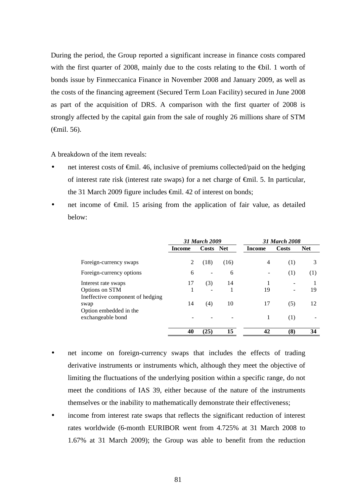During the period, the Group reported a significant increase in finance costs compared with the first quarter of 2008, mainly due to the costs relating to the  $\epsilon$ bil. 1 worth of bonds issue by Finmeccanica Finance in November 2008 and January 2009, as well as the costs of the financing agreement (Secured Term Loan Facility) secured in June 2008 as part of the acquisition of DRS. A comparison with the first quarter of 2008 is strongly affected by the capital gain from the sale of roughly 26 millions share of STM (€mil. 56).

A breakdown of the item reveals:

- net interest costs of  $\epsilon$ mil. 46, inclusive of premiums collected/paid on the hedging of interest rate risk (interest rate swaps) for a net charge of  $\epsilon$ mil. 5. In particular, the 31 March 2009 figure includes €mil. 42 of interest on bonds;
- net income of  $\epsilon$ mil. 15 arising from the application of fair value, as detailed below:

|                                                                           | <b>31 March 2009</b> |           | <b>31 March 2008</b> |               |       |            |
|---------------------------------------------------------------------------|----------------------|-----------|----------------------|---------------|-------|------------|
|                                                                           | Income               | Costs Net |                      | <b>Income</b> | Costs | <b>Net</b> |
| Foreign-currency swaps                                                    | 2                    | (18)      | (16)                 | 4             | (1)   | 3          |
| Foreign-currency options                                                  | 6                    |           | 6                    |               | (1)   | (1)        |
| Interest rate swaps<br>Options on STM<br>Ineffective component of hedging | 17                   | (3)       | 14                   | 1<br>19       |       | 19         |
| swap<br>Option embedded in the                                            | 14                   | (4)       | 10                   | 17            | (5)   | 12         |
| exchangeable bond                                                         |                      |           |                      | 1             | (1)   |            |
|                                                                           | 40                   | (25)      | 15                   | 42            | (8)   | 34         |

- net income on foreign-currency swaps that includes the effects of trading derivative instruments or instruments which, although they meet the objective of limiting the fluctuations of the underlying position within a specific range, do not meet the conditions of IAS 39, either because of the nature of the instruments themselves or the inability to mathematically demonstrate their effectiveness;
- income from interest rate swaps that reflects the significant reduction of interest rates worldwide (6-month EURIBOR went from 4.725% at 31 March 2008 to 1.67% at 31 March 2009); the Group was able to benefit from the reduction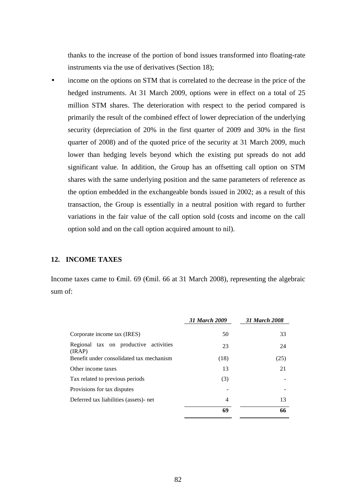thanks to the increase of the portion of bond issues transformed into floating-rate instruments via the use of derivatives (Section 18);

• income on the options on STM that is correlated to the decrease in the price of the hedged instruments. At 31 March 2009, options were in effect on a total of 25 million STM shares. The deterioration with respect to the period compared is primarily the result of the combined effect of lower depreciation of the underlying security (depreciation of 20% in the first quarter of 2009 and 30% in the first quarter of 2008) and of the quoted price of the security at 31 March 2009, much lower than hedging levels beyond which the existing put spreads do not add significant value. In addition, the Group has an offsetting call option on STM shares with the same underlying position and the same parameters of reference as the option embedded in the exchangeable bonds issued in 2002; as a result of this transaction, the Group is essentially in a neutral position with regard to further variations in the fair value of the call option sold (costs and income on the call option sold and on the call option acquired amount to nil).

### **12. INCOME TAXES**

Income taxes came to  $\epsilon$ mil. 69 ( $\epsilon$ mil. 66 at 31 March 2008), representing the algebraic sum of:

|                                                 | <b>31 March 2009</b> | 31 March 2008 |
|-------------------------------------------------|----------------------|---------------|
| Corporate income tax (IRES)                     | 50                   | 33            |
| Regional tax on productive activities<br>(IRAP) | 23                   | 24            |
| Benefit under consolidated tax mechanism        | (18)                 | (25)          |
| Other income taxes                              | 13                   | 21            |
| Tax related to previous periods                 | (3)                  |               |
| Provisions for tax disputes                     |                      |               |
| Deferred tax liabilities (assets)- net          | 4                    | 13            |
|                                                 | 69                   | 66            |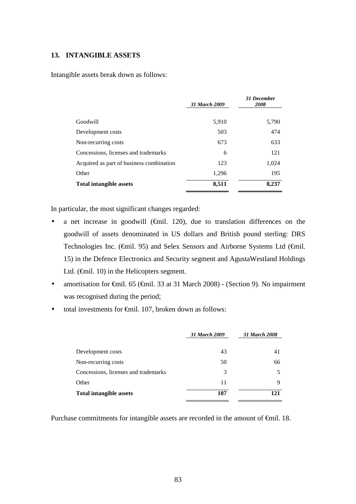# **13. INTANGIBLE ASSETS**

Intangible assets break down as follows:

|                                          | <b>31 March 2009</b> | <b>31 December</b><br>2008 |
|------------------------------------------|----------------------|----------------------------|
|                                          |                      |                            |
| Goodwill                                 | 5,910                | 5,790                      |
| Development costs                        | 503                  | 474                        |
| Non-recurring costs                      | 673                  | 633                        |
| Concessions, licenses and trademarks     | 6                    | 121                        |
| Acquired as part of business combination | 123                  | 1,024                      |
| Other                                    | 1,296                | 195                        |
| <b>Total intangible assets</b>           | 8,511                | 8,237                      |
|                                          |                      |                            |

In particular, the most significant changes regarded:

- a net increase in goodwill ( $\epsilon$ mil. 120), due to translation differences on the goodwill of assets denominated in US dollars and British pound sterling: DRS Technologies Inc. ( $\epsilon$ mil. 95) and Selex Sensors and Airborne Systems Ltd ( $\epsilon$ mil. 15) in the Defence Electronics and Security segment and AgustaWestland Holdings Ltd. ( $\epsilon$ mil. 10) in the Helicopters segment.
- amortisation for  $\epsilon$ mil. 65 ( $\epsilon$ mil. 33 at 31 March 200) (Section 9). No impairment was recognised during the period;
- total investments for  $\epsilon$ mil. 107, broken down as folows:

|                                      | 31 March 2009 | 31 March 2008 |
|--------------------------------------|---------------|---------------|
|                                      |               |               |
| Development costs                    | 43            | 41            |
| Non-recurring costs                  | 50            | 66            |
| Concessions, licenses and trademarks | 3             |               |
| Other                                | 11            | 9             |
| <b>Total intangible assets</b>       | 107           | 121           |

Purchase commitments for intangible assets are recorded in the amount of  $\epsilon$ mil. 18.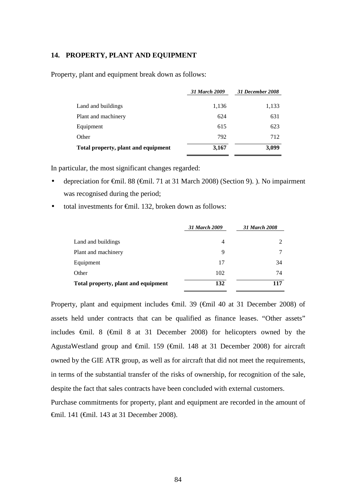#### **14. PROPERTY, PLANT AND EQUIPMENT**

Property, plant and equipment break down as follows:

|                                     | 31 March 2009 | 31 December 2008 |
|-------------------------------------|---------------|------------------|
|                                     |               |                  |
| Land and buildings                  | 1,136         | 1,133            |
| Plant and machinery                 | 624           | 631              |
| Equipment                           | 615           | 623              |
| Other                               | 792           | 712              |
| Total property, plant and equipment | 3,167         | 3.099            |

In particular, the most significant changes regarded:

- depreciation for  $\epsilon$ mil. 88 ( $\epsilon$ mil. 71 at 31 March 2008) (Section 9). ). No impairment was recognised during the period;
- total investments for  $\epsilon$ mil. 132, broken down as folows:

|                                     | 31 March 2009 | 31 March 2008 |
|-------------------------------------|---------------|---------------|
| Land and buildings                  | 4             |               |
| Plant and machinery                 | 9             |               |
| Equipment                           | 17            | 34            |
| Other                               | 102           | 74            |
| Total property, plant and equipment | 132           | 117           |

Property, plant and equipment includes  $\epsilon$ mil. 39 ( $\epsilon$ mil 40 at 31 December 2008) of assets held under contracts that can be qualified as finance leases. "Other assets" includes  $\epsilon$ mil. 8 ( $\epsilon$ mil 8 at 31 December 2008) for helicopters owned by the AgustaWestland group and €mil. 159 (€mil. 148 at 31 December 2008) for aircraft owned by the GIE ATR group, as well as for aircraft that did not meet the requirements, in terms of the substantial transfer of the risks of ownership, for recognition of the sale, despite the fact that sales contracts have been concluded with external customers.

Purchase commitments for property, plant and equipment are recorded in the amount of  $\epsilon$ mil. 141 ( $\epsilon$ mil. 143 at 31 December 2008).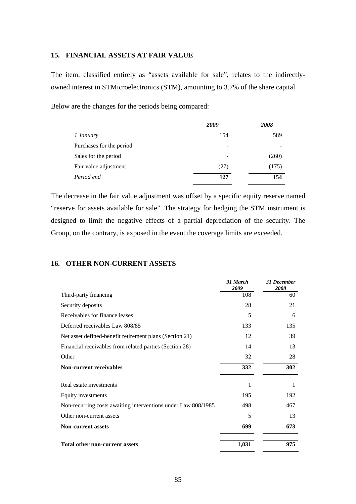### **15. FINANCIAL ASSETS AT FAIR VALUE**

The item, classified entirely as "assets available for sale", relates to the indirectlyowned interest in STMicroelectronics (STM), amounting to 3.7% of the share capital.

Below are the changes for the periods being compared:

|                          | 2009            | 2008  |
|--------------------------|-----------------|-------|
| 1 January                | 154             | 589   |
| Purchases for the period |                 |       |
| Sales for the period     | $\qquad \qquad$ | (260) |
| Fair value adjustment    | (27)            | (175) |
| Period end               | 127             | 154   |

The decrease in the fair value adjustment was offset by a specific equity reserve named "reserve for assets available for sale". The strategy for hedging the STM instrument is designed to limit the negative effects of a partial depreciation of the security. The Group, on the contrary, is exposed in the event the coverage limits are exceeded.

# **16. OTHER NON-CURRENT ASSETS**

|                                                               | 31 March<br>2009 | <b>31 December</b><br>2008 |
|---------------------------------------------------------------|------------------|----------------------------|
| Third-party financing                                         | 108              | 60                         |
| Security deposits                                             | 28               | 21                         |
| Receivables for finance leases                                | 5                | 6                          |
| Deferred receivables Law 808/85                               | 133              | 135                        |
| Net asset defined-benefit retirement plans (Section 21)       | 12               | 39                         |
| Financial receivables from related parties (Section 28)       | 14               | 13                         |
| Other                                                         | 32               | 28                         |
| <b>Non-current receivables</b>                                | 332              | 302                        |
| Real estate investments                                       | 1                |                            |
| Equity investments                                            | 195              | 192                        |
| Non-recurring costs awaiting interventions under Law 808/1985 | 498              | 467                        |
| Other non-current assets                                      | 5                | 13                         |
| <b>Non-current assets</b>                                     | 699              | 673                        |
| <b>Total other non-current assets</b>                         | 1,031            | 975                        |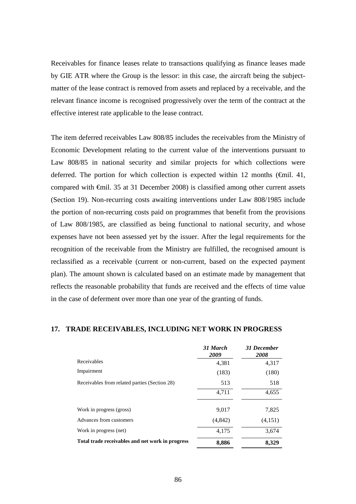Receivables for finance leases relate to transactions qualifying as finance leases made by GIE ATR where the Group is the lessor: in this case, the aircraft being the subjectmatter of the lease contract is removed from assets and replaced by a receivable, and the relevant finance income is recognised progressively over the term of the contract at the effective interest rate applicable to the lease contract.

The item deferred receivables Law 808/85 includes the receivables from the Ministry of Economic Development relating to the current value of the interventions pursuant to Law 808/85 in national security and similar projects for which collections were deferred. The portion for which collection is expected within 12 months ( $\epsilon$ mil. 41, compared with  $\epsilon$ mil. 35 at 31 December 2008) is classified among other current assets (Section 19). Non-recurring costs awaiting interventions under Law 808/1985 include the portion of non-recurring costs paid on programmes that benefit from the provisions of Law 808/1985, are classified as being functional to national security, and whose expenses have not been assessed yet by the issuer. After the legal requirements for the recognition of the receivable from the Ministry are fulfilled, the recognised amount is reclassified as a receivable (current or non-current, based on the expected payment plan). The amount shown is calculated based on an estimate made by management that reflects the reasonable probability that funds are received and the effects of time value in the case of deferment over more than one year of the granting of funds.

|                                                  | 31 March<br>2009 | 31 December<br>2008 |
|--------------------------------------------------|------------------|---------------------|
| Receivables                                      | 4,381            | 4,317               |
| Impairment                                       | (183)            | (180)               |
| Receivables from related parties (Section 28)    | 513              | 518                 |
|                                                  | 4,711            | 4,655               |
|                                                  |                  |                     |
| Work in progress (gross)                         | 9,017            | 7,825               |
| Advances from customers                          | (4,842)          | (4,151)             |
| Work in progress (net)                           | 4,175            | 3,674               |
| Total trade receivables and net work in progress | 8,886            | 8,329               |

*31 March* 

#### **17. TRADE RECEIVABLES, INCLUDING NET WORK IN PROGRESS**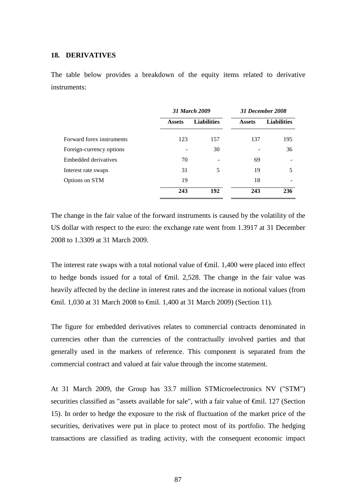#### **18. DERIVATIVES**

The table below provides a breakdown of the equity items related to derivative instruments:

|                           |               | 31 March 2009      |               | 31 December 2008   |
|---------------------------|---------------|--------------------|---------------|--------------------|
|                           | <b>Assets</b> | <b>Liabilities</b> | <b>Assets</b> | <b>Liabilities</b> |
| Forward forex instruments | 123           | 157                | 137           | 195                |
| Foreign-currency options  |               | 30                 |               | 36                 |
| Embedded derivatives      | 70            |                    | 69            |                    |
| Interest rate swaps       | 31            | 5                  | 19            | 5                  |
| Options on STM            | 19            |                    | 18            |                    |
|                           | 243           | 192                | 243           | 236                |

The change in the fair value of the forward instruments is caused by the volatility of the US dollar with respect to the euro: the exchange rate went from 1.3917 at 31 December 2008 to 1.3309 at 31 March 2009.

The interest rate swaps with a total notional value of  $\epsilon$ mil. 1,400 were placed into effect to hedge bonds issued for a total of  $\epsilon$ mil. 2,528. The change in the fair value was heavily affected by the decline in interest rates and the increase in notional values (from €mil. 1,030 at 31 March 2008 to €mil. 1,400 at 31 March 2009) (Section 11).

The figure for embedded derivatives relates to commercial contracts denominated in currencies other than the currencies of the contractually involved parties and that generally used in the markets of reference. This component is separated from the commercial contract and valued at fair value through the income statement.

At 31 March 2009, the Group has 33.7 million STMicroelectronics NV ("STM") securities classified as "assets available for sale", with a fair value of €mil. 127 (Section 15). In order to hedge the exposure to the risk of fluctuation of the market price of the securities, derivatives were put in place to protect most of its portfolio. The hedging transactions are classified as trading activity, with the consequent economic impact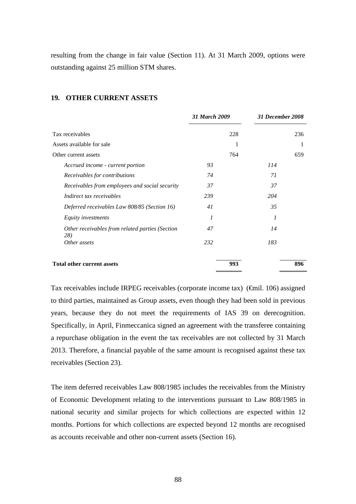resulting from the change in fair value (Section 11). At 31 March 2009, options were outstanding against 25 million STM shares.

|                                                        | <b>31 March 2009</b> | 31 December 2008 |     |
|--------------------------------------------------------|----------------------|------------------|-----|
| Tax receivables                                        | 228                  |                  | 236 |
| Assets available for sale                              | 1                    |                  | 1   |
| Other current assets                                   | 764                  |                  | 659 |
| Accrued income - current portion                       | 93                   | 114              |     |
| Receivables for contributions                          | 74                   | 71               |     |
| Receivables from employees and social security         | 37                   | 37               |     |
| Indirect tax receivables                               | 239                  | 204              |     |
| Deferred receivables Law 808/85 (Section 16)           | 41                   | 35               |     |
| Equity investments                                     | 1                    | 1                |     |
| Other receivables from related parties (Section<br>28) | 47                   | 14               |     |
| Other assets                                           | 232                  | 183              |     |
| <b>Total other current assets</b>                      | 993                  |                  | 896 |

# **19. OTHER CURRENT ASSETS**

Tax receivables include IRPEG receivables (corporate income tax) ( $\epsilon$ mil. 106) assigned to third parties, maintained as Group assets, even though they had been sold in previous years, because they do not meet the requirements of IAS 39 on derecognition. Specifically, in April, Finmeccanica signed an agreement with the transferee containing a repurchase obligation in the event the tax receivables are not collected by 31 March 2013. Therefore, a financial payable of the same amount is recognised against these tax receivables (Section 23).

The item deferred receivables Law 808/1985 includes the receivables from the Ministry of Economic Development relating to the interventions pursuant to Law 808/1985 in national security and similar projects for which collections are expected within 12 months. Portions for which collections are expected beyond 12 months are recognised as accounts receivable and other non-current assets (Section 16).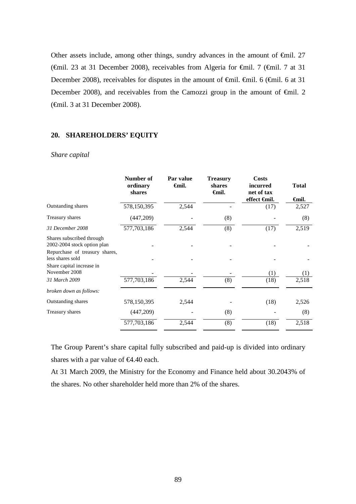Other assets include, among other things, sundry advances in the amount of  $\epsilon$ mil. 27 (€mil. 23 at 31 December 2008), receivables from Ageria for €mil. 7 (€mil. 7 at 31 December 2008), receivables for disputes in the amount of €mil.  $\epsilon$ mil. 6 ( $\epsilon$ mil. 6 at 31 December 2008), and receivables from the Camozzi group in the amount of  $\epsilon$ mil. 2 (€mil. 3 at 31 December 2008).

# **20. SHAREHOLDERS' EQUITY**

### *Share capital*

|                                                          | Number of<br>ordinary<br>shares | Par value<br>€mil. | <b>Treasury</b><br>shares<br>€mil. | Costs<br>incurred<br>net of tax<br>effect €mil. | <b>Total</b><br>$\epsilon$ mil. |
|----------------------------------------------------------|---------------------------------|--------------------|------------------------------------|-------------------------------------------------|---------------------------------|
| <b>Outstanding shares</b>                                | 578,150,395                     | 2,544              |                                    | (17)                                            | 2,527                           |
| Treasury shares                                          | (447,209)                       |                    | (8)                                |                                                 | (8)                             |
| 31 December 2008                                         | 577,703,186                     | 2,544              | (8)                                | (17)                                            | 2,519                           |
| Shares subscribed through<br>2002-2004 stock option plan |                                 |                    |                                    |                                                 |                                 |
| Repurchase of treasury shares,<br>less shares sold       |                                 |                    |                                    |                                                 |                                 |
| Share capital increase in<br>November 2008               |                                 |                    |                                    | (1)                                             | (1)                             |
| 31 March 2009                                            | 577,703,186                     | 2,544              | (8)                                | (18)                                            | 2,518                           |
| broken down as follows:                                  |                                 |                    |                                    |                                                 |                                 |
| Outstanding shares                                       | 578,150,395                     | 2,544              |                                    | (18)                                            | 2,526                           |
| Treasury shares                                          | (447,209)                       |                    | (8)                                |                                                 | (8)                             |
|                                                          | 577,703,186                     | 2,544              | (8)                                | (18)                                            | 2,518                           |

The Group Parent's share capital fully subscribed and paid-up is divided into ordinary shares with a par value of  $\text{\textsterling}4.40$  each.

At 31 March 2009, the Ministry for the Economy and Finance held about 30.2043% of the shares. No other shareholder held more than 2% of the shares.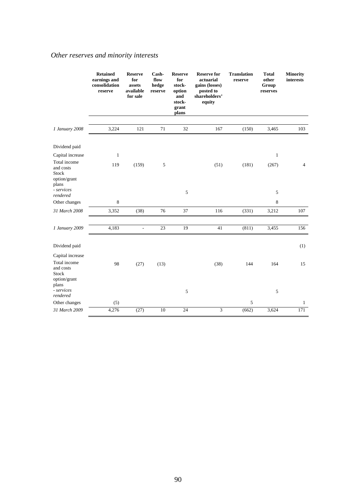# *Other reserves and minority interests*

|                                                             | <b>Retained</b><br>earnings and<br>consolidation<br>reserve | <b>Reserve</b><br>for<br>assets<br>available<br>for sale | Cash-<br>flow<br>hedge<br>reserve | <b>Reserve</b><br>for<br>stock-<br>option<br>and<br>stock-<br>grant<br>plans | <b>Reserve for</b><br>actuarial<br>gains (losses)<br>posted to<br>shareholders'<br>equity | <b>Translation</b><br>reserve | <b>Total</b><br>other<br>Group<br>reserves | <b>Minority</b><br>interests |
|-------------------------------------------------------------|-------------------------------------------------------------|----------------------------------------------------------|-----------------------------------|------------------------------------------------------------------------------|-------------------------------------------------------------------------------------------|-------------------------------|--------------------------------------------|------------------------------|
| 1 January 2008                                              | 3,224                                                       | 121                                                      | $71\,$                            | 32                                                                           | 167                                                                                       | (150)                         | 3,465                                      | 103                          |
|                                                             |                                                             |                                                          |                                   |                                                                              |                                                                                           |                               |                                            |                              |
| Dividend paid                                               |                                                             |                                                          |                                   |                                                                              |                                                                                           |                               |                                            |                              |
| Capital increase                                            | 1                                                           |                                                          |                                   |                                                                              |                                                                                           |                               | $\mathbf{1}$                               |                              |
| Total income<br>and costs<br>Stock<br>option/grant<br>plans | 119                                                         | (159)                                                    | 5                                 |                                                                              | (51)                                                                                      | (181)                         | (267)                                      | $\overline{4}$               |
| - services<br>rendered                                      |                                                             |                                                          |                                   | 5                                                                            |                                                                                           |                               | 5                                          |                              |
| Other changes                                               | $\,8\,$                                                     |                                                          |                                   |                                                                              |                                                                                           |                               | 8                                          |                              |
| 31 March 2008                                               | 3,352                                                       | (38)                                                     | $76\,$                            | 37                                                                           | 116                                                                                       | (331)                         | 3,212                                      | 107                          |
| 1 January 2009                                              | 4,183                                                       | $\overline{\phantom{a}}$                                 | 23                                | 19                                                                           | 41                                                                                        | (811)                         | 3,455                                      | 156                          |
| Dividend paid                                               |                                                             |                                                          |                                   |                                                                              |                                                                                           |                               |                                            | (1)                          |
| Capital increase                                            |                                                             |                                                          |                                   |                                                                              |                                                                                           |                               |                                            |                              |
| Total income<br>and costs<br>Stock<br>option/grant<br>plans | 98                                                          | (27)                                                     | (13)                              |                                                                              | (38)                                                                                      | 144                           | 164                                        | 15                           |
| - services<br>rendered                                      |                                                             |                                                          |                                   | 5                                                                            |                                                                                           |                               | 5                                          |                              |
| Other changes                                               | (5)                                                         |                                                          |                                   |                                                                              |                                                                                           | 5                             |                                            | $\mathbf{1}$                 |
| 31 March 2009                                               | 4,276                                                       | (27)                                                     | 10                                | $\overline{24}$                                                              | $\overline{\mathbf{3}}$                                                                   | (662)                         | 3,624                                      | 171                          |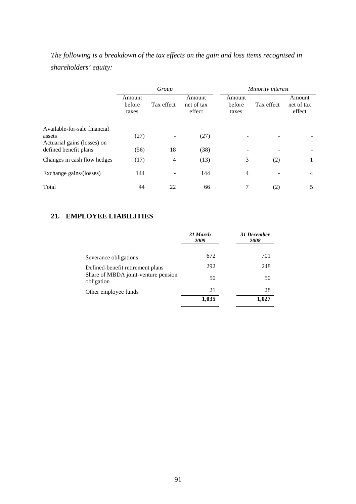# *The following is a breakdown of the tax effects on the gain and loss items recognised in shareholders' equity:*

|                                                                       | Group                     |            |                                |                           | Minority interest |                                |
|-----------------------------------------------------------------------|---------------------------|------------|--------------------------------|---------------------------|-------------------|--------------------------------|
|                                                                       | Amount<br>before<br>taxes | Tax effect | Amount<br>net of tax<br>effect | Amount<br>before<br>taxes | Tax effect        | Amount<br>net of tax<br>effect |
| Available-for-sale financial<br>assets<br>Actuarial gains (losses) on | (27)                      |            | (27)                           |                           | $\qquad \qquad$   |                                |
| defined benefit plans                                                 | (56)                      | 18         | (38)                           |                           |                   |                                |
| Changes in cash flow hedges                                           | (17)                      | 4          | (13)                           | 3                         | (2)               |                                |
| Exchange gains/(losses)                                               | 144                       |            | 144                            | 4                         |                   | $\overline{4}$                 |
| Total                                                                 | 44                        | 22         | 66                             | 7                         | (2)               | 5                              |

# **21. EMPLOYEE LIABILITIES**

|                                                   | 31 March<br>2009 | 31 December<br>2008 |
|---------------------------------------------------|------------------|---------------------|
| Severance obligations                             | 672              | 701                 |
| Defined-benefit retirement plans                  | 292              | 248                 |
| Share of MBDA joint-venture pension<br>obligation | 50               | 50                  |
| Other employee funds                              | 21               | 28                  |
|                                                   | 1,035            | 1.027               |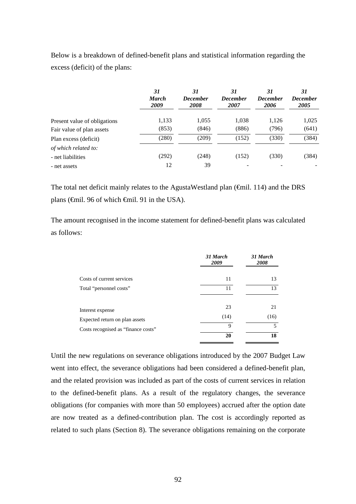Below is a breakdown of defined-benefit plans and statistical information regarding the excess (deficit) of the plans:

|                              | 31<br><b>March</b><br>2009 | 31<br><b>December</b><br>2008 | 31<br><b>December</b><br>2007 | 31<br><b>December</b><br>2006 | 31<br><b>December</b><br>2005 |
|------------------------------|----------------------------|-------------------------------|-------------------------------|-------------------------------|-------------------------------|
| Present value of obligations | 1,133                      | 1,055                         | 1,038                         | 1,126                         | 1,025                         |
| Fair value of plan assets    | (853)                      | (846)                         | (886)                         | (796)                         | (641)                         |
| Plan excess (deficit)        | (280)                      | (209)                         | (152)                         | (330)                         | (384)                         |
| of which related to:         |                            |                               |                               |                               |                               |
| - net liabilities            | (292)                      | (248)                         | (152)                         | (330)                         | (384)                         |
| - net assets                 | 12                         | 39                            |                               |                               |                               |

The total net deficit mainly relates to the AgustaWestland plan ( $\epsilon$ mil. 114) and the DRS plans (€mil. 96 of which €mil. 91 in the USA).

The amount recognised in the income statement for defined-benefit plans was calculated as follows:

|                                                                       | 31 March<br>2009 | 31 March<br>2008 |
|-----------------------------------------------------------------------|------------------|------------------|
| Costs of current services                                             | 11               | 13               |
| Total "personnel costs"                                               | 11               | 13               |
| Interest expense                                                      | 23<br>(14)       | 21<br>(16)       |
| Expected return on plan assets<br>Costs recognised as "finance costs" | 9<br>20          | 5<br>18          |

Until the new regulations on severance obligations introduced by the 2007 Budget Law went into effect, the severance obligations had been considered a defined-benefit plan, and the related provision was included as part of the costs of current services in relation to the defined-benefit plans. As a result of the regulatory changes, the severance obligations (for companies with more than 50 employees) accrued after the option date are now treated as a defined-contribution plan. The cost is accordingly reported as related to such plans (Section 8). The severance obligations remaining on the corporate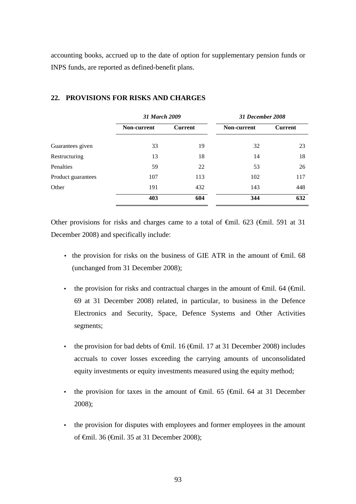accounting books, accrued up to the date of option for supplementary pension funds or INPS funds, are reported as defined-benefit plans.

|                    | 31 March 2009 |                | 31 December 2008 |                |
|--------------------|---------------|----------------|------------------|----------------|
|                    | Non-current   | <b>Current</b> | Non-current      | <b>Current</b> |
| Guarantees given   | 33            | 19             | 32               | 23             |
| Restructuring      | 13            | 18             | 14               | 18             |
| Penalties          | 59            | 22             | 53               | 26             |
| Product guarantees | 107           | 113            | 102              | 117            |
| Other              | 191           | 432            | 143              | 448            |
|                    | 403           | 604            | 344              | 632            |

# **22. PROVISIONS FOR RISKS AND CHARGES**

Other provisions for risks and charges came to a total of  $\epsilon$ mil. 623 ( $\epsilon$ mil. 591 at 31 December 2008) and specifically include:

- the provision for risks on the business of GIE ATR in the amount of  $\epsilon$ mil. 68 (unchanged from 31 December 2008);
- the provision for risks and contractual charges in the amount of  $\epsilon$ mil. 64 ( $\epsilon$ mil. 69 at 31 December 2008) related, in particular, to business in the Defence Electronics and Security, Space, Defence Systems and Other Activities segments;
- the provision for bad debts of  $\epsilon$ mil. 16 ( $\epsilon$ mil. 17 at 31 December 2008) includes accruals to cover losses exceeding the carrying amounts of unconsolidated equity investments or equity investments measured using the equity method;
- the provision for taxes in the amount of  $\epsilon$ mil. 65 ( $\epsilon$ mil. 64 at 31 December 2008);
- the provision for disputes with employees and former employees in the amount of €mil. 36 (€mil. 35 at 31 December 2008);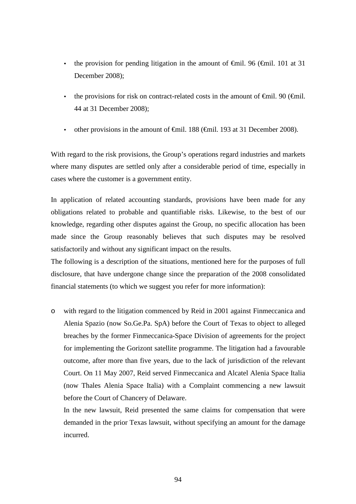- the provision for pending litigation in the amount of  $\epsilon$ mil. 96 ( $\epsilon$ mil. 101 at 31) December 2008);
- the provisions for risk on contract-related costs in the amount of  $\epsilon$ mil. 90 ( $\epsilon$ mil. 44 at 31 December 2008);
- other provisions in the amount of  $\epsilon$ mil. 188 ( $\epsilon$ mil. 193 at 31 December 2008).

With regard to the risk provisions, the Group's operations regard industries and markets where many disputes are settled only after a considerable period of time, especially in cases where the customer is a government entity.

In application of related accounting standards, provisions have been made for any obligations related to probable and quantifiable risks. Likewise, to the best of our knowledge, regarding other disputes against the Group, no specific allocation has been made since the Group reasonably believes that such disputes may be resolved satisfactorily and without any significant impact on the results.

The following is a description of the situations, mentioned here for the purposes of full disclosure, that have undergone change since the preparation of the 2008 consolidated financial statements (to which we suggest you refer for more information):

o with regard to the litigation commenced by Reid in 2001 against Finmeccanica and Alenia Spazio (now So.Ge.Pa. SpA) before the Court of Texas to object to alleged breaches by the former Finmeccanica-Space Division of agreements for the project for implementing the Gorizont satellite programme. The litigation had a favourable outcome, after more than five years, due to the lack of jurisdiction of the relevant Court. On 11 May 2007, Reid served Finmeccanica and Alcatel Alenia Space Italia (now Thales Alenia Space Italia) with a Complaint commencing a new lawsuit before the Court of Chancery of Delaware.

In the new lawsuit, Reid presented the same claims for compensation that were demanded in the prior Texas lawsuit, without specifying an amount for the damage incurred.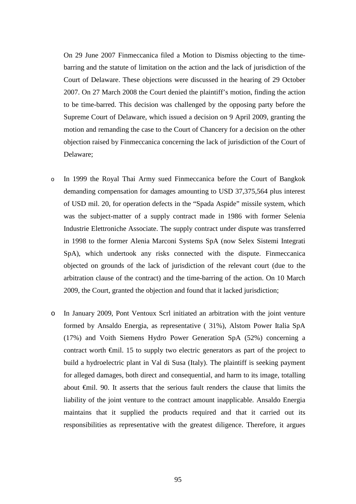On 29 June 2007 Finmeccanica filed a Motion to Dismiss objecting to the timebarring and the statute of limitation on the action and the lack of jurisdiction of the Court of Delaware. These objections were discussed in the hearing of 29 October 2007. On 27 March 2008 the Court denied the plaintiff's motion, finding the action to be time-barred. This decision was challenged by the opposing party before the Supreme Court of Delaware, which issued a decision on 9 April 2009, granting the motion and remanding the case to the Court of Chancery for a decision on the other objection raised by Finmeccanica concerning the lack of jurisdiction of the Court of Delaware;

- o In 1999 the Royal Thai Army sued Finmeccanica before the Court of Bangkok demanding compensation for damages amounting to USD 37,375,564 plus interest of USD mil. 20, for operation defects in the "Spada Aspide" missile system, which was the subject-matter of a supply contract made in 1986 with former Selenia Industrie Elettroniche Associate. The supply contract under dispute was transferred in 1998 to the former Alenia Marconi Systems SpA (now Selex Sistemi Integrati SpA), which undertook any risks connected with the dispute. Finmeccanica objected on grounds of the lack of jurisdiction of the relevant court (due to the arbitration clause of the contract) and the time-barring of the action. On 10 March 2009, the Court, granted the objection and found that it lacked jurisdiction;
- o In January 2009, Pont Ventoux Scrl initiated an arbitration with the joint venture formed by Ansaldo Energia, as representative ( 31%), Alstom Power Italia SpA (17%) and Voith Siemens Hydro Power Generation SpA (52%) concerning a contract worth  $\epsilon$ mil. 15 to supply two electric generators as part of the project to build a hydroelectric plant in Val di Susa (Italy). The plaintiff is seeking payment for alleged damages, both direct and consequential, and harm to its image, totalling about  $\epsilon$ mil. 90. It asserts that the serious fault enders the clause that limits the liability of the joint venture to the contract amount inapplicable. Ansaldo Energia maintains that it supplied the products required and that it carried out its responsibilities as representative with the greatest diligence. Therefore, it argues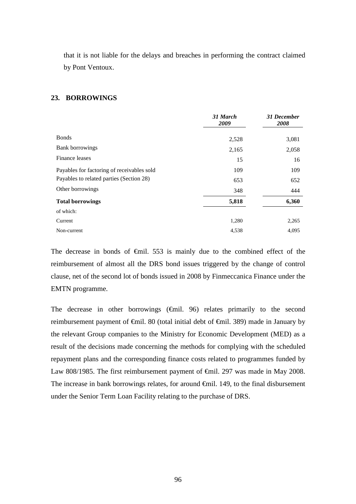that it is not liable for the delays and breaches in performing the contract claimed by Pont Ventoux.

# **23. BORROWINGS**

|                                            | 31 March<br>2009 | 31 December<br>2008 |
|--------------------------------------------|------------------|---------------------|
| <b>Bonds</b>                               | 2,528            | 3,081               |
| <b>Bank borrowings</b>                     | 2,165            | 2,058               |
| Finance leases                             | 15               | 16                  |
| Payables for factoring of receivables sold | 109              | 109                 |
| Payables to related parties (Section 28)   | 653              | 652                 |
| Other borrowings                           | 348              | 444                 |
| <b>Total borrowings</b>                    | 5,818            | 6,360               |
| of which:                                  |                  |                     |
| Current                                    | 1,280            | 2,265               |
| Non-current                                | 4,538            | 4,095               |

The decrease in bonds of  $\epsilon$ mil. 553 is mainly due to the combined effect of the reimbursement of almost all the DRS bond issues triggered by the change of control clause, net of the second lot of bonds issued in 2008 by Finmeccanica Finance under the EMTN programme.

The decrease in other borrowings ( $\epsilon$ mil. 96) relates primarily to the second reimbursement payment of €mil. 80 (total initial debt of €mil. 389) made in January by the relevant Group companies to the Ministry for Economic Development (MED) as a result of the decisions made concerning the methods for complying with the scheduled repayment plans and the corresponding finance costs related to programmes funded by Law 808/1985. The first reimbursement payment of  $\epsilon$ mil. 297 was made in May 2008. The increase in bank borrowings relates, for around  $\epsilon$ mil. 149, to the final disbursement under the Senior Term Loan Facility relating to the purchase of DRS.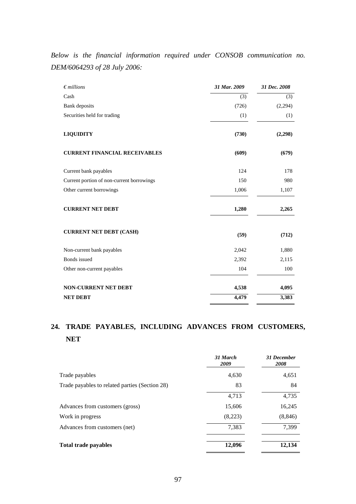*Below is the financial information required under CONSOB communication no. DEM/6064293 of 28 July 2006:* 

| $\epsilon$ millions                       | 31 Mar. 2009 | 31 Dec. 2008 |
|-------------------------------------------|--------------|--------------|
| Cash                                      | (3)          | (3)          |
| <b>Bank</b> deposits                      | (726)        | (2,294)      |
| Securities held for trading               | (1)          | (1)          |
| <b>LIQUIDITY</b>                          | (730)        | (2,298)      |
| <b>CURRENT FINANCIAL RECEIVABLES</b>      | (609)        | (679)        |
| Current bank payables                     | 124          | 178          |
| Current portion of non-current borrowings | 150          | 980          |
| Other current borrowings                  | 1,006        | 1,107        |
| <b>CURRENT NET DEBT</b>                   | 1,280        | 2,265        |
| <b>CURRENT NET DEBT (CASH)</b>            | (59)         | (712)        |
| Non-current bank payables                 | 2,042        | 1,880        |
| Bonds issued                              | 2,392        | 2,115        |
| Other non-current payables                | 104          | 100          |
| NON-CURRENT NET DEBT                      | 4,538        | 4,095        |
| <b>NET DEBT</b>                           | 4,479        | 3,383        |

# **24. TRADE PAYABLES, INCLUDING ADVANCES FROM CUSTOMERS, NET**

|                                                | 31 March<br>2009 | 31 December<br>2008 |
|------------------------------------------------|------------------|---------------------|
| Trade payables                                 | 4,630            | 4,651               |
| Trade payables to related parties (Section 28) | 83               | 84                  |
|                                                | 4,713            | 4,735               |
| Advances from customers (gross)                | 15,606           | 16,245              |
| Work in progress                               | (8,223)          | (8, 846)            |
| Advances from customers (net)                  | 7,383            | 7,399               |
| <b>Total trade payables</b>                    | 12,096           | 12,134              |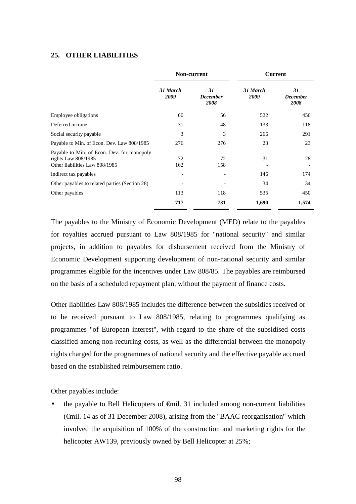# **25. OTHER LIABILITIES**

|                                                                                                       | Non-current      |                               |                  | <b>Current</b>                |
|-------------------------------------------------------------------------------------------------------|------------------|-------------------------------|------------------|-------------------------------|
|                                                                                                       | 31 March<br>2009 | 31<br><b>December</b><br>2008 | 31 March<br>2009 | 31<br><b>December</b><br>2008 |
| Employee obligations                                                                                  | 60               | 56                            | 522              | 456                           |
| Deferred income                                                                                       | 31               | 48                            | 133              | 118                           |
| Social security payable                                                                               | 3                | 3                             | 266              | 291                           |
| Payable to Min. of Econ. Dev. Law 808/1985                                                            | 276              | 276                           | 23               | 23                            |
| Payable to Min. of Econ. Dev. for monopoly<br>rights Law $808/1985$<br>Other liabilities Law 808/1985 | 72<br>162        | 72<br>158                     | 31               | 28                            |
| Indirect tax payables                                                                                 |                  |                               | 146              | 174                           |
| Other payables to related parties (Section 28)                                                        |                  |                               | 34               | 34                            |
| Other payables                                                                                        | 113              | 118                           | 535              | 450                           |
|                                                                                                       | 717              | 731                           | 1,690            | 1,574                         |

The payables to the Ministry of Economic Development (MED) relate to the payables for royalties accrued pursuant to Law 808/1985 for "national security" and similar projects, in addition to payables for disbursement received from the Ministry of Economic Development supporting development of non-national security and similar programmes eligible for the incentives under Law 808/85. The payables are reimbursed on the basis of a scheduled repayment plan, without the payment of finance costs.

Other liabilities Law 808/1985 includes the difference between the subsidies received or to be received pursuant to Law 808/1985, relating to programmes qualifying as programmes "of European interest", with regard to the share of the subsidised costs classified among non-recurring costs, as well as the differential between the monopoly rights charged for the programmes of national security and the effective payable accrued based on the established reimbursement ratio.

Other payables include:

the payable to Bell Helicopters of  $\epsilon$ mil. 31 included among non-current liabilities  $(\text{Emil. 14 as of 31 December 2008})$ , arising from the "BAAC reorganisation" which involved the acquisition of 100% of the construction and marketing rights for the helicopter AW139, previously owned by Bell Helicopter at 25%;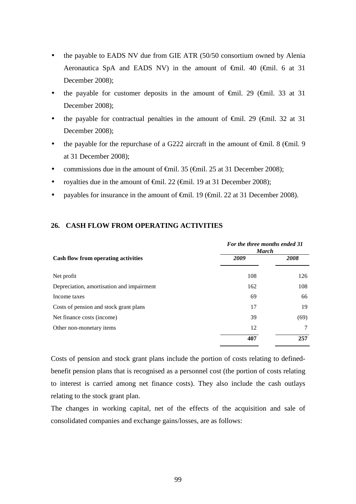- the payable to EADS NV due from GIE ATR (50/50 consortium owned by Alenia Aeronautica SpA and EADS NV) in the amount of  $\epsilon$ mil. 40 ( $\epsilon$ mil. 6 at 31 December 2008);
- the payable for customer deposits in the amount of  $\epsilon$ mil. 29 ( $\epsilon$ mil. 33 at 31 December 2008);
- the payable for contractual penalties in the amount of  $\epsilon$ mil. 29 ( $\epsilon$ mil. 32 at 31 December 2008);
- the payable for the repurchase of a G222 aircraft in the amount of  $\epsilon$ mil. 8 ( $\epsilon$ mil. 9 at 31 December 2008);
- commissions due in the amount of  $\epsilon$ mil. 35 ( $\epsilon$ mil. 25 at 31 December 2008);
- royalties due in the amount of  $\epsilon$ mil. 22 ( $\epsilon$ mil. 19 a 31 December 2008);
- payables for insurance in the amount of  $\epsilon$ mil. 19 ( $\epsilon$ mil. 22 at 31 December 2008).

# **26. CASH FLOW FROM OPERATING ACTIVITIES**

|                                            | For the three months ended 31<br><b>March</b> |      |  |  |
|--------------------------------------------|-----------------------------------------------|------|--|--|
| <b>Cash flow from operating activities</b> | 2009                                          | 2008 |  |  |
| Net profit                                 | 108                                           | 126  |  |  |
| Depreciation, amortisation and impairment  | 162                                           | 108  |  |  |
| Income taxes                               | 69                                            | 66   |  |  |
| Costs of pension and stock grant plans     | 17                                            | 19   |  |  |
| Net finance costs (income)                 | 39                                            | (69) |  |  |
| Other non-monetary items                   | 12                                            | 7    |  |  |
|                                            | 407                                           | 257  |  |  |

Costs of pension and stock grant plans include the portion of costs relating to definedbenefit pension plans that is recognised as a personnel cost (the portion of costs relating to interest is carried among net finance costs). They also include the cash outlays relating to the stock grant plan.

The changes in working capital, net of the effects of the acquisition and sale of consolidated companies and exchange gains/losses, are as follows: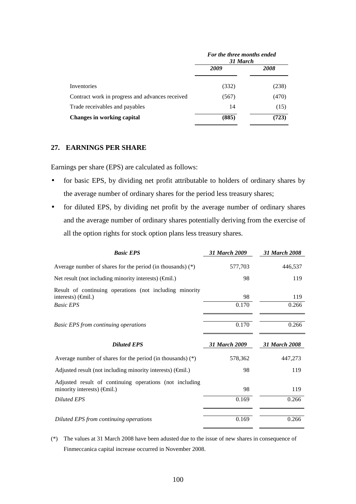|                                                 | For the three months ended<br>31 March |       |  |  |
|-------------------------------------------------|----------------------------------------|-------|--|--|
|                                                 | 2009                                   | 2008  |  |  |
| Inventories                                     | (332)                                  | (238) |  |  |
| Contract work in progress and advances received | (567)                                  | (470) |  |  |
| Trade receivables and payables                  | 14                                     | (15)  |  |  |
| <b>Changes in working capital</b>               | (885)                                  | (723) |  |  |

# **27. EARNINGS PER SHARE**

Earnings per share (EPS) are calculated as follows:

- for basic EPS, by dividing net profit attributable to holders of ordinary shares by the average number of ordinary shares for the period less treasury shares;
- for diluted EPS, by dividing net profit by the average number of ordinary shares and the average number of ordinary shares potentially deriving from the exercise of all the option rights for stock option plans less treasury shares.

| <b>Basic EPS</b>                                                                                                   | <b>31 March 2009</b> | <b>31 March 2008</b> |
|--------------------------------------------------------------------------------------------------------------------|----------------------|----------------------|
| Average number of shares for the period (in thousands) $(*)$                                                       | 577,703              | 446,537              |
| Net result (not including minority interests) $(\epsilon m)$                                                       | 98                   | 119                  |
| Result of continuing operations (not including minority<br>interests) $(\epsilon \text{mil.})$<br><b>Basic EPS</b> | 98<br>0.170          | 119<br>0.266         |
|                                                                                                                    |                      |                      |
| <b>Basic EPS from continuing operations</b>                                                                        | 0.170                | 0.266                |
|                                                                                                                    |                      |                      |
| <b>Diluted EPS</b>                                                                                                 | 31 March 2009        | 31 March 2008        |
| Average number of shares for the period (in thousands) $(*)$                                                       | 578,362              | 447,273              |
| Adjusted result (not including minority interests) ( $\epsilon$ mil.)                                              | 98                   | 119                  |
| Adjusted result of continuing operations (not including<br>minority interests) $(\epsilon \text{mil.})$            | 98                   | 119                  |
| <b>Diluted EPS</b>                                                                                                 | 0.169                | 0.266                |

(\*) The values at 31 March 2008 have been adusted due to the issue of new shares in consequence of Finmeccanica capital increase occurred in November 2008.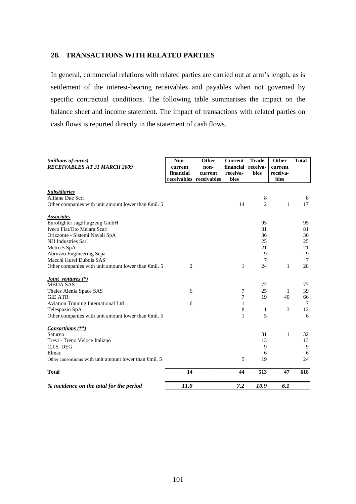### **28. TRANSACTIONS WITH RELATED PARTIES**

In general, commercial relations with related parties are carried out at arm's length, as is settlement of the interest-bearing receivables and payables when not governed by specific contractual conditions. The following table summarises the impact on the balance sheet and income statement. The impact of transactions with related parties on cash flows is reported directly in the statement of cash flows.

| (millions of euros)<br><b>RECEIVABLES AT 31 MARCH 2009</b>      | Non-<br>current<br>financial | Other<br>non-<br>current<br>receivables receivables | <b>Current</b><br>financial<br>receiva-<br>bles | <b>Trade</b><br>receiva-<br>bles | Other<br>current<br>receiva-<br>bles | <b>Total</b> |
|-----------------------------------------------------------------|------------------------------|-----------------------------------------------------|-------------------------------------------------|----------------------------------|--------------------------------------|--------------|
| <b>Subsidiaries</b>                                             |                              |                                                     |                                                 |                                  |                                      |              |
| Alifana Due Scrl                                                |                              |                                                     |                                                 | 8                                |                                      | 8            |
| Other companies with unit amount lower than $\epsilon$ mil. 5   |                              |                                                     | 14                                              | $\overline{2}$                   | $\mathbf{1}$                         | 17           |
| <b>Associates</b>                                               |                              |                                                     |                                                 |                                  |                                      |              |
| Eurofighter Jagdflugzeug GmbH                                   |                              |                                                     |                                                 | 95                               |                                      | 95           |
| Iveco Fiat/Oto Melara Scarl                                     |                              |                                                     |                                                 | 81                               |                                      | 81           |
| Orizzonte - Sistemi Navali SpA                                  |                              |                                                     |                                                 | 36                               |                                      | 36           |
| NH Industries Sarl                                              |                              |                                                     |                                                 | 25                               |                                      | 25           |
| Metro 5 SpA                                                     |                              |                                                     |                                                 | 21                               |                                      | 21           |
| Abruzzo Engineering Scpa                                        |                              |                                                     |                                                 | 9                                |                                      | 9            |
| Macchi Hurel Dubois SAS                                         |                              |                                                     |                                                 | 7                                |                                      | 7            |
| Other companies with unit amount lower than $\epsilon$ mil. 5   | 2                            |                                                     | $\mathbf{1}$                                    | 24                               | 1                                    | 28           |
| <i>Joint ventures</i> (*)                                       |                              |                                                     |                                                 |                                  |                                      |              |
| <b>MBDA SAS</b>                                                 |                              |                                                     |                                                 | 77                               |                                      | 77           |
| Thales Alenia Space SAS                                         | 6                            |                                                     | 7                                               | 25                               | -1                                   | 39           |
| <b>GIE ATR</b>                                                  |                              |                                                     | 7                                               | 19                               | 40                                   | 66           |
| Aviation Training International Ltd                             | 6                            |                                                     | 1                                               |                                  |                                      | $\tau$       |
| Telespazio SpA                                                  |                              |                                                     | 8                                               | 1                                | 3                                    | 12           |
| Other companies with unit amount lower than $\epsilon$ mil. 5   |                              |                                                     | $\mathbf{1}$                                    | 5                                |                                      | 6            |
| <i>Consortiums</i> (**)                                         |                              |                                                     |                                                 |                                  |                                      |              |
| Saturno                                                         |                              |                                                     |                                                 | 31                               | 1                                    | 32           |
| Trevi - Treno Veloce Italiano                                   |                              |                                                     |                                                 | 13                               |                                      | 13           |
| C.I.S. DEG                                                      |                              |                                                     |                                                 | 9                                |                                      | 9            |
| Elmac                                                           |                              |                                                     |                                                 | 6                                |                                      | 6            |
| Other consortiums with unit amount lower than $\epsilon$ mil. 5 |                              |                                                     | 5                                               | 19                               |                                      | 24           |
| <b>Total</b>                                                    | 14                           | $\overline{\phantom{a}}$                            | 44                                              | 513                              | 47                                   | 618          |
| % incidence on the total for the period                         | <i>11.0</i>                  |                                                     | 7.2                                             | 10.9                             | 6.1                                  |              |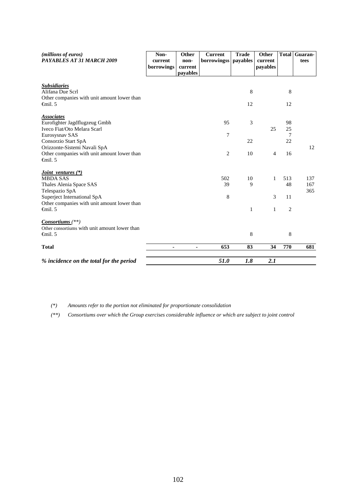| (millions of euros)<br>PAYABLES AT 31 MARCH 2009 | Non-<br>current<br>borrowings | Other<br>non-<br>current<br>payables | <b>Current</b><br>borrowingss | <b>Trade</b><br>payables | Other<br>current<br>payables | <b>Total</b>   | Guaran-<br>tees |
|--------------------------------------------------|-------------------------------|--------------------------------------|-------------------------------|--------------------------|------------------------------|----------------|-----------------|
| <b>Subsidiaries</b>                              |                               |                                      |                               |                          |                              |                |                 |
| Alifana Due Scrl                                 |                               |                                      |                               | 8                        |                              | 8              |                 |
| Other companies with unit amount lower than      |                               |                                      |                               |                          |                              |                |                 |
| $\epsilon$ mil. 5                                |                               |                                      |                               | 12                       |                              | 12             |                 |
| <b>Associates</b>                                |                               |                                      |                               |                          |                              |                |                 |
| Eurofighter Jagdflugzeug Gmbh                    |                               |                                      | 95                            | 3                        |                              | 98             |                 |
| Iveco Fiat/Oto Melara Scarl                      |                               |                                      |                               |                          | 25                           | 25             |                 |
| Eurosysnav SAS                                   |                               |                                      | $\overline{7}$                |                          |                              | 7              |                 |
| Consorzio Start SpA                              |                               |                                      |                               | 22                       |                              | 22             |                 |
| Orizzonte-Sistemi Navali SpA                     |                               |                                      |                               |                          |                              |                | 12              |
| Other companies with unit amount lower than      |                               |                                      | 2                             | 10                       | 4                            | 16             |                 |
| $\epsilon$ mil. 5                                |                               |                                      |                               |                          |                              |                |                 |
| <i>Joint ventures</i> (*)                        |                               |                                      |                               |                          |                              |                |                 |
| <b>MBDA SAS</b>                                  |                               |                                      | 502                           | 10                       | 1                            | 513            | 137             |
| Thales Alenia Space SAS                          |                               |                                      | 39                            | 9                        |                              | 48             | 167             |
| Telespazio SpA                                   |                               |                                      |                               |                          |                              |                | 365             |
| Superject International SpA                      |                               |                                      | $\,8\,$                       |                          | 3                            | 11             |                 |
| Other companies with unit amount lower than      |                               |                                      |                               |                          |                              |                |                 |
| $\epsilon$ mil. 5                                |                               |                                      |                               | $\mathbf{1}$             | 1                            | $\overline{2}$ |                 |
| $Consortiums$ <sup>(**)</sup>                    |                               |                                      |                               |                          |                              |                |                 |
| Other consortiums with unit amount lower than    |                               |                                      |                               |                          |                              |                |                 |
| $\epsilon$ mil. 5                                |                               |                                      |                               | 8                        |                              | 8              |                 |
| <b>Total</b>                                     | $\blacksquare$                | ٠                                    | 653                           | 83                       | 34                           | 770            | 681             |
| % incidence on the total for the period          |                               |                                      | 51.0                          | 1.8                      | 2.1                          |                |                 |

*(\*) Amounts refer to the portion not eliminated for proportionate consolidation* 

*(\*\*) Consortiums over which the Group exercises considerable influence or which are subject to joint control*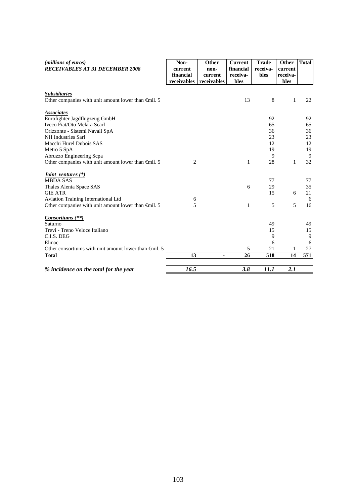| ( <i>millions of euros</i> )<br><b>RECEIVABLES AT 31 DECEMBER 2008</b> | Non-<br>current<br>financial<br>receivables | Other<br>non-<br>current<br>receivables | <b>Current</b><br>financial<br>receiva-<br>bles | <b>Trade</b><br>receiva-<br>bles | Other<br>current<br>receiva-<br>bles | <b>Total</b> |
|------------------------------------------------------------------------|---------------------------------------------|-----------------------------------------|-------------------------------------------------|----------------------------------|--------------------------------------|--------------|
| <b>Subsidiaries</b>                                                    |                                             |                                         |                                                 |                                  |                                      |              |
| Other companies with unit amount lower than $\epsilon$ mil. 5          |                                             |                                         | 13                                              | 8                                | 1                                    | 22           |
|                                                                        |                                             |                                         |                                                 |                                  |                                      |              |
| <b>Associates</b><br>Eurofighter Jagdflugzeug GmbH                     |                                             |                                         |                                                 | 92                               |                                      | 92           |
| Iveco Fiat/Oto Melara Scarl                                            |                                             |                                         |                                                 | 65                               |                                      | 65           |
| Orizzonte - Sistemi Navali SpA                                         |                                             |                                         |                                                 | 36                               |                                      | 36           |
| NH Industries Sarl                                                     |                                             |                                         |                                                 | 23                               |                                      | 23           |
| Macchi Hurel Dubois SAS                                                |                                             |                                         |                                                 | 12                               |                                      | 12           |
| Metro 5 SpA                                                            |                                             |                                         |                                                 | 19                               |                                      | 19           |
| Abruzzo Engineering Scpa                                               |                                             |                                         |                                                 | 9                                |                                      | 9            |
| Other companies with unit amount lower than $\epsilon$ mil. 5          | 2                                           |                                         | 1                                               | 28                               | 1                                    | 32           |
| <i>Joint ventures</i> (*)                                              |                                             |                                         |                                                 |                                  |                                      |              |
| <b>MBDA SAS</b>                                                        |                                             |                                         |                                                 | 77                               |                                      | 77           |
| Thales Alenia Space SAS                                                |                                             |                                         | 6                                               | 29                               |                                      | 35           |
| <b>GIE ATR</b>                                                         |                                             |                                         |                                                 | 15                               | 6                                    | 21           |
| Aviation Training International Ltd                                    | 6                                           |                                         |                                                 |                                  |                                      | 6            |
| Other companies with unit amount lower than $\epsilon$ mil. 5          | 5                                           |                                         | 1                                               | 5                                | 5                                    | 16           |
| Consortiums (**)                                                       |                                             |                                         |                                                 |                                  |                                      |              |
| Saturno                                                                |                                             |                                         |                                                 | 49                               |                                      | 49           |
| Trevi - Treno Veloce Italiano                                          |                                             |                                         |                                                 | 15                               |                                      | 15           |
| C.I.S. DEG                                                             |                                             |                                         |                                                 | 9                                |                                      | 9            |
| Elmac                                                                  |                                             |                                         |                                                 | 6                                |                                      | 6            |
| Other consortiums with unit amount lower than $\epsilon$ mil.5         |                                             |                                         | 5                                               | 21                               | 1                                    | 27           |
| <b>Total</b>                                                           | 13                                          | ÷.                                      | 26                                              | 518                              | 14                                   | 571          |
| % incidence on the total for the year                                  | 16.5                                        |                                         | 3.8                                             | 11.1                             | 2.1                                  |              |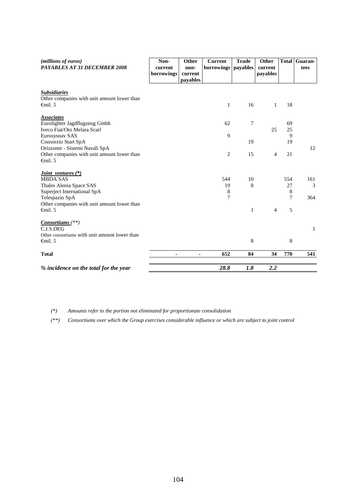| (millions of euros)<br>PAYABLES AT 31 DECEMBER 2008                                                | Non-<br>current<br>borrowings | <b>Other</b><br>non-<br>current<br>payables | <b>Current</b><br>borrowings | <b>Trade</b><br>payables | Other<br>current<br>payables | <b>Total</b> | Guaran-<br>tees |
|----------------------------------------------------------------------------------------------------|-------------------------------|---------------------------------------------|------------------------------|--------------------------|------------------------------|--------------|-----------------|
|                                                                                                    |                               |                                             |                              |                          |                              |              |                 |
| <b>Subsidiaries</b><br>Other companies with unit amount lower than<br>$\epsilon$ mil. 5            |                               |                                             | $\mathbf{1}$                 | 16                       | 1                            | 18           |                 |
| <b>Associates</b>                                                                                  |                               |                                             |                              |                          |                              |              |                 |
| Eurofighter Jagdflugzeug Gmbh<br>Iveco Fiat/Oto Melara Scarl                                       |                               |                                             | 62                           | 7                        | 25                           | 69<br>25     |                 |
| Eurosysnav SAS<br>Consorzio Start SpA                                                              |                               |                                             | 9                            | 19                       |                              | 9<br>19      |                 |
| Orizzonte - Sistemi Navali SpA<br>Other companies with unit amount lower than<br>$\epsilon$ mil. 5 |                               |                                             | $\overline{2}$               | 15                       | $\overline{4}$               | 21           | 12              |
| <i>Joint ventures</i> (*)                                                                          |                               |                                             |                              |                          |                              |              |                 |
| <b>MBDA SAS</b>                                                                                    |                               |                                             | 544                          | 10                       |                              | 554          | 161             |
| Thales Alenia Space SAS                                                                            |                               |                                             | 19                           | 8                        |                              | 27           | 3               |
| Superject International SpA                                                                        |                               |                                             | 8                            |                          |                              | 8            |                 |
| Telespazio SpA                                                                                     |                               |                                             | 7                            |                          |                              | 7            | 364             |
| Other companies with unit amount lower than<br>$\epsilon$ mil. 5                                   |                               |                                             |                              | $\mathbf{1}$             | $\overline{4}$               | 5            |                 |
| $Consortiums$ <sup>(**)</sup><br>C.I.S.DEG                                                         |                               |                                             |                              |                          |                              |              | $\mathbf{1}$    |
| Other consortiums with unit amount lower than                                                      |                               |                                             |                              |                          |                              |              |                 |
| $\epsilon$ mil. 5                                                                                  |                               |                                             |                              | 8                        |                              | 8            |                 |
| <b>Total</b>                                                                                       | ۰                             | ä,                                          | 652                          | 84                       | 34                           | 770          | 541             |
| % incidence on the total for the year                                                              |                               |                                             | 28.8                         | 1.8                      | 2.2                          |              |                 |

*(\*) Amounts refer to the portion not eliminated for proportionate consolidation* 

*(\*\*) Consortiums over which the Group exercises considerable influence or which are subject to joint control*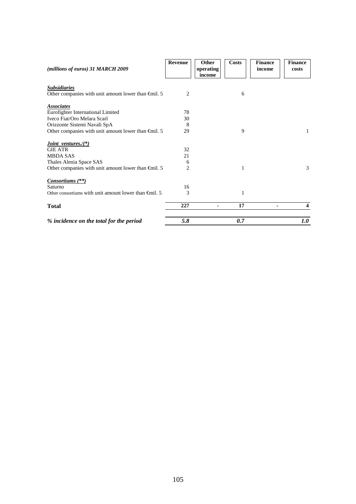| (millions of euros) 31 MARCH 2009                                                    | <b>Revenue</b> | <b>Other</b><br>operating<br>income | <b>Costs</b> | <b>Finance</b><br>income | <b>Finance</b><br>costs |
|--------------------------------------------------------------------------------------|----------------|-------------------------------------|--------------|--------------------------|-------------------------|
| <b>Subsidiaries</b><br>Other companies with unit amount lower than $\epsilon$ mil. 5 | 2              |                                     | 6            |                          |                         |
| <b>Associates</b>                                                                    |                |                                     |              |                          |                         |
| Eurofighter International Limited                                                    | 78             |                                     |              |                          |                         |
| Iveco Fiat/Oro Melara Scarl                                                          | 30             |                                     |              |                          |                         |
| Orizzonte Sistemi Navali SpA                                                         | 8              |                                     |              |                          |                         |
| Other companies with unit amount lower than $\epsilon$ mil. 5                        | 29             |                                     | 9            |                          | 1                       |
| <i>Joint ventures.</i> / $(*)$                                                       |                |                                     |              |                          |                         |
| <b>GIE ATR</b>                                                                       | 32             |                                     |              |                          |                         |
| <b>MBDA SAS</b>                                                                      | 21             |                                     |              |                          |                         |
| Thales Alenia Space SAS                                                              | 6              |                                     |              |                          |                         |
| Other companies with unit amount lower than $\epsilon$ mil. 5                        | $\mathfrak{D}$ |                                     | 1            |                          | 3                       |
| <i>Consortiums</i> (**)                                                              |                |                                     |              |                          |                         |
| Saturno                                                                              | 16             |                                     |              |                          |                         |
| Other consortiums with unit amount lower than $\epsilon$ mil. 5                      | 3              |                                     | 1            |                          |                         |
| <b>Total</b>                                                                         | 227            |                                     | 17           |                          | $\overline{\mathbf{4}}$ |
| % incidence on the total for the period                                              | 5.8            |                                     | 0.7          |                          | 1.0                     |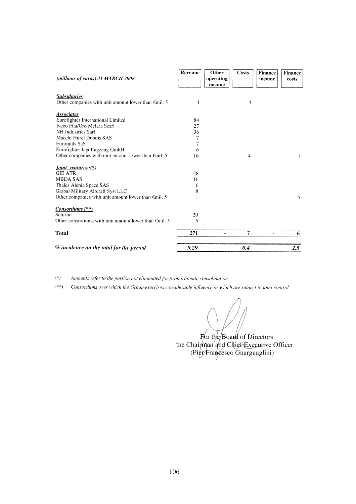| (millions of euros) 31 MARCH 2008                               | Revenue  | Other<br>operating<br>income | Costs          | <b>Finance</b><br>income | <b>Finance</b><br>costs |
|-----------------------------------------------------------------|----------|------------------------------|----------------|--------------------------|-------------------------|
| <b>Subsidiaries</b>                                             |          |                              |                |                          |                         |
| Other companies with unit amount lower than $\epsilon$ mil. 5   | 4        |                              | 3              |                          |                         |
| <b>Associates</b>                                               |          |                              |                |                          |                         |
| Eurofighter International Limited                               | 84       |                              |                |                          |                         |
| Iveco Fiat/Oro Melara Scarl                                     | 27       |                              |                |                          |                         |
| NH Industries Sarl                                              | 36       |                              |                |                          |                         |
| Macchi Hurel Dubois SAS                                         | 7        |                              |                |                          |                         |
| Euromids SaS                                                    | 7        |                              |                |                          |                         |
| Eurofighter Jagdflugzeug GmbH                                   | 6        |                              |                |                          |                         |
| Other companies with unit amount lower than $\epsilon$ mil. 5   | 16       |                              | $\overline{4}$ |                          | I                       |
|                                                                 |          |                              |                |                          |                         |
| <i>Joint ventures./(*)</i><br><b>GIE ATR</b>                    |          |                              |                |                          |                         |
| <b>MBDA SAS</b>                                                 | 28<br>16 |                              |                |                          |                         |
|                                                                 |          |                              |                |                          |                         |
| Thales Alenia Space SAS<br>Global Military Aircraft Syst LLC    | 6<br>8   |                              |                |                          |                         |
|                                                                 |          |                              |                |                          | 5                       |
| Other companies with unit amount lower than $\epsilon$ mil. 5   |          |                              |                |                          |                         |
| Consortiums $(**)$                                              |          |                              |                |                          |                         |
| Saturno                                                         | 20       |                              |                |                          |                         |
| Other consortiums with unit amount lower than $\epsilon$ mil. 5 | 5        |                              |                |                          |                         |
| <b>Total</b>                                                    | 271      |                              | $\overline{7}$ |                          | 6                       |
| % incidence on the total for the period                         | 9.29     |                              | 0.4            |                          | 2.5                     |

 $(\bar{\mathcal{E}})$ Amounts refer to the portion not eliminated for proportionate consolidation

 $($ \*\*) Consortiums over which the Group exercises considerable influence or which are subject to joint control

For the Board of Directors the Chairman and Chief Executive Officer<br>(Pier/Francesco Guarguaglini)